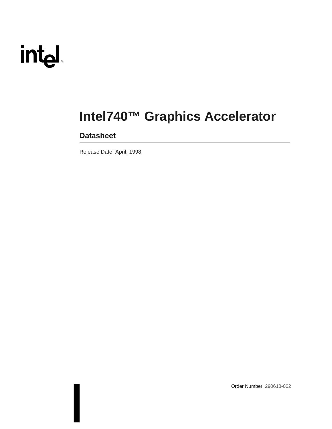## int<sub>el</sub>

### **Intel740™ Graphics Accelerator**

#### **Datasheet**

Release Date: April, 1998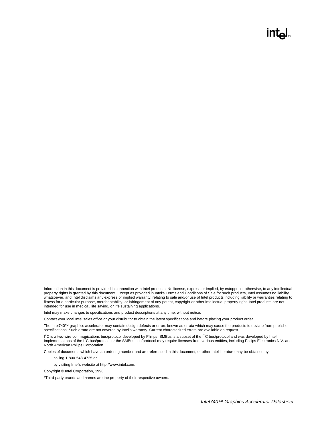### intلم

Information in this document is provided in connection with Intel products. No license, express or implied, by estoppel or otherwise, to any intellectual property rights is granted by this document. Except as provided in Intel's Terms and Conditions of Sale for such products, Intel assumes no liability whatsoever, and Intel disclaims any express or implied warranty, relating to sale and/or use of Intel products including liability or warranties relating to fitness for a particular purpose, merchantability, or infringement of any patent, copyright or other intellectual property right. Intel products are not intended for use in medical, life saving, or life sustaining applications.

Intel may make changes to specifications and product descriptions at any time, without notice.

Contact your local Intel sales office or your distributor to obtain the latest specifications and before placing your product order.

The Intel740™ graphics accelerator may contain design defects or errors known as errata which may cause the products to deviate from published specifications. Such errata are not covered by Intel's warranty. Current characterized errata are available on request.

I<sup>2</sup>C is a two-wire communications bus/protocol developed by Philips. SMBus is a subset of the I<sup>2</sup>C bus/protocol and was developed by Intel.<br>Implementations of the I<sup>2</sup>C bus/protocol or the SMBus bus/protocol may require North American Philips Corporation.

Copies of documents which have an ordering number and are referenced in this document, or other Intel literature may be obtained by:

calling 1-800-548-4725 or

by visiting Intel's website at http://www.intel.com.

Copyright © Intel Corporation, 1998

\*Third-party brands and names are the property of their respective owners.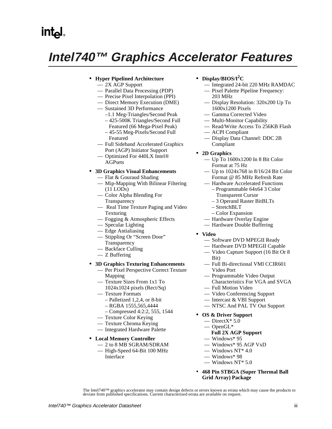### **Intel740™ Graphics Accelerator Features**

#### **• Hyper Pipelined Architecture**

- 2X AGP Support
- Parallel Data Processing (PDP)
- Precise Pixel Interpolation (PPI)
- Direct Memory Execution (DME)
- Sustained 3D Performance
	- –1.1 Meg-Triangles/Second Peak
	- 425-500K Triangles/Second Full
	- Featured (66 Mega-Pixel Peak) – 45-55 Meg-Pixels/Second Full
	-
- Featured — Full Sideband Accelerated Graphics Port (AGP) Initiator Support
- Optimized For 440LX Intel® AGPsets
- **• 3D Graphics Visual Enhancements**
	- Flat & Gouraud Shading
	- Mip-Mapping With Bilinear Filtering (11 LODs)
	- Color Alpha Blending For Transparency
	- Real Time Texture Paging and Video Texturing
	- Fogging & Atmospheric Effects
	- Specular Lighting
	- Edge Antialiasing
	- Stippling Or "Screen Door" Transparency
	- Backface Culling
	- Z Buffering

#### **• 3D Graphics Texturing Enhancements**

- Per Pixel Perspective Correct Texture Mapping
- Texture Sizes From 1x1 To
- 1024x1024 pixels (Rect/Sq)
- Texture Formats
	- Palletized 1,2,4, or 8-bit
	- RGBA 1555,565,4444
	- Compressed 4:2:2, 555, 1544
- Texture Color Keying
- Texture Chroma Keying
- Integrated Hardware Palette

#### **• Local Memory Controller**

- 2 to 8 MB SGRAM/SDRAM — High-Speed 64-Bit 100 MHz
	- Interface

#### **• Display/BIOS/I2C**

- Integrated 24-bit 220 MHz RAMDAC
- Pixel Palette Pipeline Frequency: 203 MHz
- Display Resolution: 320x200 Up To 1600x1200 Pixels
- Gamma Corrected Video
- Multi-Monitor Capability
- Read/Write Access To 256KB Flash
- ACPI Compliant
- Display Data Channel: DDC 2B Compliant
- **• 2D Graphics**
	- Up To 1600x1200 In 8 Bit Color Format at 75 Hz
	- Up to 1024x768 in 8/16/24 Bit Color Format @ 85 MHz Refresh Rate
	- Hardware Accelerated Functions – Programmable 64x64 3 Color
		- Transparent Cursor
		- 3 Operand Raster BitBLTs
		- StretchBLT
		- Color Expansion
	- Hardware Overlay Engine
	- Hardware Double Buffering
- **• Video**
	- Software DVD MPEGII Ready
	- Hardware DVD MPEGII Capable
	- Video Capture Support (16 Bit Or 8 Bit)
	- Full Bi-directional VMI CCIR601 Video Port
	- Programmable Video Output
	- Characteristics For VGA and SVGA
	- Full Motion Video
	- Video Conferencing Support
	- Intercast & VBI Support
	- NTSC And PAL TV Out Support
- **• OS & Driver Support**
	- Direct $X^*$  5.0
	- OpenGL\*
		- **Full 2X AGP Support**
	- Windows\* 95
	- Windows\* 95 AGP VxD
	- Windows  $NT* 4.0$
	- Windows\* 98
	- Windows NT\* 5.0
- **468 Pin STBGA (Super Thermal Ball Grid Array) Package**

The Intel740™ graphics accelerator may contain design defects or errors known as errata which may cause the products to deviate from published specifications. Current characterized errata are available on request.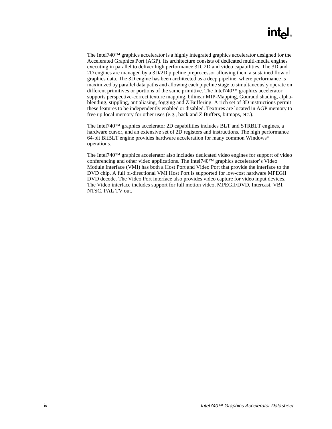The Intel740™ graphics accelerator is a highly integrated graphics accelerator designed for the Accelerated Graphics Port (AGP). Its architecture consists of dedicated multi-media engines executing in parallel to deliver high performance 3D, 2D and video capabilities. The 3D and 2D engines are managed by a 3D/2D pipeline preprocessor allowing them a sustained flow of graphics data. The 3D engine has been architected as a deep pipeline, where performance is maximized by parallel data paths and allowing each pipeline stage to simultaneously operate on different primitives or portions of the same primitive. The Intel740™ graphics accelerator supports perspective-correct texture mapping, bilinear MIP-Mapping, Gouraud shading, alphablending, stippling, antialiasing, fogging and Z Buffering. A rich set of 3D instructions permit these features to be independently enabled or disabled. Textures are located in AGP memory to free up local memory for other uses (e.g., back and Z Buffers, bitmaps, etc.).

The Intel740™ graphics accelerator 2D capabilities includes BLT and STRBLT engines, a hardware cursor, and an extensive set of 2D registers and instructions. The high performance 64-bit BitBLT engine provides hardware acceleration for many common Windows\* operations.

The Intel740™ graphics accelerator also includes dedicated video engines for support of video conferencing and other video applications. The Intel740™ graphics accelerator's Video Module Interface (VMI) has both a Host Port and Video Port that provide the interface to the DVD chip. A full bi-directional VMI Host Port is supported for low-cost hardware MPEGII DVD decode. The Video Port interface also provides video capture for video input devices. The Video interface includes support for full motion video, MPEGII/DVD, Intercast, VBI, NTSC, PAL TV out.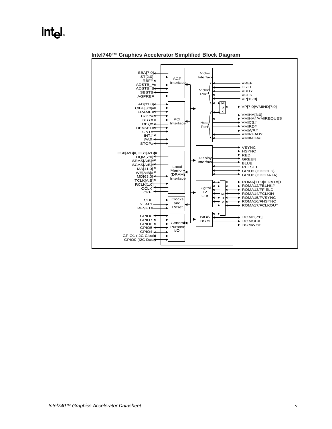

**Intel740™ Graphics Accelerator Simplified Block Diagram**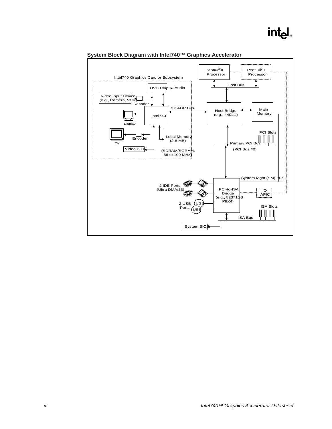



**System Block Diagram with Intel740™ Graphics Accelerator**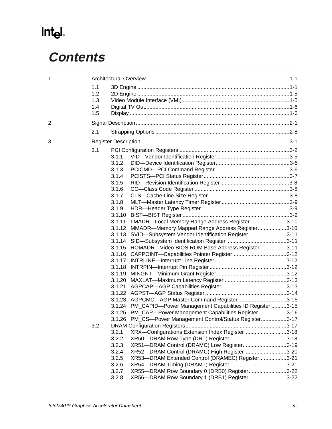# **Contents**

| 1 |     |        |                                                                |  |
|---|-----|--------|----------------------------------------------------------------|--|
|   | 1.1 |        |                                                                |  |
|   | 1.2 |        |                                                                |  |
|   | 1.3 |        |                                                                |  |
|   | 1.4 |        |                                                                |  |
|   | 1.5 |        |                                                                |  |
| 2 |     |        |                                                                |  |
|   | 2.1 |        |                                                                |  |
| 3 |     |        |                                                                |  |
|   | 3.1 |        |                                                                |  |
|   |     | 3.1.1  |                                                                |  |
|   |     | 3.1.2  |                                                                |  |
|   |     | 3.1.3  |                                                                |  |
|   |     | 3.1.4  |                                                                |  |
|   |     | 3.1.5  |                                                                |  |
|   |     | 3.1.6  |                                                                |  |
|   |     | 3.1.7  |                                                                |  |
|   |     | 3.1.8  |                                                                |  |
|   |     | 3.1.9  |                                                                |  |
|   |     | 3.1.10 |                                                                |  |
|   |     |        | 3.1.11 LMADR-Local Memory Range Address Register3-10           |  |
|   |     |        | 3.1.12 MMADR-Memory Mapped Range Address Register3-10          |  |
|   |     |        | 3.1.13 SVID-Subsystem Vendor Identification Register3-11       |  |
|   |     |        |                                                                |  |
|   |     |        | 3.1.15 ROMADR-Video BIOS ROM Base Address Register 3-11        |  |
|   |     |        | 3.1.16 CAPPOINT-Capabilities Pointer Register3-12              |  |
|   |     |        |                                                                |  |
|   |     |        |                                                                |  |
|   |     |        |                                                                |  |
|   |     |        |                                                                |  |
|   |     |        |                                                                |  |
|   |     |        |                                                                |  |
|   |     |        | 3.1.23 AGPCMC-AGP Master Command Register 3-15                 |  |
|   |     |        | 3.1.24 PM_CAPID-Power Management Capabilities ID Register 3-15 |  |
|   |     |        | 3.1.25 PM_CAP-Power Management Capabilities Register 3-16      |  |
|   |     |        | 3.1.26 PM_CS-Power Management Control/Status Register3-17      |  |
|   | 3.2 |        |                                                                |  |
|   |     | 3.2.1  | XRX-Configurations Extension Index Register3-18                |  |
|   |     |        |                                                                |  |
|   |     | 3.2.2  |                                                                |  |
|   |     | 3.2.3  | XR51-DRAM Control (DRAMC) Low Register3-19                     |  |
|   |     | 3.2.4  | XR52-DRAM Control (DRAMC) High Register3-20                    |  |
|   |     | 3.2.5  | XR53-DRAM Extended Control (DRAMEC) Register3-21               |  |
|   |     | 3.2.6  |                                                                |  |
|   |     | 3.2.7  | XR55-DRAM Row Boundary 0 (DRB0) Register3-22                   |  |
|   |     | 3.2.8  | XR56-DRAM Row Boundary 1 (DRB1) Register3-22                   |  |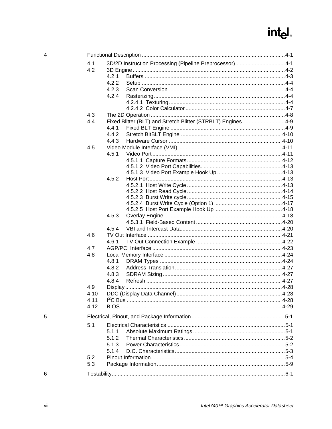| 4.1        | 3D/2D Instruction Processing (Pipeline Preprocessor)4-1      |  |
|------------|--------------------------------------------------------------|--|
| 4.2        |                                                              |  |
|            | 4.2.1                                                        |  |
|            | 4.2.2                                                        |  |
|            | 4.2.3                                                        |  |
|            | 4.2.4                                                        |  |
|            |                                                              |  |
|            |                                                              |  |
| 4.3        |                                                              |  |
| 4.4        | Fixed Blitter (BLT) and Stretch Blitter (STRBLT) Engines 4-9 |  |
|            | 4.4.1                                                        |  |
|            | 4.4.2                                                        |  |
|            | 4.4.3                                                        |  |
| 4.5        |                                                              |  |
|            | 4.5.1                                                        |  |
|            |                                                              |  |
|            |                                                              |  |
|            |                                                              |  |
|            | 4.5.2                                                        |  |
|            |                                                              |  |
|            |                                                              |  |
|            |                                                              |  |
|            |                                                              |  |
|            |                                                              |  |
|            | 4.5.3                                                        |  |
|            |                                                              |  |
|            | 4.5.4                                                        |  |
| 4.6        |                                                              |  |
|            | 4.6.1                                                        |  |
| 4.7        |                                                              |  |
| 4.8        |                                                              |  |
|            | 4.8.1                                                        |  |
|            | 4.8.2                                                        |  |
|            | 4.8.3                                                        |  |
|            | 4.8.4                                                        |  |
| 4.9        |                                                              |  |
| 4.10       |                                                              |  |
| 4.11       |                                                              |  |
| 4.12       |                                                              |  |
|            |                                                              |  |
| 5.1        |                                                              |  |
|            |                                                              |  |
|            | 5.1.1                                                        |  |
|            | 5.1.2                                                        |  |
|            | 5.1.3                                                        |  |
|            | 5.1.4                                                        |  |
| 5.2<br>5.3 |                                                              |  |
|            |                                                              |  |

 $\overline{4}$ 

 $\sqrt{5}$ 

 $\,6\,$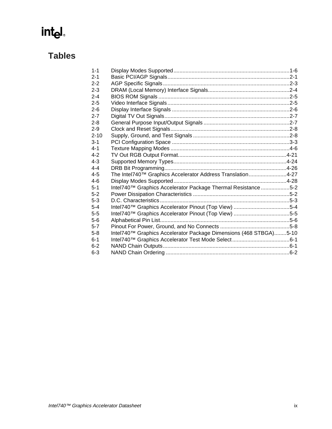#### **Tables**

| $1 - 1$  |                                                                   |  |
|----------|-------------------------------------------------------------------|--|
| $2 - 1$  |                                                                   |  |
| $2 - 2$  |                                                                   |  |
| $2 - 3$  |                                                                   |  |
| $2 - 4$  |                                                                   |  |
| $2 - 5$  |                                                                   |  |
| $2 - 6$  |                                                                   |  |
| $2 - 7$  |                                                                   |  |
| $2 - 8$  |                                                                   |  |
| $2 - 9$  |                                                                   |  |
| $2 - 10$ |                                                                   |  |
| $3 - 1$  |                                                                   |  |
| $4 - 1$  |                                                                   |  |
| $4 - 2$  |                                                                   |  |
| $4 - 3$  |                                                                   |  |
| $4 - 4$  |                                                                   |  |
| $4 - 5$  | The Intel740™ Graphics Accelerator Address Translation4-27        |  |
| 4-6      |                                                                   |  |
| $5 - 1$  | Intel740™ Graphics Accelerator Package Thermal Resistance 5-2     |  |
| $5 - 2$  |                                                                   |  |
| $5 - 3$  |                                                                   |  |
| $5 - 4$  |                                                                   |  |
| $5-5$    |                                                                   |  |
| $5-6$    |                                                                   |  |
| $5 - 7$  |                                                                   |  |
| $5 - 8$  | Intel740™ Graphics Accelerator Package Dimensions (468 STBGA)5-10 |  |
| $6 - 1$  |                                                                   |  |
| $6 - 2$  |                                                                   |  |
| $6 - 3$  |                                                                   |  |
|          |                                                                   |  |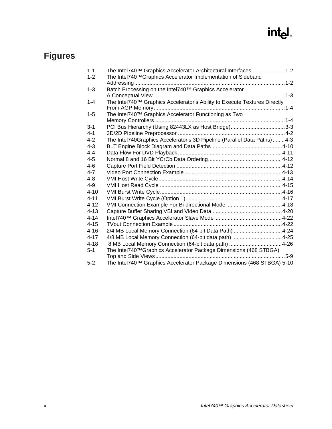#### **Figures**

| $1 - 1$  | The Intel740™ Graphics Accelerator Architectural Interfaces 1-2           |  |
|----------|---------------------------------------------------------------------------|--|
| $1 - 2$  | The Intel740™Graphics Accelerator Implementation of Sideband              |  |
|          |                                                                           |  |
| $1 - 3$  | Batch Processing on the Intel740™ Graphics Accelerator                    |  |
|          |                                                                           |  |
| $1 - 4$  | The Intel740™ Graphics Accelerator's Ability to Execute Textures Directly |  |
| $1 - 5$  | The Intel740™ Graphics Accelerator Functioning as Two                     |  |
|          |                                                                           |  |
| $3 - 1$  | PCI Bus Hierarchy (Using 82443LX as Host Bridge)3-3                       |  |
| $4 - 1$  |                                                                           |  |
| $4 - 2$  | The Intel740Graphics Accelerator's 3D Pipeline (Parallel Data Paths)  4-3 |  |
| $4 - 3$  |                                                                           |  |
| $4 - 4$  |                                                                           |  |
| $4 - 5$  |                                                                           |  |
| $4-6$    |                                                                           |  |
| $4 - 7$  |                                                                           |  |
| $4 - 8$  |                                                                           |  |
| $4 - 9$  |                                                                           |  |
| $4 - 10$ |                                                                           |  |
| $4 - 11$ |                                                                           |  |
| $4 - 12$ | VMI Connection Example For Bi-directional Mode4-18                        |  |
| $4 - 13$ |                                                                           |  |
| $4 - 14$ |                                                                           |  |
| $4 - 15$ |                                                                           |  |
| $4 - 16$ | 2/4 MB Local Memory Connection (64-bit Data Path) 4-24                    |  |
| $4 - 17$ | 4/8 MB Local Memory Connection (64-bit data path) 4-25                    |  |
| $4 - 18$ |                                                                           |  |
| $5-1$    | The Intel740™Graphics Accelerator Package Dimensions (468 STBGA)          |  |
|          |                                                                           |  |
| $5 - 2$  | The Intel740™ Graphics Accelerator Package Dimensions (468 STBGA) 5-10    |  |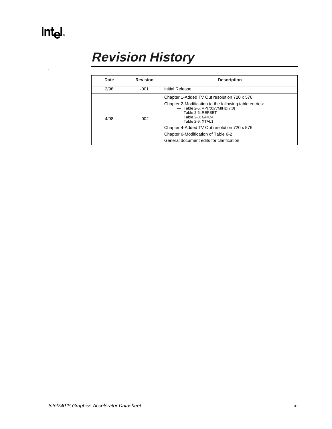### **Revision History**

| Date | <b>Revision</b> | <b>Description</b>                                                                                                                                       |
|------|-----------------|----------------------------------------------------------------------------------------------------------------------------------------------------------|
| 2/98 | $-001$          | Initial Release.                                                                                                                                         |
|      |                 | Chapter 1-Added TV Out resolution 720 x 576                                                                                                              |
| 4/98 | $-002$          | Chapter 2-Modification to the following table entries:<br>$-$ Table 2-5; VP[7:0]/VMIHD[7:0]<br>Table 2-6: REFSET<br>Table 2-8; GPIO4<br>Table 2-9: XTAL1 |
|      |                 | Chapter 4-Added TV Out resolution 720 x 576                                                                                                              |
|      |                 | Chapter 6-Modification of Table 6-2                                                                                                                      |
|      |                 | General document edits for clarification                                                                                                                 |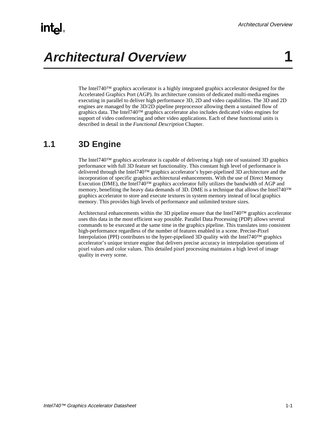### **Architectural Overview**

The Intel740™ graphics accelerator is a highly integrated graphics accelerator designed for the Accelerated Graphics Port (AGP). Its architecture consists of dedicated multi-media engines executing in parallel to deliver high performance 3D, 2D and video capabilities. The 3D and 2D engines are managed by the 3D/2D pipeline preprocessor allowing them a sustained flow of graphics data. The Intel740™ graphics accelerator also includes dedicated video engines for support of video conferencing and other video applications. Each of these functional units is described in detail in the *Functional Description* Chapter.

#### **1.1 3D Engine**

The Intel740™ graphics accelerator is capable of delivering a high rate of sustained 3D graphics performance with full 3D feature set functionality. This constant high level of performance is delivered through the Intel740™ graphics accelerator's hyper-pipelined 3D architecture and the incorporation of specific graphics architectural enhancements. With the use of Direct Memory Execution (DME), the Intel740™ graphics accelerator fully utilizes the bandwidth of AGP and memory, benefiting the heavy data demands of 3D. DME is a technique that allows the Intel740™ graphics accelerator to store and execute textures in system memory instead of local graphics memory. This provides high levels of performance and unlimited texture sizes.

Architectural enhancements within the 3D pipeline ensure that the Intel740™ graphics accelerator uses this data in the most efficient way possible. Parallel Data Processing (PDP) allows several commands to be executed at the same time in the graphics pipeline. This translates into consistent high-performance regardless of the number of features enabled in a scene. Precise-Pixel Interpolation (PPI) contributes to the hyper-pipelined 3D quality with the Intel740™ graphics accelerator's unique texture engine that delivers precise accuracy in interpolation operations of pixel values and color values. This detailed pixel processing maintains a high level of image quality in every scene.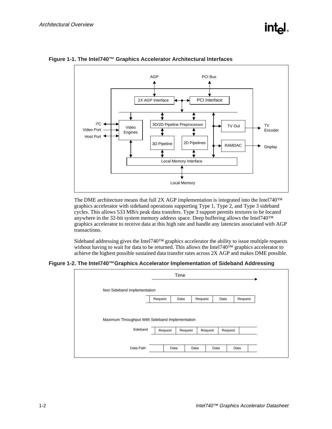

**Figure 1-1. The Intel740™ Graphics Accelerator Architectural Interfaces**

The DME architecture means that full 2X AGP implementation is integrated into the Intel740<sup>™</sup> graphics accelerator with sideband operations supporting Type 1, Type 2, and Type 3 sideband cycles. This allows 533 MB/s peak data transfers. Type 3 support permits textures to be located anywhere in the 32-bit system memory address space. Deep buffering allows the Intel740™ graphics accelerator to receive data at this high rate and handle any latencies associated with AGP transactions.

Sideband addressing gives the Intel740™ graphics accelerator the ability to issue multiple requests without having to wait for data to be returned. This allows the Intel740™ graphics accelerator to achieve the highest possible sustained data transfer rates across 2X AGP and makes DME possible.

**Figure 1-2. The Intel740™Graphics Accelerator Implementation of Sideband Addressing**

|                                                             |         | Time |         |         |      |         |         |
|-------------------------------------------------------------|---------|------|---------|---------|------|---------|---------|
| Non Sideband Implementation                                 |         |      |         |         |      |         |         |
|                                                             | Request | Data |         | Request | Data |         | Request |
| Maximum Throughput With Sideband Implementation<br>Sideband | Request |      | Request | Request |      | Request |         |
| Data Path                                                   |         | Data | Data    | Data    |      | Data    |         |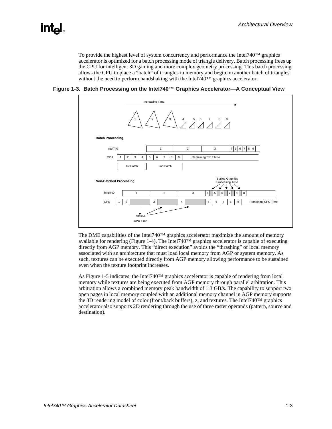To provide the highest level of system concurrency and performance the Intel740™ graphics accelerator is optimized for a batch processing mode of triangle delivery. Batch processing frees up the CPU for intelligent 3D gaming and more complex geometry processing. This batch processing allows the CPU to place a "batch" of triangles in memory and begin on another batch of triangles without the need to perform handshaking with the Intel740 $^{\text{TM}}$  graphics accelerator.

**Figure 1-3. Batch Processing on the Intel740™ Graphics Accelerator—A Conceptual View** 



The DME capabilities of the Intel740™ graphics accelerator maximize the amount of memory available for rendering (Figure 1-4). The Intel740™ graphics accelerator is capable of executing directly from AGP memory. This "direct execution" avoids the "thrashing" of local memory associated with an architecture that must load local memory from AGP or system memory. As such, textures can be executed directly from AGP memory allowing performance to be sustained even when the texture footprint increases.

As Figure 1-5 indicates, the Intel740™ graphics accelerator is capable of rendering from local memory while textures are being executed from AGP memory through parallel arbitration. This arbitration allows a combined memory peak bandwidth of 1.3 GB/s. The capability to support two open pages in local memory coupled with an additional memory channel in AGP memory supports the 3D rendering model of color (front/back buffers), z, and textures. The Intel740™ graphics accelerator also supports 2D rendering through the use of three raster operands (pattern, source and destination).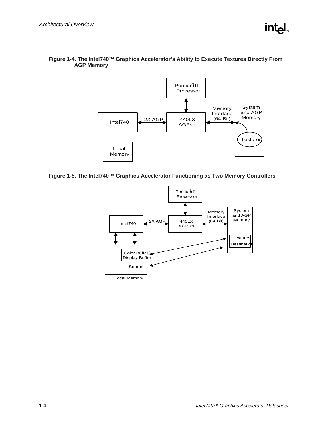

#### **Figure 1-4. The Intel740™ Graphics Accelerator's Ability to Execute Textures Directly From AGP Memory**

**Figure 1-5. The Intel740™ Graphics Accelerator Functioning as Two Memory Controllers** 

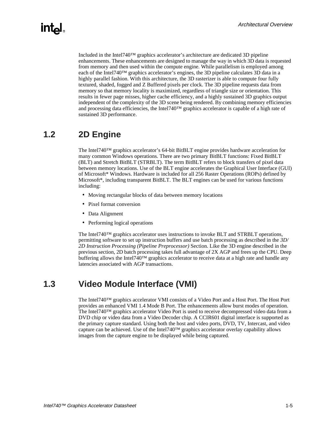Included in the Intel740™ graphics accelerator's architecture are dedicated 3D pipeline enhancements. These enhancements are designed to manage the way in which 3D data is requested from memory and then used within the compute engine. While parallelism is employed among each of the Intel740™ graphics accelerator's engines, the 3D pipeline calculates 3D data in a highly parallel fashion. With this architecture, the 3D rasterizer is able to compute four fully textured, shaded, fogged and Z Buffered pixels per clock. The 3D pipeline requests data from memory so that memory locality is maximized, regardless of triangle size or orientation. This results in fewer page misses, higher cache efficiency, and a highly sustained 3D graphics output independent of the complexity of the 3D scene being rendered. By combining memory efficiencies and processing data efficiencies, the Intel740™ graphics accelerator is capable of a high rate of sustained 3D performance.

#### **1.2 2D Engine**

<u>intم</u>

The Intel740™ graphics accelerator's 64-bit BitBLT engine provides hardware acceleration for many common Windows operations. There are two primary BitBLT functions: Fixed BitBLT (BLT) and Stretch BitBLT (STRBLT). The term BitBLT refers to block transfers of pixel data between memory locations. Use of the BLT engine accelerates the Graphical User Interface (GUI) of Microsoft\* Windows. Hardware is included for all 256 Raster Operations (ROPs) defined by Microsoft\*, including transparent BitBLT. The BLT engines can be used for various functions including:

- Moving rectangular blocks of data between memory locations
- Pixel format conversion
- Data Alignment
- Performing logical operations

The Intel740™ graphics accelerator uses instructions to invoke BLT and STRBLT operations, permitting software to set up instruction buffers and use batch processing as described in the *3D/ 2D Instruction Processing (Pipeline Preprocessor)* Section. Like the 3D engine described in the previous section, 2D batch processing takes full advantage of 2X AGP and frees up the CPU. Deep buffering allows the Intel740™ graphics accelerator to receive data at a high rate and handle any latencies associated with AGP transactions.

#### **1.3 Video Module Interface (VMI)**

The Intel740™ graphics accelerator VMI consists of a Video Port and a Host Port. The Host Port provides an enhanced VMI 1.4 Mode B Port. The enhancements allow burst modes of operation. The Intel740™ graphics accelerator Video Port is used to receive decompressed video data from a DVD chip or video data from a Video Decoder chip. A CCIR601 digital interface is supported as the primary capture standard. Using both the host and video ports, DVD, TV, Intercast, and video capture can be achieved. Use of the Intel740™ graphics accelerator overlay capability allows images from the capture engine to be displayed while being captured.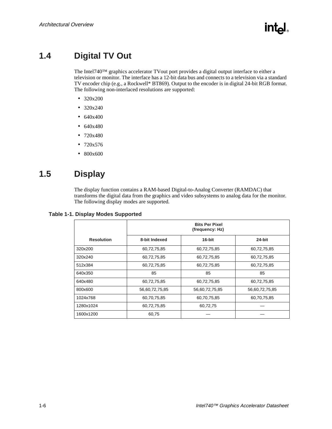#### **1.4 Digital TV Out**

The Intel740™ graphics accelerator TVout port provides a digital output interface to either a television or monitor. The interface has a 12-bit data bus and connects to a television via a standard TV encoder chip (e.g., a Rockwell\* BT869). Output to the encoder is in digital 24-bit RGB format. The following non-interlaced resolutions are supported:

- 320x200
- 320x240
- 640x400
- 640x480
- 720x480
- 720x576
- 800x600

#### **1.5 Display**

The display function contains a RAM-based Digital-to-Analog Converter (RAMDAC) that transforms the digital data from the graphics and video subsystems to analog data for the monitor. The following display modes are supported.

| Table 1-1. Display Modes Supported |  |
|------------------------------------|--|
|------------------------------------|--|

| <b>Resolution</b> | 8-bit Indexed  | 16-bit         | 24-bit         |
|-------------------|----------------|----------------|----------------|
| 320x200           | 60,72,75,85    | 60,72,75,85    | 60,72,75,85    |
| 320x240           | 60,72,75,85    | 60,72,75,85    | 60,72,75,85    |
| 512x384           | 60,72,75,85    | 60,72,75,85    | 60,72,75,85    |
| 640x350           | 85             | 85             | 85             |
| 640x480           | 60,72,75,85    | 60,72,75,85    | 60,72,75,85    |
| 800x600           | 56,60,72,75,85 | 56,60,72,75,85 | 56,60,72,75,85 |
| 1024x768          | 60,70,75,85    | 60,70,75,85    | 60,70,75,85    |
| 1280x1024         | 60,72,75,85    | 60,72,75       |                |
| 1600x1200         | 60,75          |                |                |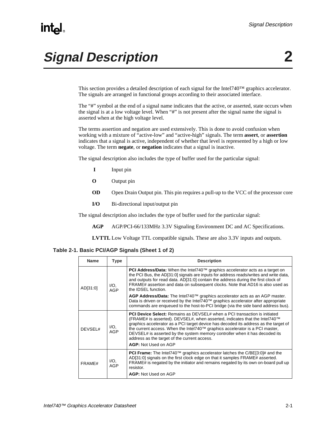This section provides a detailed description of each signal for the Intel740<sup>™</sup> graphics accelerator. The signals are arranged in functional groups according to their associated interface.

The "#" symbol at the end of a signal name indicates that the active, or asserted, state occurs when the signal is at a low voltage level. When "#" is not present after the signal name the signal is asserted when at the high voltage level.

The terms assertion and negation are used extensively. This is done to avoid confusion when working with a mixture of "active-low" and "active-high" signals. The term **assert**, or **assertion** indicates that a signal is active, independent of whether that level is represented by a high or low voltage. The term **negate**, or **negation** indicates that a signal is inactive.

The signal description also includes the type of buffer used for the particular signal:

- **I** Input pin
- **O** Output pin
- **OD** Open Drain Output pin. This pin requires a pull-up to the VCC of the processor core
- **I/O** Bi-directional input/output pin

The signal description also includes the type of buffer used for the particular signal:

**AGP** AGP/PCI-66/133MHz 3.3V Signaling Environment DC and AC Specifications.

**LVTTL** Low Voltage TTL compatible signals. These are also 3.3V inputs and outputs.

**Table 2-1. Basic PCI/AGP Signals (Sheet 1 of 2)**

| <b>Name</b> | Type                  | <b>Description</b>                                                                                                                                                                                                                                                                                                                                                                                                                                                                                         |
|-------------|-----------------------|------------------------------------------------------------------------------------------------------------------------------------------------------------------------------------------------------------------------------------------------------------------------------------------------------------------------------------------------------------------------------------------------------------------------------------------------------------------------------------------------------------|
| AD[31:0]    | I/O.<br>AGP           | <b>PCI Address/Data:</b> When the Intel740 <sup><math>\text{TM}</math></sup> graphics accelerator acts as a target on<br>the PCI Bus, the AD[31:0] signals are inputs for address reads/writes and write data,<br>and outputs for read data. AD[31:0] contain the address during the first clock of<br>FRAME# assertion and data on subsequent clocks. Note that AD16 is also used as<br>the <b>IDSEL</b> function.                                                                                        |
|             |                       | AGP Address/Data: The Intel740™ graphics accelerator acts as an AGP master.<br>Data is driven or received by the Intel740 <sup>™</sup> graphics accelerator after appropriate<br>commands are enqueued to the host-to-PCI bridge (via the side band address bus).                                                                                                                                                                                                                                          |
| DEVSEL#     | $I/O$ ,<br><b>AGP</b> | <b>PCI Device Select:</b> Remains as DEVSEL# when a PCI transaction is initiated<br>(FRAME# is asserted). DEVSEL#, when asserted, indicates that the Intel740 <sup>TM</sup><br>graphics accelerator as a PCI target device has decoded its address as the target of<br>the current access. When the Intel740™ graphics accelerator is a PCI master,<br>DEVSEL# is asserted by the system memory controller when it has decoded its<br>address as the target of the current access.<br>AGP: Not Used on AGP |
| FRAME#      | I/O,<br>AGP           | PCI Frame: The Intel740™ graphics accelerator latches the C/BE[3:0]# and the<br>AD[31:0] signals on the first clock edge on that it samples FRAME# asserted.<br>FRAME# is negated by the initiator and remains negated by its own on-board pull up<br>resistor.<br><b>AGP:</b> Not Used on AGP                                                                                                                                                                                                             |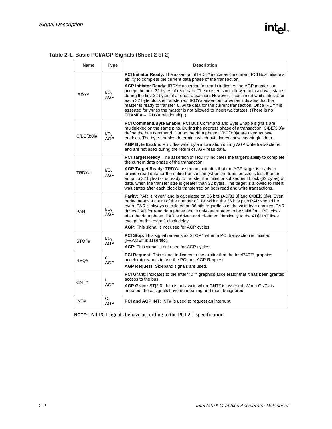#### **Table 2-1. Basic PCI/AGP Signals (Sheet 2 of 2)**

| <b>Name</b> | <b>Type</b>           | <b>Description</b>                                                                                                                                                                                                                                                                                                                                                                                                                                                                                                                                                     |
|-------------|-----------------------|------------------------------------------------------------------------------------------------------------------------------------------------------------------------------------------------------------------------------------------------------------------------------------------------------------------------------------------------------------------------------------------------------------------------------------------------------------------------------------------------------------------------------------------------------------------------|
|             |                       | PCI Initiator Ready: The assertion of IRDY# indicates the current PCI Bus initiator's<br>ability to complete the current data phase of the transaction.                                                                                                                                                                                                                                                                                                                                                                                                                |
| IRDY#       | $I/O$ .<br><b>AGP</b> | AGP Initiator Ready: IRDY# assertion for reads indicates the AGP master can<br>accept the next 32 bytes of read data. The master is not allowed to insert wait states<br>during the first 32 bytes of a read transaction. However, it can insert wait states after<br>each 32 byte block is transferred. IRDY# assertion for writes indicates that the<br>master is ready to transfer all write data for the current transaction. Once IRDY# is<br>asserted for writes the master is not allowed to insert wait states, (There is no<br>FRAME# -- IRDY# relationship.) |
| C/BE[3:0]#  | $I/O$ .<br>AGP        | PCI Command/Byte Enable: PCI Bus Command and Byte Enable signals are<br>multiplexed on the same pins. During the address phase of a transaction, C/BE[3:0]#<br>define the bus command. During the data phase C/BE[3:0]# are used as byte<br>enables. The byte enables determine which byte lanes carry meaningful data.<br>AGP Byte Enable: Provides valid byte information during AGP write transactions<br>and are not used during the return of AGP read data.                                                                                                      |
|             |                       | PCI Target Ready: The assertion of TRDY# indicates the target's ability to complete<br>the current data phase of the transaction.                                                                                                                                                                                                                                                                                                                                                                                                                                      |
| TRDY#       | $I/O$ ,<br><b>AGP</b> | AGP Target Ready: TRDY# assertion indicates that the AGP target is ready to<br>provide read data for the entire transaction (when the transfer size is less than or<br>equal to 32 bytes) or is ready to transfer the initial or subsequent block (32 bytes) of<br>data, when the transfer size is greater than 32 bytes. The target is allowed to insert<br>wait states after each block is transferred on both read and write transactions.                                                                                                                          |
| PAR         | $I/O$ .<br>AGP        | Parity: PAR is "even" and is calculated on 36 bits (AD[31:0] and C/BE[3:0]#). Even<br>parity means a count of the number of "1s" within the 36 bits plus PAR should be<br>even. PAR is always calculated on 36 bits regardless of the valid byte enables. PAR<br>drives PAR for read data phase and is only guaranteed to be valid for 1 PCI clock<br>after the data phase. PAR is driven and tri-stated identically to the AD[31:0] lines<br>except for this extra 1 clock delay.<br>AGP: This signal is not used for AGP cycles.                                     |
| STOP#       | $I/O$ ,<br><b>AGP</b> | PCI Stop: This signal remains as STOP# when a PCI transaction is initiated<br>(FRAME# is asserted).<br>AGP: This signal is not used for AGP cycles.                                                                                                                                                                                                                                                                                                                                                                                                                    |
| REQ#        | О.<br><b>AGP</b>      | PCI Request: This signal Indicates to the arbiter that the Intel740™ graphics<br>accelerator wants to use the PCI bus AGP Request.<br>AGP Request: Sideband signals are used.                                                                                                                                                                                                                                                                                                                                                                                          |
| GNT#        | Ι,<br>AGP             | PCI Grant: Indicates to the Intel740™ graphics accelerator that it has been granted<br>access to the bus.<br>AGP Grant: ST[2:0] data is only valid when GNT# is asserted. When GNT# is<br>negated, these signals have no meaning and must be ignored.                                                                                                                                                                                                                                                                                                                  |
| INT#        | O,<br><b>AGP</b>      | PCI and AGP INT: INT# is used to request an interrupt.                                                                                                                                                                                                                                                                                                                                                                                                                                                                                                                 |

**NOTE:** All PCI signals behave according to the PCI 2.1 specification.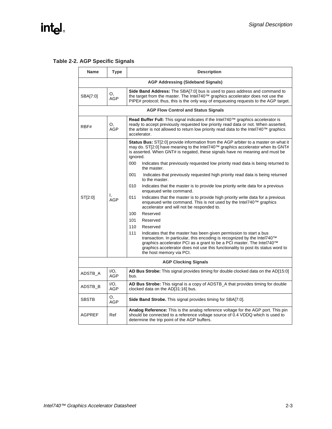#### **Table 2-2. AGP Specific Signals**

| Name          | <b>Type</b>           | <b>Description</b>                                                                                                                                                                                                                                                                                                                            |  |  |
|---------------|-----------------------|-----------------------------------------------------------------------------------------------------------------------------------------------------------------------------------------------------------------------------------------------------------------------------------------------------------------------------------------------|--|--|
|               |                       | AGP Addressing (Sideband Signals)                                                                                                                                                                                                                                                                                                             |  |  |
| SBA[7:0]      | О,<br><b>AGP</b>      | <b>Side Band Address:</b> The SBA[7:0] bus is used to pass address and command to<br>the target from the master. The Intel740™ graphics accelerator does not use the<br>PIPE# protocol; thus, this is the only way of enqueueing requests to the AGP target.                                                                                  |  |  |
|               |                       | <b>AGP Flow Control and Status Signals</b>                                                                                                                                                                                                                                                                                                    |  |  |
| RBF#          | О.<br><b>AGP</b>      | Read Buffer Full: This signal indicates if the Intel740™ graphics accelerator is<br>ready to accept previously requested low priority read data or not. When asserted,<br>the arbiter is not allowed to return low priority read data to the Intel740™ graphics<br>accelerator.                                                               |  |  |
|               |                       | <b>Status Bus:</b> ST[2:0] provide information from the AGP arbiter to a master on what it<br>may do. ST[2:0] have meaning to the Intel740™ graphics accelerator when its GNT#<br>is asserted. When GNT# is negated, these signals have no meaning and must be<br>ignored.                                                                    |  |  |
|               |                       | 000<br>Indicates that previously requested low priority read data is being returned to<br>the master.                                                                                                                                                                                                                                         |  |  |
|               | I.<br><b>AGP</b>      | 001<br>Indicates that previously requested high priority read data is being returned<br>to the master.                                                                                                                                                                                                                                        |  |  |
|               |                       | 010<br>Indicates that the master is to provide low priority write data for a previous<br>enqueued write command.                                                                                                                                                                                                                              |  |  |
| ST[2:0]       |                       | 011<br>Indicates that the master is to provide high priority write data for a previous<br>enqueued write command. This is not used by the Intel740™ graphics<br>accelerator and will not be responded to.                                                                                                                                     |  |  |
|               |                       | Reserved<br>100                                                                                                                                                                                                                                                                                                                               |  |  |
|               |                       | 101<br>Reserved                                                                                                                                                                                                                                                                                                                               |  |  |
|               |                       | 110<br>Reserved                                                                                                                                                                                                                                                                                                                               |  |  |
|               |                       | 111<br>Indicates that the master has been given permission to start a bus<br>transaction. In particular, this encoding is recognized by the Intel740™<br>graphics accelerator PCI as a grant to be a PCI master. The Intel740™<br>graphics accelerator does not use this functionality to post its status word to<br>the host memory via PCI. |  |  |
|               |                       | <b>AGP Clocking Signals</b>                                                                                                                                                                                                                                                                                                                   |  |  |
| ADSTB_A       | $I/O$ ,<br><b>AGP</b> | AD Bus Strobe: This signal provides timing for double clocked data on the AD[15:0]<br>bus.                                                                                                                                                                                                                                                    |  |  |
| ADSTB B       | $I/O$ ,<br>AGP        | AD Bus Strobe: This signal is a copy of ADSTB_A that provides timing for double<br>clocked data on the AD[31:16] bus.                                                                                                                                                                                                                         |  |  |
| <b>SBSTB</b>  | O.<br>AGP             | Side Band Strobe. This signal provides timing for SBA[7:0].                                                                                                                                                                                                                                                                                   |  |  |
| <b>AGPREF</b> | Ref                   | Analog Reference: This is the analog reference voltage for the AGP port. This pin<br>should be connected to a reference voltage source of 0.4 VDDQ which is used to<br>determine the trip point of the AGP buffers.                                                                                                                           |  |  |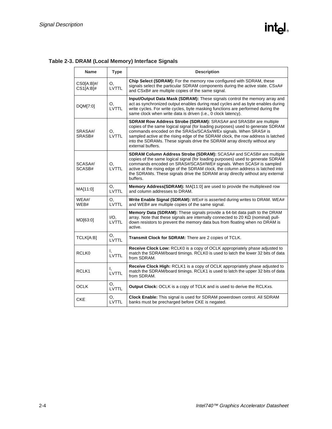#### **Table 2-3. DRAM (Local Memory) Interface Signals**

| <b>Name</b>                   | <b>Type</b>        | <b>Description</b>                                                                                                                                                                                                                                                                                                                                                                                            |
|-------------------------------|--------------------|---------------------------------------------------------------------------------------------------------------------------------------------------------------------------------------------------------------------------------------------------------------------------------------------------------------------------------------------------------------------------------------------------------------|
| $CSO[A:B]\#/$<br>$CS1[A:B]\#$ | O,<br>LVTTL        | Chip Select (SDRAM): For the memory row configured with SDRAM, these<br>signals select the particular SDRAM components during the active state. CSxA#<br>and CSxB# are multiple copies of the same signal.                                                                                                                                                                                                    |
| DQM[7:0]                      | О.<br><b>LVTTL</b> | Input/Output Data Mask (SDRAM): These signals control the memory array and<br>act as synchronized output enables during read cycles and as byte enables during<br>write cycles. For write cycles, byte masking functions are performed during the<br>same clock when write data is driven (i.e., 0 clock latency).                                                                                            |
| SRASA#/<br>SRASB#             | О,<br><b>LVTTL</b> | SDRAM Row Address Strobe (SDRAM): SRASA# and SRASB# are multiple<br>copies of the same logical signal (for loading purposes) used to generate SDRAM<br>commands encoded on the SRASx/SCASx/WEx signals. When SRAS# is<br>sampled active at the rising edge of the SDRAM clock, the row address is latched<br>into the SDRAMs. These signals drive the SDRAM array directly without any<br>external buffers.   |
| SCASA#/<br>SCASB#             | О,<br><b>LVTTL</b> | SDRAM Column Address Strobe (SDRAM): SCASA# and SCASB# are multiple<br>copies of the same logical signal (for loading purposes) used to generate SDRAM<br>commands encoded on SRAS#/SCAS#/WE# signals. When SCAS# is sampled<br>active at the rising edge of the SDRAM clock, the column address is latched into<br>the SDRAMs. These signals drive the SDRAM array directly without any external<br>buffers. |
| MA[11:0]                      | O,<br><b>LVTTL</b> | Memory Address(SDRAM): MA[11:0] are used to provide the multiplexed row<br>and column addresses to DRAM.                                                                                                                                                                                                                                                                                                      |
| WEAH/<br>WEB#                 | O,<br><b>LVTTL</b> | Write Enable Signal (SDRAM): WEx# is asserted during writes to DRAM. WEA#<br>and WEB# are multiple copies of the same signal.                                                                                                                                                                                                                                                                                 |
| MD[63:0]                      | $I/O$ .<br>LVTTL   | Memory Data (SDRAM): These signals provide a 64-bit data path to the DRAM<br>array. Note that these signals are internally connected to 20 $\overline{K\Omega}$ (nominal) pull-<br>down resistors to prevent the memory data bus from floating when no DRAM is<br>active.                                                                                                                                     |
| TCLK[A:B]                     | О,<br><b>LVTTL</b> | Transmit Clock for SDRAM: There are 2 copies of TCLK.                                                                                                                                                                                                                                                                                                                                                         |
| RCLK <sub>0</sub>             | Ι,<br><b>LVTTL</b> | Receive Clock Low: RCLK0 is a copy of OCLK appropriately phase adjusted to<br>match the SDRAM/board timings. RCLK0 is used to latch the lower 32 bits of data<br>from SDRAM.                                                                                                                                                                                                                                  |
| RCLK1                         | I,<br><b>LVTTL</b> | Receive Clock High: RCLK1 is a copy of OCLK appropriately phase adjusted to<br>match the SDRAM/board timings. RCLK1 is used to latch the upper 32 bits of data<br>from SDRAM.                                                                                                                                                                                                                                 |
| <b>OCLK</b>                   | О,<br><b>LVTTL</b> | <b>Output Clock:</b> OCLK is a copy of TCLK and is used to derive the RCLKxs.                                                                                                                                                                                                                                                                                                                                 |
| <b>CKE</b>                    | О,<br>LVTTL        | Clock Enable: This signal is used for SDRAM powerdown control. All SDRAM<br>banks must be precharged before CKE is negated.                                                                                                                                                                                                                                                                                   |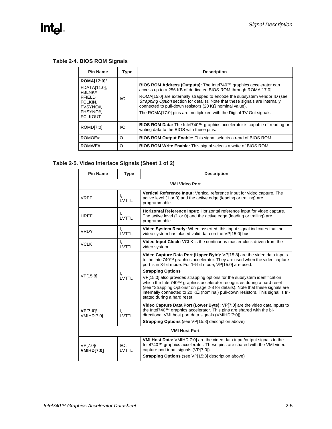#### **Table 2-4. BIOS ROM Signals**

| <b>Pin Name</b>                                                                                                    | Type     | <b>Description</b>                                                                                                                                                                                                                                                                                                                                                                                                                             |
|--------------------------------------------------------------------------------------------------------------------|----------|------------------------------------------------------------------------------------------------------------------------------------------------------------------------------------------------------------------------------------------------------------------------------------------------------------------------------------------------------------------------------------------------------------------------------------------------|
| <b>ROMA[17:0]/</b><br>FDATA[11:0],<br>FBLNK#<br><b>FFIELD</b><br>FCLKIN.<br>FVSYNC#.<br>FHSYNC#.<br><b>FCLKOUT</b> | 1/O      | BIOS ROM Address (Outputs): The Intel740™ graphics accelerator can<br>access up to a 256 KB of dedicated BIOS ROM through ROMA[17:0].<br>ROMA[15:0] are externally strapped to encode the subsystem vendor ID (see<br>Strapping Option section for details). Note that these signals are internally<br>connected to pull-down resistors (20 K $\Omega$ nominal value).<br>The ROMA[17:0] pins are multiplexed with the Digital TV Out signals. |
| ROMD[7:0]                                                                                                          | 1/O      | BIOS ROM Data: The Intel740™ graphics accelerator is capable of reading or<br>writing data to the BIOS with these pins.                                                                                                                                                                                                                                                                                                                        |
| ROMOE#                                                                                                             | $\Omega$ | <b>BIOS ROM Output Enable:</b> This signal selects a read of BIOS ROM.                                                                                                                                                                                                                                                                                                                                                                         |
| ROMWE#                                                                                                             | O        | <b>BIOS ROM Write Enable:</b> This signal selects a write of BIOS ROM.                                                                                                                                                                                                                                                                                                                                                                         |

#### **Table 2-5. Video Interface Signals (Sheet 1 of 2)**

| <b>Pin Name</b>               | <b>Type</b>           | <b>Description</b>                                                                                                                                                                                                                                                                                                                                                |  |
|-------------------------------|-----------------------|-------------------------------------------------------------------------------------------------------------------------------------------------------------------------------------------------------------------------------------------------------------------------------------------------------------------------------------------------------------------|--|
|                               | <b>VMI Video Port</b> |                                                                                                                                                                                                                                                                                                                                                                   |  |
| <b>VREF</b>                   | I,<br>LVTTL           | <b>Vertical Reference Input:</b> Vertical reference input for video capture. The<br>active level (1 or 0) and the active edge (leading or trailing) are<br>programmable.                                                                                                                                                                                          |  |
| <b>HREF</b>                   | Ι,<br>LVTTL           | Horizontal Reference Input: Horizontal reference input for video capture.<br>The active level (1 or 0) and the active edge (leading or trailing) are<br>programmable.                                                                                                                                                                                             |  |
| <b>VRDY</b>                   | Ι,<br>LVTTL           | Video System Ready: When asserted, this input signal indicates that the<br>video system has placed valid data on the VP[15:0] bus.                                                                                                                                                                                                                                |  |
| <b>VCLK</b>                   | Ι,<br>LVTTL           | Video Input Clock: VCLK is the continuous master clock driven from the<br>video system.                                                                                                                                                                                                                                                                           |  |
|                               |                       | Video Capture Data Port (Upper Byte): VP[15:8] are the video data inputs<br>to the Intel740™ graphics accelerator. They are used when the video capture<br>port is in 8-bit mode. For 16-bit mode, VP[15:0] are used.                                                                                                                                             |  |
|                               | Ι,                    | <b>Strapping Options</b>                                                                                                                                                                                                                                                                                                                                          |  |
| VP[15:8]                      | <b>IVTTI</b>          | VP[15:0] also provides strapping options for the subsystem identification<br>which the Intel740™ graphics accelerator recognizes during a hard reset<br>(see "Strapping Options" on page 2-8 for details). Note that these signals are<br>internally connected to 20 K $\Omega$ (nominal) pull-down resistors. This signal is tri-<br>stated during a hard reset. |  |
| VP[7:0]/<br><b>VMIHD[7:0]</b> | Ι,<br>LVTTL           | Video Capture Data Port (Lower Byte): VP[7:0] are the video data inputs to<br>the Intel740™ graphics accelerator. This pins are shared with the bi-<br>directional VMI host port data signals (VMIHD[7:0]).<br><b>Strapping Options</b> (see VP[15:8] description above)                                                                                          |  |
|                               |                       |                                                                                                                                                                                                                                                                                                                                                                   |  |
|                               | <b>VMI Host Port</b>  |                                                                                                                                                                                                                                                                                                                                                                   |  |
| VP[7:0]/<br><b>VMIHD[7:0]</b> | I/O.<br>LVTTL         | <b>VMI Host Data:</b> VMIHD[7:0] are the video data input/output signals to the<br>Intel740™ graphics accelerator. These pins are shared with the VMI video<br>capture port input signals (VP[7:0]).<br><b>Strapping Options</b> (see VP[15:8] description above)                                                                                                 |  |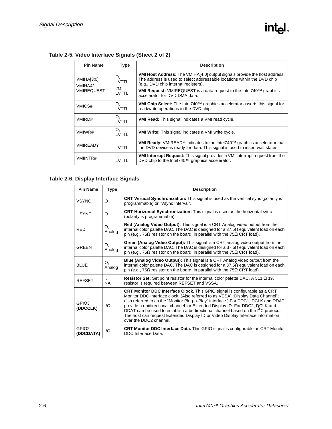| <b>Pin Name</b>                            | <b>Type</b>                      | <b>Description</b>                                                                                                                                                                                                                                                                                                                  |  |
|--------------------------------------------|----------------------------------|-------------------------------------------------------------------------------------------------------------------------------------------------------------------------------------------------------------------------------------------------------------------------------------------------------------------------------------|--|
| VMIHA[3:0]<br>VMIHA4/<br><b>VMIREQUEST</b> | O.<br>I VTTI<br>$I/O$ ,<br>LVTTL | <b>VMI Host Address:</b> The VMIHA[4:0] output signals provide the host address.<br>The address is used to select addressable locations within the DVD chip<br>(e.g., DVD chip internal registers).<br><b>VMI Request:</b> $VMIREQUEST$ is a data request to the Intel $740$ <sup>™</sup> graphics<br>accelerator for DVD DMA data. |  |
| VMICS#                                     | O.<br>LVTTL                      | <b>VMI Chip Select:</b> The Intel740 <sup><math>™</math> graphics accelerator asserts this signal for</sup><br>read/write operations to the DVD chip.                                                                                                                                                                               |  |
| VMIRD#                                     | O.<br><b>I VTTL</b>              | <b>VMI Read:</b> This signal indicates a VMI read cycle.                                                                                                                                                                                                                                                                            |  |
| VMIWR#                                     | O.<br>LVTTL                      | <b>VMI Write:</b> This signal indicates a VMI write cycle.                                                                                                                                                                                                                                                                          |  |
| <b>VMIREADY</b>                            | Ι.<br>LVTTL                      | VMI Ready: VMIREADY indicates to the Intel740™ graphics accelerator that<br>the DVD device is ready for data. This signal is used to insert wait states.                                                                                                                                                                            |  |
| VMIINTR#                                   | LVTTL                            | <b>VMI Interrupt Request:</b> This signal provides a VMI interrupt request from the<br>DVD chip to the Intel740™ graphics accelerator.                                                                                                                                                                                              |  |

#### **Table 2-5. Video Interface Signals (Sheet 2 of 2)**

#### **Table 2-6. Display Interface Signals**

| <b>Pin Name</b>                | <b>Type</b>     | <b>Description</b>                                                                                                                                                                                                                                                                                                                                                                                                                                                                                                                               |
|--------------------------------|-----------------|--------------------------------------------------------------------------------------------------------------------------------------------------------------------------------------------------------------------------------------------------------------------------------------------------------------------------------------------------------------------------------------------------------------------------------------------------------------------------------------------------------------------------------------------------|
| <b>VSYNC</b>                   | O               | CRT Vertical Synchronization: This signal is used as the vertical sync (polarity is<br>programmable) or "Vsync Interval".                                                                                                                                                                                                                                                                                                                                                                                                                        |
| <b>HSYNC</b>                   | O               | <b>CRT Horizontal Synchronization:</b> This signal is used as the horizontal sync<br>(polarity is programmable).                                                                                                                                                                                                                                                                                                                                                                                                                                 |
| <b>RED</b>                     | O.<br>Analog    | <b>Red (Analog Video Output):</b> This signal is a CRT Analog video output from the<br>internal color palette DAC. The DAC is designed for a 37.5 $\Omega$ equivalent load on each<br>pin (e.g., 75 $\Omega$ resistor on the board, in parallel with the 75 $\Omega$ CRT load).                                                                                                                                                                                                                                                                  |
| <b>GREEN</b>                   | O.<br>Analog    | Green (Analog Video Output): This signal is a CRT analog video output from the<br>internal color palette DAC. The DAC is designed for a $37.5\Omega$ equivalent load on each<br>pin (e.g., 75 $\Omega$ resistor on the board, in parallel with the 75 $\Omega$ CRT load).                                                                                                                                                                                                                                                                        |
| <b>BLUE</b>                    | O.<br>Analog    | <b>Blue (Analog Video Output):</b> This signal is a CRT Analog video output from the<br>internal color palette DAC. The DAC is designed for a 37.5 $\Omega$ equivalent load on each<br>pin (e.g., 75 $\Omega$ resistor on the board, in parallel with the 75 $\Omega$ CRT load).                                                                                                                                                                                                                                                                 |
| <b>REFSET</b>                  | Ι,<br><b>NA</b> | <b>Resistor Set:</b> Set point resistor for the internal color palette DAC. A 511 $\Omega$ 1%<br>resistor is required between REFSET and VSSA.                                                                                                                                                                                                                                                                                                                                                                                                   |
| GPIO <sub>3</sub><br>(DDCCLK)  | 1/O             | CRT Monitor DDC Interface Clock. This GPIO signal is configurable as a CRT<br>Monitor DDC Interface clock. (Also referred to as VESA "Display Data Channel";<br>also referred to as the "Monitor Plug-n-Play" interface.) For DDC1, DCLK and DDAT<br>provide a unidirectional channel for Extended Display ID. For DDC2, DCLK and<br>DDAT can be used to establish a bi-directional channel based on the I <sup>L</sup> C protocol.<br>The host can request Extended Display ID or Video Display Interface information<br>over the DDC2 channel. |
| GPIO <sub>2</sub><br>(DDCDATA) | 1/O             | <b>CRT Monitor DDC Interface Data.</b> This GPIO signal is configurable as CRT Monitor<br>DDC Interface Data.                                                                                                                                                                                                                                                                                                                                                                                                                                    |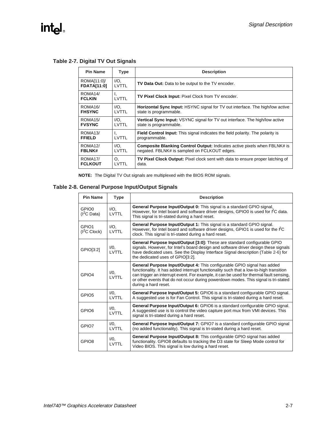#### **Table 2-7. Digital TV Out Signals**

| Pin Name                              | <b>Type</b>   | <b>Description</b>                                                                    |  |
|---------------------------------------|---------------|---------------------------------------------------------------------------------------|--|
| ROMA[11:0]/<br><b>FDATA[11:0]</b>     | I/O.<br>LVTTL | <b>TV Data Out:</b> Data to be output to the TV encoder.                              |  |
| ROMA <sub>14</sub> /<br><b>FCLKIN</b> | Ι,<br>LVTTL   | TV Pixel Clock Input: Pixel Clock from TV encoder.                                    |  |
| ROMA <sub>16</sub> /                  | $I/O$ .       | <b>Horizontal Sync Input: HSYNC signal for TV out interface. The high/low active</b>  |  |
| <b>FHSYNC</b>                         | I VTTI        | state is programmable.                                                                |  |
| ROMA <sub>15</sub> /                  | I/O.          | <b>Vertical Sync Input: VSYNC signal for TV out interface. The high/low active</b>    |  |
| <b>FVSYNC</b>                         | I VTTI        | state is programmable.                                                                |  |
| ROMA <sub>13</sub> /                  | ı.            | <b>Field Control Input:</b> This signal indicates the field polarity. The polarity is |  |
| <b>FFIELD</b>                         | <b>LVTTL</b>  | programmable.                                                                         |  |
| ROMA <sub>12</sub> /                  | $I/O$ .       | <b>Composite Blanking Control Output: Indicates active pixels when FBLNK# is</b>      |  |
| <b>FBLNK#</b>                         | <b>LVTTL</b>  | negated. FBLNK# is sampled on FCLKOUT edges.                                          |  |
| ROMA <sub>17</sub> /                  | O.            | <b>TV Pixel Clock Output:</b> Pixel clock sent with data to ensure proper latching of |  |
| <b>FCLKOUT</b>                        | I VTTI        | data.                                                                                 |  |

**NOTE:** The Digital TV Out signals are multiplexed with the BIOS ROM signals.

#### **Table 2-8. General Purpose Input/Output Signals**

| <b>Pin Name</b>                              | <b>Type</b>      | <b>Description</b>                                                                                                                                                                                                                                                                                                                                                         |
|----------------------------------------------|------------------|----------------------------------------------------------------------------------------------------------------------------------------------------------------------------------------------------------------------------------------------------------------------------------------------------------------------------------------------------------------------------|
| GPIO <sub>0</sub><br>(I <sup>2</sup> C Data) | $I/O$ .<br>LVTTL | General Purpose Input/Output 0: This signal is a standard GPIO signal.<br>However, for Intel board and software driver designs, GPIO0 is used for FC data.<br>This signal is tri-stated during a hard reset.                                                                                                                                                               |
| GPIO1<br>$(I2C$ Clock)                       | $I/O$ .<br>LVTTL | <b>General Purpose Input/Output 1:</b> This signal is a standard GPIO signal.<br>However, for Intel board and software driver designs, GPIO1 is used for the FC<br>clock. This signal is tri-stated during a hard reset.                                                                                                                                                   |
| GPIO[3:2]                                    | $1/0$ .<br>LVTTL | <b>General Purpose Input/Output [3:0]:</b> These are standard configurable GPIO<br>signals. However, for Intel's board design and software driver design these signals<br>have dedicated uses. See the Display Interface Signal description (Table 2-6) for<br>the dedicated uses of GPIO[3:2].                                                                            |
| GPIO <sub>4</sub>                            | $1/0$ ,<br>LVTTL | General Purpose Input/Output 4: This configurable GPIO signal has added<br>functionality. It has added interrupt functionality such that a low-to-high transition<br>can trigger an interrupt event. For example, it can be used for thermal fault sensing,<br>or other events that do not occur during powerdown modes. This signal is tri-stated<br>during a hard reset. |
| GPIO <sub>5</sub>                            | $1/0$ ,<br>LVTTL | <b>General Purpose Input/Output 5:</b> GPIO6 is a standard configurable GPIO signal.<br>A suggested use is for Fan Control. This signal is tri-stated during a hard reset.                                                                                                                                                                                                 |
| GPIO <sub>6</sub>                            | $1/0$ ,<br>LVTTL | General Purpose Input/Output 6: GPIO6 is a standard configurable GPIO signal.<br>A suggested use is to control the video capture port mux from VMI devices. This<br>signal is tri-stated during a hard reset.                                                                                                                                                              |
| GPIO7                                        | $1/0$ ,<br>LVTTL | General Purpose Input/Output 7: GPIO7 is a standard configurable GPIO signal<br>(no added functionality). This signal is tri-stated during a hard reset.                                                                                                                                                                                                                   |
| GPIO <sub>8</sub>                            | $1/0$ ,<br>LVTTL | General Purpose Input/Output 8: This configurable GPIO signal has added<br>functionality. GPIO8 defaults to tracking the D3 state for Sleep Mode control for<br>Video BIOS. This signal is low during a hard reset.                                                                                                                                                        |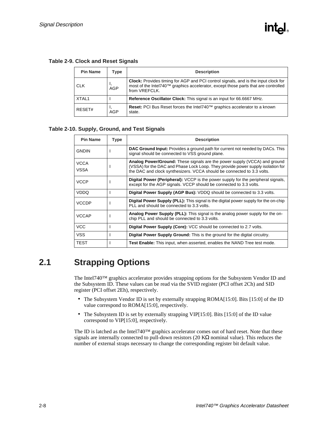#### **Table 2-9. Clock and Reset Signals**

| <b>Pin Name</b> | Type | <b>Description</b>                                                                                                                                                                               |  |
|-----------------|------|--------------------------------------------------------------------------------------------------------------------------------------------------------------------------------------------------|--|
| <b>CLK</b>      | AGP  | <b>Clock:</b> Provides timing for AGP and PCI control signals, and is the input clock for<br>most of the Intel740™ graphics accelerator, except those parts that are controlled<br>from VREFCLK. |  |
| XTAL1           |      | Reference Oscillator Clock: This signal is an input for 66.6667 MHz.                                                                                                                             |  |
| RESET#          | AGP  | <b>Reset:</b> PCI Bus Reset forces the Intel740™ graphics accelerator to a known<br>state.                                                                                                       |  |

#### **Table 2-10. Supply, Ground, and Test Signals**

| <b>Pin Name</b>     | <b>Type</b> | <b>Description</b>                                                                                                                                                                                                                     |  |
|---------------------|-------------|----------------------------------------------------------------------------------------------------------------------------------------------------------------------------------------------------------------------------------------|--|
| <b>GNDIN</b>        |             | <b>DAC Ground Input:</b> Provides a ground path for current not needed by DACs. This<br>signal should be connected to VSS ground plane.                                                                                                |  |
| <b>VCCA</b><br>VSSA |             | Analog Power/Ground: These signals are the power supply (VCCA) and ground<br>(VSSA) for the DAC and Phase Lock Loop. They provide power supply isolation for<br>the DAC and clock synthesizers. VCCA should be connected to 3.3 volts. |  |
| <b>VCCP</b>         |             | <b>Digital Power (Peripheral):</b> VCCP is the power supply for the peripheral signals,<br>except for the AGP signals. VCCP should be connected to 3.3 volts.                                                                          |  |
| <b>VDDQ</b>         |             | Digital Power Supply (AGP Bus): VDDQ should be connected to 3.3 volts.                                                                                                                                                                 |  |
| <b>VCCDP</b>        |             | <b>Digital Power Supply (PLL):</b> This signal is the digital power supply for the on-chip<br>PLL and should be connected to 3.3 volts.                                                                                                |  |
| <b>VCCAP</b>        |             | Analog Power Supply (PLL): This signal is the analog power supply for the on-<br>chip PLL and should be connected to 3.3 volts.                                                                                                        |  |
| <b>VCC</b>          |             | Digital Power Supply (Core): VCC should be connected to 2.7 volts.                                                                                                                                                                     |  |
| <b>VSS</b>          |             | Digital Power Supply Ground: This is the ground for the digital circuitry.                                                                                                                                                             |  |
| TEST                |             | <b>Test Enable:</b> This input, when asserted, enables the NAND Tree test mode.                                                                                                                                                        |  |

#### **2.1 Strapping Options**

The Intel740™ graphics accelerator provides strapping options for the Subsystem Vendor ID and the Subsystem ID. These values can be read via the SVID register (PCI offset 2Ch) and SID register (PCI offset 2Eh), respectively.

- The Subsystem Vendor ID is set by externally strapping ROMA[15:0]. Bits [15:0] of the ID value correspond to ROMA[15:0], respectively.
- The Subsystem ID is set by externally strapping VIP[15:0]. Bits [15:0] of the ID value correspond to VIP[15:0], respectively.

The ID is latched as the Intel740™ graphics accelerator comes out of hard reset. Note that these signals are internally connected to pull-down resistors (20 KΩ nominal value). This reduces the number of external straps necessary to change the corresponding register bit default value.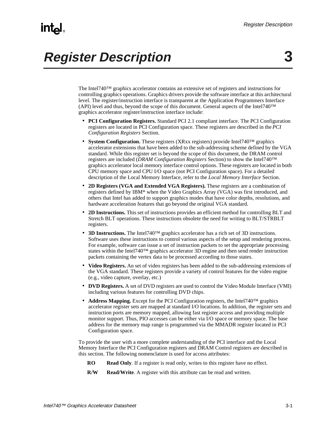### **Register Description 3**

The Intel740™ graphics accelerator contains an extensive set of registers and instructions for controlling graphics operations. Graphics drivers provide the software interface at this architectural level. The register/instruction interface is transparent at the Application Programmers Interface (API) level and thus, beyond the scope of this document. General aspects of the Intel740™ graphics accelerator register/instruction interface include:

- **PCI Configuration Registers.** Standard PCI 2.1 compliant interface. The PCI Configuration registers are located in PCI Configuration space. These registers are described in the *PCI Configuration Registers* Section.
- **System Configuration.** These registers (XRxx registers) provide Intel740™ graphics accelerator extensions that have been added to the sub-addressing scheme defined by the VGA standard. While this register set is beyond the scope of this document, the DRAM control registers are included (*DRAM Configuration Registers* Section) to show the Intel740™ graphics accelerator local memory interface control options. These registers are located in both CPU memory space and CPU I/O space (not PCI Configuration space). For a detailed description of the Local Memory Interface, refer to the *Local Memory Interface* Section.
- **2D Registers (VGA and Extended VGA Registers).** These registers are a combination of registers defined by IBM\* when the Video Graphics Array (VGA) was first introduced, and others that Intel has added to support graphics modes that have color depths, resolutions, and hardware acceleration features that go beyond the original VGA standard.
- **2D Instructions.** This set of instructions provides an efficient method for controlling BLT and Stretch BLT operations. These instructions obsolete the need for writing to BLT/STRBLT registers.
- **3D Instructions.** The Intel740™ graphics accelerator has a rich set of 3D instructions. Software uses these instructions to control various aspects of the setup and rendering process. For example, software can issue a set of instruction packets to set the appropriate processing states within the Intel740™ graphics accelerator 3D engine and then send render instruction packets containing the vertex data to be processed according to those states.
- **Video Registers.** An set of video registers has been added to the sub-addressing extensions of the VGA standard. These registers provide a variety of control features for the video engine (e.g., video capture, overlay, etc.)
- **DVD Registers.** A set of DVD registers are used to control the Video Module Interface (VMI) including various features for controlling DVD chips.
- **Address Mapping.** Except for the PCI Configuration registers, the Intel740<sup>TM</sup> graphics accelerator register sets are mapped at standard I/O locations. In addition, the register sets and instruction ports are memory mapped, allowing fast register access and providing multiple monitor support. Thus, PIO accesses can be either via I/O space or memory space. The base address for the memory map range is programmed via the MMADR register located in PCI Configuration space.

To provide the user with a more complete understanding of the PCI interface and the Local Memory Interface the PCI Configuration registers and DRAM Control registers are described in this section. The following nomenclature is used for access attributes:

- **RO** Read Only. If a register is read only, writes to this register have no effect.
- **R/W Read/Write**. A register with this attribute can be read and written.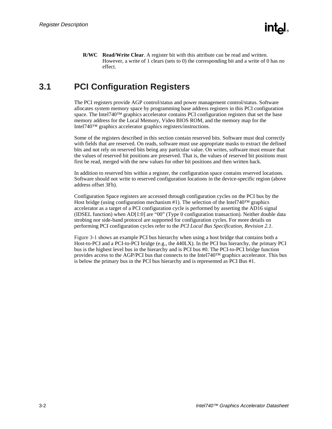**R/WC Read/Write Clear**. A register bit with this attribute can be read and written. However, a write of 1 clears (sets to 0) the corresponding bit and a write of 0 has no effect.

#### **3.1 PCI Configuration Registers**

The PCI registers provide AGP control/status and power management control/status. Software allocates system memory space by programming base address registers in this PCI configuration space. The Intel740™ graphics accelerator contains PCI configuration registers that set the base memory address for the Local Memory, Video BIOS ROM, and the memory map for the Intel740™ graphics accelerator graphics registers/instructions.

Some of the registers described in this section contain reserved bits. Software must deal correctly with fields that are reserved. On reads, software must use appropriate masks to extract the defined bits and not rely on reserved bits being any particular value. On writes, software must ensure that the values of reserved bit positions are preserved. That is, the values of reserved bit positions must first be read, merged with the new values for other bit positions and then written back.

In addition to reserved bits within a register, the configuration space contains reserved locations. Software should not write to reserved configuration locations in the device-specific region (above address offset 3Fh).

Configuration Space registers are accessed through configuration cycles on the PCI bus by the Host bridge (using configuration mechanism #1). The selection of the Intel740<sup>™</sup> graphics accelerator as a target of a PCI configuration cycle is performed by asserting the AD16 signal (IDSEL function) when  $AD[1:0]$  are "00" (Type 0 configuration transaction). Neither double data strobing nor side-band protocol are supported for configuration cycles. For more details on performing PCI configuration cycles refer to the *PCI Local Bus Specification, Revision 2.1*.

Figure 3-1 shows an example PCI bus hierarchy when using a host bridge that contains both a Host-to-PCI and a PCI-to-PCI bridge (e.g., the 440LX). In the PCI bus hierarchy, the primary PCI bus is the highest level bus in the hierarchy and is PCI bus #0. The PCI-to-PCI bridge function provides access to the AGP/PCI bus that connects to the Intel740™ graphics accelerator. This bus is below the primary bus in the PCI bus hierarchy and is represented as PCI Bus #1.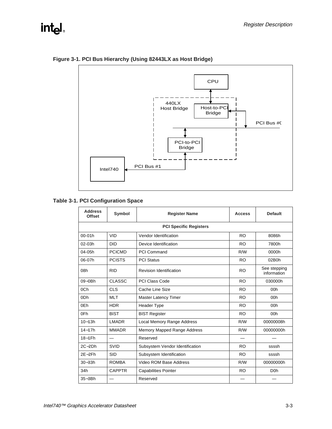

**Figure 3-1. PCI Bus Hierarchy (Using 82443LX as Host Bridge)** 

#### **Table 3-1. PCI Configuration Space**

| <b>Address</b><br><b>Offset</b> | Symbol        | <b>Register Name</b>            | <b>Access</b> | <b>Default</b>              |
|---------------------------------|---------------|---------------------------------|---------------|-----------------------------|
|                                 |               | <b>PCI Specific Registers</b>   |               |                             |
| $00 - 01h$                      | <b>VID</b>    | Vendor Identification           | <b>RO</b>     | 8086h                       |
| 02-03h                          | <b>DID</b>    | Device Identification           | <b>RO</b>     | 7800h                       |
| 04-05h                          | <b>PCICMD</b> | <b>PCI Command</b>              | R/W           | 0000h                       |
| 06-07h                          | <b>PCISTS</b> | <b>PCI Status</b>               | <b>RO</b>     | 02B0h                       |
| 08h                             | <b>RID</b>    | <b>Revision Identification</b>  | <b>RO</b>     | See stepping<br>information |
| $09-0Bh$                        | <b>CLASSC</b> | <b>PCI Class Code</b>           | <b>RO</b>     | 030000h                     |
| 0Ch                             | <b>CLS</b>    | Cache Line Size                 | <b>RO</b>     | 00h                         |
| 0 <sub>Dh</sub>                 | <b>MLT</b>    | Master Latency Timer            | <b>RO</b>     | 00h                         |
| 0Eh                             | <b>HDR</b>    | Header Type                     | <b>RO</b>     | 00h                         |
| 0Fh                             | <b>BIST</b>   | <b>BIST Register</b>            | <b>RO</b>     | 00h                         |
| $10 - 13h$                      | <b>LMADR</b>  | Local Memory Range Address      | R/W           | 00000008h                   |
| $14 - 17h$                      | <b>MMADR</b>  | Memory Mapped Range Address     | R/W           | 00000000h                   |
| $18-1Fh$                        |               | Reserved                        |               |                             |
| $2C-2Dh$                        | SVID          | Subsystem Vendor Identification | <b>RO</b>     | ssssh                       |
| $2E-2Fh$                        | <b>SID</b>    | Subsystem Identification        | <b>RO</b>     | ssssh                       |
| $30 - 33h$                      | <b>ROMBA</b>  | Video ROM Base Address          | R/W           | 00000000h                   |
| 34h                             | <b>CAPPTR</b> | <b>Capabilities Pointer</b>     | <b>RO</b>     | D <sub>0</sub> h            |
| 35-3Bh                          |               | Reserved                        |               |                             |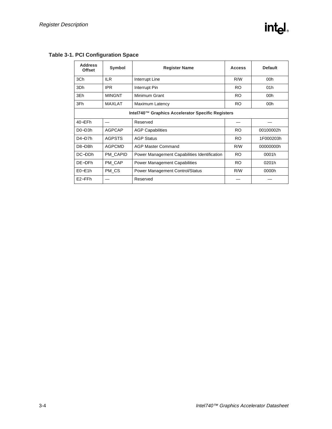#### **Table 3-1. PCI Configuration Space**

| <b>Address</b><br><b>Offset</b> | Symbol                                            | <b>Register Name</b>                         | <b>Access</b> | <b>Default</b>  |  |
|---------------------------------|---------------------------------------------------|----------------------------------------------|---------------|-----------------|--|
| 3Ch                             | ILR.                                              | Interrupt Line                               | R/W           | 00h             |  |
| 3Dh                             | <b>IPR</b>                                        | Interrupt Pin                                | <b>RO</b>     | 01 <sub>h</sub> |  |
| 3Eh                             | <b>MINGNT</b>                                     | Minimum Grant                                | <b>RO</b>     | 00h             |  |
| 3Fh                             | <b>MAXLAT</b>                                     | Maximum Latency                              | <b>RO</b>     | 00h             |  |
|                                 | Intel740™ Graphics Accelerator Specific Registers |                                              |               |                 |  |
| 40-EFh                          |                                                   | Reserved                                     |               |                 |  |
| $D0-D3h$                        | <b>AGPCAP</b>                                     | <b>AGP Capabilities</b>                      | <b>RO</b>     | 00100002h       |  |
| D4-D7h                          | <b>AGPSTS</b>                                     | <b>AGP Status</b>                            | <b>RO</b>     | 1F000203h       |  |
| D8-DBh                          | <b>AGPCMD</b>                                     | <b>AGP Master Command</b>                    | R/W           | 00000000h       |  |
| DC-DDh                          | PM CAPID                                          | Power Management Capabilities Identification | RO.           | 0001h           |  |
| DE-DFh                          | PM CAP                                            | <b>Power Management Capabilities</b>         | RO.           | 0201h           |  |
| $E0 - E1h$                      | PM CS                                             | <b>Power Management Control/Status</b>       | R/W           | 0000h           |  |
| E <sub>2</sub> -FFh             |                                                   | Reserved                                     |               |                 |  |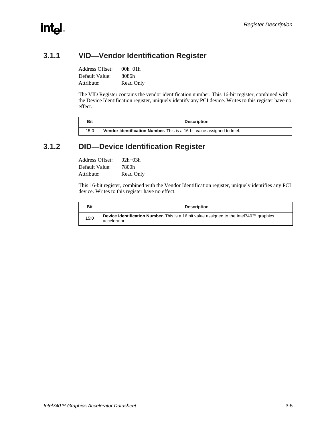### int<sub>el</sub>

#### **3.1.1 VID—Vendor Identification Register**

Address Offset: 00h−01h Default Value: 8086h Attribute: Read Only

The VID Register contains the vendor identification number. This 16-bit register, combined with the Device Identification register, uniquely identify any PCI device. Writes to this register have no effect.

| <b>Bit</b> | <b>Description</b>                                                      |
|------------|-------------------------------------------------------------------------|
| 15:0       | Vendor Identification Number. This is a 16-bit value assigned to Intel. |

#### **3.1.2 DID—Device Identification Register**

Address Offset: 02h−03h Default Value: 7800h Attribute: Read Only

This 16-bit register, combined with the Vendor Identification register, uniquely identifies any PCI device. Writes to this register have no effect.

| Bit  | <b>Description</b>                                                                                                          |
|------|-----------------------------------------------------------------------------------------------------------------------------|
| 15:0 | <b>Device Identification Number.</b> This is a 16 bit value assigned to the Intel740 <sup>TM</sup> graphics<br>accelerator. |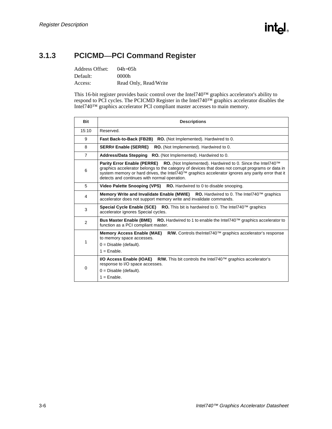#### **3.1.3 PCICMD—PCI Command Register**

| Address Offset: | $04h - 05h$           |
|-----------------|-----------------------|
| Default:        | 0000h                 |
| Access:         | Read Only, Read/Write |

This 16-bit register provides basic control over the Intel740™ graphics accelerator's ability to respond to PCI cycles. The PCICMD Register in the Intel740™ graphics accelerator disables the Intel740™ graphics accelerator PCI compliant master accesses to main memory.

| <b>Bit</b>     | <b>Descriptions</b>                                                                                                                                                                                                                                                                                                                              |
|----------------|--------------------------------------------------------------------------------------------------------------------------------------------------------------------------------------------------------------------------------------------------------------------------------------------------------------------------------------------------|
| 15:10          | Reserved.                                                                                                                                                                                                                                                                                                                                        |
| 9              | Fast Back-to-Back (FB2B)-RO. (Not Implemented). Hardwired to 0.                                                                                                                                                                                                                                                                                  |
| 8              | <b>SERR# Enable (SERRE)</b> - RO. (Not Implemented). Hardwired to 0.                                                                                                                                                                                                                                                                             |
| $\overline{7}$ | Address/Data Stepping-RO. (Not Implemented). Hardwired to 0.                                                                                                                                                                                                                                                                                     |
| 6              | Parity Error Enable (PERRE)—RO. (Not Implemented). Hardwired to 0. Since the Intel740™<br>graphics accelerator belongs to the category of devices that does not corrupt programs or data in<br>system memory or hard drives, the Intel740™ graphics accelerator ignores any parity error that it<br>detects and continues with normal operation. |
| 5              | Video Palette Snooping (VPS) - RO. Hardwired to 0 to disable snooping.                                                                                                                                                                                                                                                                           |
| 4              | Memory Write and Invalidate Enable (MWIE)—RO. Hardwired to 0. The Intel740™ graphics<br>accelerator does not support memory write and invalidate commands.                                                                                                                                                                                       |
| 3              | Special Cycle Enable (SCE) –RO. This bit is hardwired to 0. The Intel740 <sup>™</sup> graphics<br>accelerator ignores Special cycles.                                                                                                                                                                                                            |
| 2              | Bus Master Enable (BME)—RO. Hardwired to 1 to enable the Intel 740 <sup>TM</sup> graphics accelerator to<br>function as a PCI compliant master.                                                                                                                                                                                                  |
| 1              | Memory Access Enable (MAE)—R/W. Controls the Intel740™ graphics accelerator's response<br>to memory space accesses.<br>$0 = Disable$ (default).<br>$1 =$ Fnable.                                                                                                                                                                                 |
| $\Omega$       | I/O Access Enable (IOAE) —R/W. This bit controls the Intel740 <sup>TM</sup> graphics accelerator's<br>response to I/O space accesses.<br>$0 = Disable$ (default).<br>$1 =$ Enable.                                                                                                                                                               |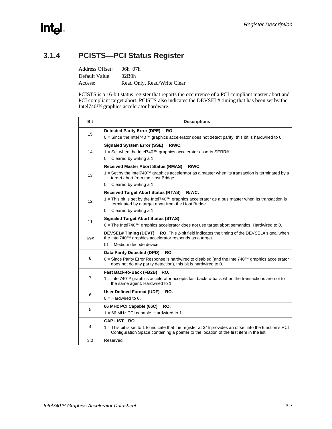#### **3.1.4 PCISTS—PCI Status Register**

| Address Offset: | 06h–07h                     |
|-----------------|-----------------------------|
| Default Value:  | 02B0h                       |
| Access:         | Read Only, Read/Write Clear |

PCISTS is a 16-bit status register that reports the occurrence of a PCI compliant master abort and PCI compliant target abort. PCISTS also indicates the DEVSEL# timing that has been set by the Intel740™ graphics accelerator hardware.

| <b>Bit</b>     | <b>Descriptions</b>                                                                                                                                                                                                                                    |
|----------------|--------------------------------------------------------------------------------------------------------------------------------------------------------------------------------------------------------------------------------------------------------|
| 15             | Detected Parity Error (DPE)-RO.<br>$0 =$ Since the Intel740 <sup>TM</sup> graphics accelerator does not detect parity, this bit is hardwired to 0.                                                                                                     |
| 14             | Signaled System Error (SSE)-R/WC.<br>$1 = Set$ when the Intel740 <sup>TM</sup> graphics accelerator asserts SERR#.<br>$0 =$ Cleared by writing a 1.                                                                                                    |
| 13             | Received Master Abort Status (RMAS)-R/WC.<br>1 = Set by the Intel740™ graphics accelerator as a master when its transaction is terminated by a<br>target abort from the Host Bridge.<br>$0 =$ Cleared by writing a 1.                                  |
| 12             | Received Target Abort Status (RTAS) - R/WC.<br>$1 =$ This bit is set by the Intel740 <sup>TM</sup> graphics accelerator as a bus master when its transaction is<br>terminated by a target abort from the Host Bridge.<br>$0 =$ Cleared by writing a 1. |
| 11             | <b>Signaled Target Abort Status (STAS).</b><br>0 = The Intel740™ graphics accelerator does not use target abort semantics. Hardwired to 0.                                                                                                             |
| 10:9           | DEVSEL# Timing (DEVT)-RO. This 2-bit field indicates the timing of the DEVSEL# signal when<br>the Intel740™ graphics accelerator responds as a target.<br>$01$ = Medium decode device.                                                                 |
| 8              | Data Parity Detected (DPD) -- RO.<br>0 = Since Parity Error Response is hardwired to disabled (and the Intel740™ graphics accelerator<br>does not do any parity detection), this bit is hardwired to 0.                                                |
| $\overline{7}$ | Fast Back-to-Back (FB2B)-RO.<br>$1 =$ Intel740 <sup>TM</sup> graphics accelerator accepts fast back-to-back when the transactions are not to<br>the same agent. Hardwired to 1.                                                                        |
| 6              | User Defined Format (UDF)-RO.<br>$0 =$ Hardwired to 0.                                                                                                                                                                                                 |
| 5              | 66 MHz PCI Capable (66C) - RO.<br>$1 = 66$ MHz PCI capable. Hardwired to 1.                                                                                                                                                                            |
| 4              | <b>CAP LIST-RO.</b><br>1 = This bit is set to 1 to indicate that the register at 34h provides an offset into the function's PCI<br>Configuration Space containing a pointer to the location of the first item in the list.                             |
| 3:0            | Reserved.                                                                                                                                                                                                                                              |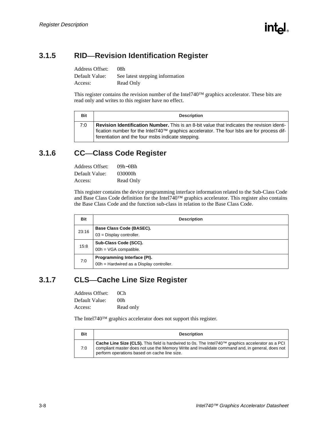#### **3.1.5 RID—Revision Identification Register**

| Address Offset: | 08h                             |
|-----------------|---------------------------------|
| Default Value:  | See latest stepping information |
| Access:         | Read Only                       |

This register contains the revision number of the Intel740™ graphics accelerator. These bits are read only and writes to this register have no effect.

| Bit | <b>Description</b>                                                                                                                                                                                                                            |
|-----|-----------------------------------------------------------------------------------------------------------------------------------------------------------------------------------------------------------------------------------------------|
| 7:0 | Revision Identification Number. This is an 8-bit value that indicates the revision identi-<br>fication number for the Intel740™ graphics accelerator. The four lsbs are for process dif-<br>ferentiation and the four msbs indicate stepping. |

#### **3.1.6 CC—Class Code Register**

| Address Offset: | $09h-0Bh$ |
|-----------------|-----------|
| Default Value:  | 030000h   |
| Access:         | Read Only |

This register contains the device programming interface information related to the Sub-Class Code and Base Class Code definition for the Intel740™ graphics accelerator. This register also contains the Base Class Code and the function sub-class in relation to the Base Class Code.

| <b>Bit</b> | <b>Description</b>                                                      |
|------------|-------------------------------------------------------------------------|
| 23:16      | Base Class Code (BASEC).<br>$03$ = Display controller.                  |
| 15:8       | Sub-Class Code (SCC).<br>$00h = VGA$ compatible.                        |
| 7:0        | Programming Interface (PI).<br>00h = Hardwired as a Display controller. |

#### **3.1.7 CLS—Cache Line Size Register**

| <b>Address Offset:</b> | 0 <sub>Ch</sub> |
|------------------------|-----------------|
| Default Value:         | 00 <sub>h</sub> |
| Access:                | Read only       |

The Intel740™ graphics accelerator does not support this register.

| Bit | <b>Description</b>                                                                                                                                                                                                                                          |
|-----|-------------------------------------------------------------------------------------------------------------------------------------------------------------------------------------------------------------------------------------------------------------|
| 7:0 | <b>Cache Line Size (CLS).</b> This field is hardwired to 0s. The Intel740™ graphics accelerator as a PCI<br>compliant master does not use the Memory Write and Invalidate command and, in general, does not<br>perform operations based on cache line size. |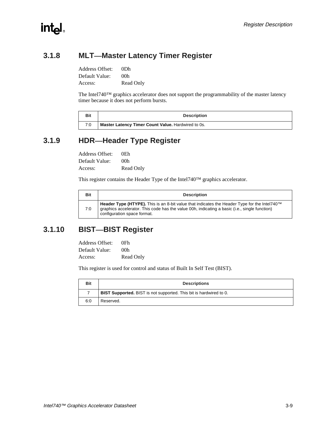#### **3.1.8 MLT—Master Latency Timer Register**

Address Offset: 0Dh Default Value: 00h Access: Read Only

The Intel740™ graphics accelerator does not support the programmability of the master latency timer because it does not perform bursts.

| <b>Bit</b> | <b>Description</b>                                 |
|------------|----------------------------------------------------|
| 7:0        | Master Latency Timer Count Value. Hardwired to 0s. |

#### **3.1.9 HDR—Header Type Register**

Address Offset: 0Eh Default Value: 00h Access: Read Only

This register contains the Header Type of the Intel740™ graphics accelerator.

| <b>Bit</b> | <b>Description</b>                                                                                                                                                                                                                               |
|------------|--------------------------------------------------------------------------------------------------------------------------------------------------------------------------------------------------------------------------------------------------|
| 7:0        | <b>Header Type (HTYPE).</b> This is an 8-bit value that indicates the Header Type for the Intel740 <sup>TM</sup><br>graphics accelerator. This code has the value 00h, indicating a basic (i.e., single function)<br>configuration space format. |

#### **3.1.10 BIST—BIST Register**

Address Offset: 0Fh Default Value: 00h Access: Read Only

This register is used for control and status of Built In Self Test (BIST).

| Bit | <b>Descriptions</b>                                                       |
|-----|---------------------------------------------------------------------------|
|     | <b>BIST Supported.</b> BIST is not supported. This bit is hardwired to 0. |
| 6:0 | Reserved.                                                                 |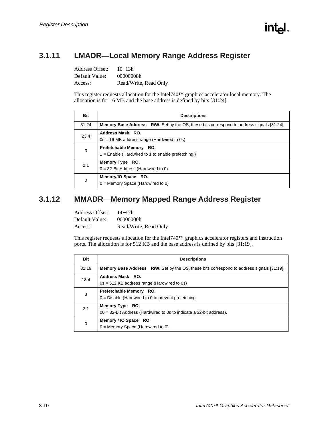#### **3.1.11 LMADR—Local Memory Range Address Register**

Address Offset: 10−13h Default Value: 00000008h Access: Read/Write, Read Only

This register requests allocation for the Intel740™ graphics accelerator local memory. The allocation is for 16 MB and the base address is defined by bits [31:24].

| <b>Bit</b> | <b>Descriptions</b>                                                                              |
|------------|--------------------------------------------------------------------------------------------------|
| 31:24      | <b>Memory Base Address—R/W.</b> Set by the OS, these bits correspond to address signals [31:24]. |
| 23:4       | Address Mask-RO.<br>$0s = 16 \text{ MB}$ address range (Hardwired to 0s)                         |
| 3          | Prefetchable Memory-RO.<br>$1 =$ Enable (Hardwired to 1 to enable prefetching.)                  |
| 2:1        | Memory Type-RO.<br>$0 = 32$ -Bit Address (Hardwired to 0)                                        |
| 0          | Memory/IO Space-RO.<br>$0 =$ Memory Space (Hardwired to 0)                                       |

#### **3.1.12 MMADR—Memory Mapped Range Address Register**

Address Offset: 14−17h Default Value: 00000000h Access: Read/Write, Read Only

This register requests allocation for the Intel740™ graphics accelerator registers and instruction ports. The allocation is for 512 KB and the base address is defined by bits [31:19].

| <b>Bit</b> | <b>Descriptions</b>                                                                              |
|------------|--------------------------------------------------------------------------------------------------|
| 31:19      | <b>Memory Base Address—R/W.</b> Set by the OS, these bits correspond to address signals [31:19]. |
| 18:4       | Address Mask-RO.<br>$0s = 512$ KB address range (Hardwired to 0s)                                |
| 3          | Prefetchable Memory-RO.<br>$0 =$ Disable (Hardwired to 0 to prevent prefetching.                 |
| 2:1        | Memory Type-RO.<br>$00 = 32$ -Bit Address (Hardwired to 0s to indicate a 32-bit address).        |
| 0          | Memory / IO Space-RO.<br>$0 =$ Memory Space (Hardwired to 0).                                    |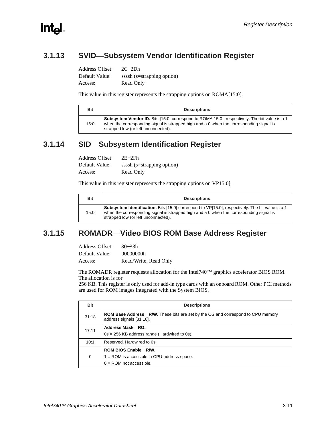# **intel**

## **3.1.13 SVID—Subsystem Vendor Identification Register**

| Address Offset: | $2C-2Dh$                    |
|-----------------|-----------------------------|
| Default Value:  | $sssh$ (s=strapping option) |
| Access:         | Read Only                   |

This value in this register represents the strapping options on ROMA[15:0].

| Bit  | <b>Descriptions</b>                                                                                                                                                                                                             |
|------|---------------------------------------------------------------------------------------------------------------------------------------------------------------------------------------------------------------------------------|
| 15:0 | Subsystem Vendor ID. Bits [15:0] correspond to ROMA[15:0], respectively. The bit value is a 1<br>when the corresponding signal is strapped high and a 0 when the corresponding signal is<br>strapped low (or left unconnected). |

## **3.1.14 SID—Subsystem Identification Register**

| Address Offset: | $2E-2Fh$                    |
|-----------------|-----------------------------|
| Default Value:  | $sssh$ (s=strapping option) |
| Access:         | Read Only                   |

This value in this register represents the strapping options on VP15:0].

| Bit  | <b>Descriptions</b>                                                                                                                                                                                                                |
|------|------------------------------------------------------------------------------------------------------------------------------------------------------------------------------------------------------------------------------------|
| 15:0 | Subsystem Identification. Bits [15:0] correspond to VP[15:0], respectively. The bit value is a 1<br>when the corresponding signal is strapped high and a 0 when the corresponding signal is<br>strapped low (or left unconnected). |

#### **3.1.15 ROMADR—Video BIOS ROM Base Address Register**

| Address Offset: | $30 - 33h$            |
|-----------------|-----------------------|
| Default Value:  | 00000000h             |
| Access:         | Read/Write, Read Only |

The ROMADR register requests allocation for the Intel740™ graphics accelerator BIOS ROM. The allocation is for

256 KB. This register is only used for add-in type cards with an onboard ROM. Other PCI methods are used for ROM images integrated with the System BIOS.

| Bit   | <b>Descriptions</b>                                                                                                |
|-------|--------------------------------------------------------------------------------------------------------------------|
| 31:18 | <b>ROM Base Address—R/W.</b> These bits are set by the OS and correspond to CPU memory<br>address signals [31:18]. |
| 17:11 | Address Mask-RO.<br>$0s = 256$ KB address range (Hardwired to 0s).                                                 |
| 10:1  | Reserved. Hardwired to 0s.                                                                                         |
| 0     | ROM BIOS Enable-R/W.<br>$1 = ROM$ is accessible in CPU address space.<br>$0 = ROM$ not accessible.                 |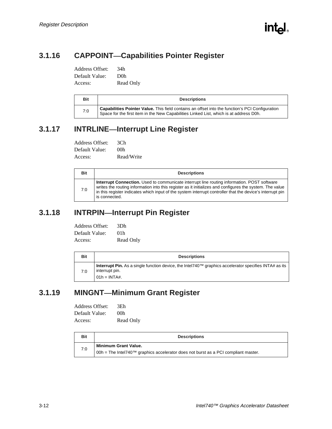#### **3.1.16 CAPPOINT—Capabilities Pointer Register**

Address Offset: 34h Default Value: D0h Access: Read Only

| Bit | <b>Descriptions</b>                                                                                                                                                                              |
|-----|--------------------------------------------------------------------------------------------------------------------------------------------------------------------------------------------------|
| 7:0 | <b>Capabilities Pointer Value.</b> This field contains an offset into the function's PCI Configuration<br>Space for the first item in the New Capabilities Linked List, which is at address D0h. |

## **3.1.17 INTRLINE—Interrupt Line Register**

Address Offset: 3Ch Default Value: 00h Access: Read/Write

| Bit | <b>Descriptions</b>                                                                                                                                                                                                                                                                                                                          |
|-----|----------------------------------------------------------------------------------------------------------------------------------------------------------------------------------------------------------------------------------------------------------------------------------------------------------------------------------------------|
| 7:0 | <b>Interrupt Connection.</b> Used to communicate interrupt line routing information. POST software<br>writes the routing information into this register as it initializes and configures the system. The value<br>in this register indicates which input of the system interrupt controller that the device's interrupt pin<br>is connected. |

#### **3.1.18 INTRPIN—Interrupt Pin Register**

Address Offset: 3Dh Default Value: 01h Access: Read Only

| <b>Bit</b> | <b>Descriptions</b>                                                                                                                        |
|------------|--------------------------------------------------------------------------------------------------------------------------------------------|
| 7:0        | Interrupt Pin. As a single function device, the Intel740™ graphics accelerator specifies INTA# as its<br>interrupt pin.<br>$01h = INTA#$ . |

## **3.1.19 MINGNT—Minimum Grant Register**

Address Offset: 3Eh Default Value: 00h Access: Read Only

| <b>Bit</b> | <b>Descriptions</b>                                                                              |
|------------|--------------------------------------------------------------------------------------------------|
| 7:0        | <b>Minimum Grant Value.</b>                                                                      |
|            | $\frac{1}{2}$ 00h = The Intel740™ graphics accelerator does not burst as a PCI compliant master. |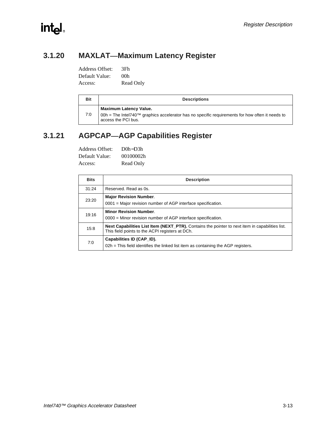# int<sub>el</sub>

## **3.1.20 MAXLAT—Maximum Latency Register**

Address Offset: 3Fh Default Value: 00h Access: Read Only

| <b>Bit</b> | <b>Descriptions</b>                                                                                                                                                    |
|------------|------------------------------------------------------------------------------------------------------------------------------------------------------------------------|
| 7:0        | <b>Maximum Latency Value.</b><br>$00h$ = The Intel740 <sup>TM</sup> graphics accelerator has no specific requirements for how often it needs to<br>access the PCI bus. |

## **3.1.21 AGPCAP—AGP Capabilities Register**

Address Offset: D0h−D3h Default Value: 00100002h Access: Read Only

| <b>Bits</b> | <b>Description</b>                                                                                                                                 |
|-------------|----------------------------------------------------------------------------------------------------------------------------------------------------|
| 31:24       | Reserved, Read as 0s.                                                                                                                              |
| 23:20       | <b>Major Revision Number.</b><br>0001 = Major revision number of AGP interface specification.                                                      |
| 19:16       | <b>Minor Revision Number.</b><br>0000 = Minor revision number of AGP interface specification.                                                      |
| 15:8        | Next Capabilities List Item (NEXT_PTR). Contains the pointer to next item in capabilities list.<br>This field points to the ACPI registers at DCh. |
| 7:0         | Capabilities ID (CAP_ID).<br>$02h$ = This field identifies the linked list item as containing the AGP registers.                                   |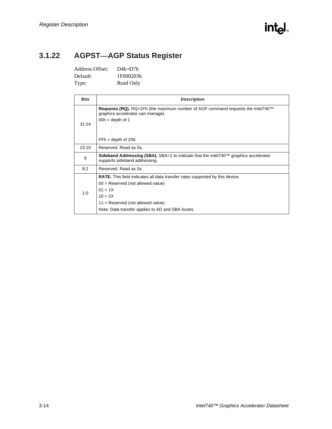## **3.1.22 AGPST—AGP Status Register**

Address Offset: D4h−D7h Default: 1F000203h Type: Read Only

| <b>Bits</b> | <b>Description</b>                                                                                                                                                                                                                              |  |  |
|-------------|-------------------------------------------------------------------------------------------------------------------------------------------------------------------------------------------------------------------------------------------------|--|--|
| 31:24       | <b>Requests (RQ).</b> RQ=1Fh (the maximum number of AGP command requests the Intel740 <sup>TM</sup><br>graphics accelerator can manage).<br>$00h = depth of 1$<br>$FFh = depth of 256.$                                                         |  |  |
| 23:10       | Reserved, Read as 0s.                                                                                                                                                                                                                           |  |  |
| 9           | Sideband Addressing (SBA). SBA=1 to indicate that the Intel740 <sup>™</sup> graphics accelerator<br>supports sideband addressing.                                                                                                               |  |  |
| 8:2         | Reserved, Read as 0s.                                                                                                                                                                                                                           |  |  |
| 1:0         | <b>RATE.</b> This field indicates all data transfer rates supported by this device.<br>$00 =$ Reserved (not allowed value)<br>$01 = 1X$<br>$10 = 2X$<br>$11 =$ Reserved (not allowed value)<br>Note: Data transfer applies to AD and SBA buses. |  |  |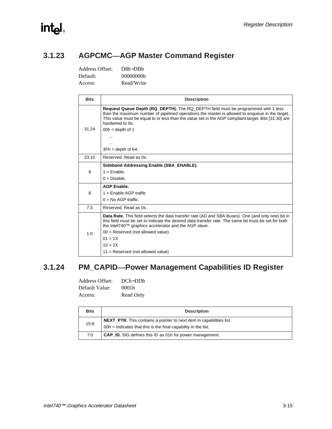# intel.

## **3.1.23 AGPCMC—AGP Master Command Register**

Address Offset: D8h−DBh Default: 00000000h Access: Read/Write

| <b>Bits</b> | <b>Description</b>                                                                                                                                                                                                                                                                                                      |  |
|-------------|-------------------------------------------------------------------------------------------------------------------------------------------------------------------------------------------------------------------------------------------------------------------------------------------------------------------------|--|
|             | <b>Request Queue Depth (RQ_DEPTH).</b> The RQ_DEPTH field must be programmed with 1 less<br>than the maximum number of pipelined operations the master is allowed to enqueue in the target.<br>This value must be equal to or less than the value set in the AGP compliant target. Bits [31:30] are<br>hardwired to 0s. |  |
| 31:24       | $00h = depth of 1$                                                                                                                                                                                                                                                                                                      |  |
|             | $\ddotsc$                                                                                                                                                                                                                                                                                                               |  |
|             | .                                                                                                                                                                                                                                                                                                                       |  |
|             | $3Fh = depth of 64.$                                                                                                                                                                                                                                                                                                    |  |
| 23:10       | Reserved, Read as 0s.                                                                                                                                                                                                                                                                                                   |  |
|             | Sideband Addressing Enable (SBA_ENABLE).                                                                                                                                                                                                                                                                                |  |
| 9           | $1 =$ Enable.                                                                                                                                                                                                                                                                                                           |  |
|             | $0 = Disable$ .                                                                                                                                                                                                                                                                                                         |  |
|             | <b>AGP Enable.</b>                                                                                                                                                                                                                                                                                                      |  |
| 8           | $1 =$ Enable AGP traffic                                                                                                                                                                                                                                                                                                |  |
|             | $0 = No$ AGP traffic.                                                                                                                                                                                                                                                                                                   |  |
| 7:3         | Reserved, Read as 0s.                                                                                                                                                                                                                                                                                                   |  |
| 1:0         | Data Rate. This field selects the data transfer rate (AD and SBA Buses). One (and only one) bit in<br>this field must be set to indicate the desired data transfer rate. The same bit must be set for both<br>the Intel740™ graphics accelerator and the AGP slave.                                                     |  |
|             | $00 =$ Reserved (not allowed value)                                                                                                                                                                                                                                                                                     |  |
|             | $01 = 1X$                                                                                                                                                                                                                                                                                                               |  |
|             | $10 = 2X$                                                                                                                                                                                                                                                                                                               |  |
|             | $11 =$ Reserved (not allowed value)                                                                                                                                                                                                                                                                                     |  |

## **3.1.24 PM\_CAPID—Power Management Capabilities ID Register**

Address Offset: DCh−DDh Default Value: 0001h Access: Read Only

| <b>Bits</b> | <b>Description</b>                                                                                                                              |  |  |
|-------------|-------------------------------------------------------------------------------------------------------------------------------------------------|--|--|
| 15:8        | <b>NEXT PTR.</b> This contains a pointer to next item in capabilities list.<br>$00h$ = Indicates that this is the final capability in the list. |  |  |
| 7:0         | <b>CAP_ID.</b> SIG defines this ID as 01h for power management.                                                                                 |  |  |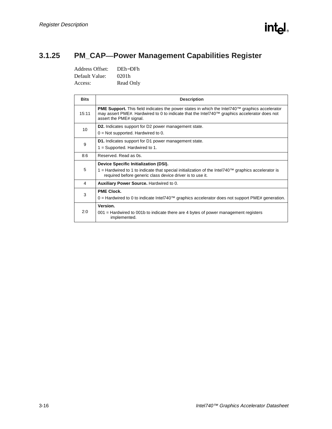## **3.1.25 PM\_CAP—Power Management Capabilities Register**

Address Offset: DEh−DFh Default Value: 0201h Access: Read Only

| <b>Bits</b>     | <b>Description</b>                                                                                                                                                                                                                                                |  |  |  |
|-----------------|-------------------------------------------------------------------------------------------------------------------------------------------------------------------------------------------------------------------------------------------------------------------|--|--|--|
| 15:11           | <b>PME Support.</b> This field indicates the power states in which the Intel740 <sup><math>\text{TM}</math></sup> graphics accelerator<br>may assert PME#. Hardwired to 0 to indicate that the Intel740™ graphics accelerator does not<br>assert the PME# signal. |  |  |  |
| 10 <sup>1</sup> | <b>D2.</b> Indicates support for D2 power management state.                                                                                                                                                                                                       |  |  |  |
|                 | $0 = Not supported. Hardwired to 0.$                                                                                                                                                                                                                              |  |  |  |
| 9               | <b>D1.</b> Indicates support for D1 power management state.                                                                                                                                                                                                       |  |  |  |
|                 | $1 =$ Supported. Hardwired to 1.                                                                                                                                                                                                                                  |  |  |  |
| 8:6             | Reserved, Read as 0s.                                                                                                                                                                                                                                             |  |  |  |
|                 | Device Specific Initialization (DSI).                                                                                                                                                                                                                             |  |  |  |
| 5               | $1 =$ Hardwired to 1 to indicate that special initialization of the Intel740 <sup>TM</sup> graphics accelerator is<br>required before generic class device driver is to use it.                                                                                   |  |  |  |
| 4               | Auxiliary Power Source. Hardwired to 0.                                                                                                                                                                                                                           |  |  |  |
| 3               | <b>PMF Clock</b>                                                                                                                                                                                                                                                  |  |  |  |
|                 | $0 =$ Hardwired to 0 to indicate Intel740 <sup>TM</sup> graphics accelerator does not support PME# generation.                                                                                                                                                    |  |  |  |
| 2:0             | Version.                                                                                                                                                                                                                                                          |  |  |  |
|                 | $001$ = Hardwired to 001b to indicate there are 4 bytes of power management registers<br>implemented.                                                                                                                                                             |  |  |  |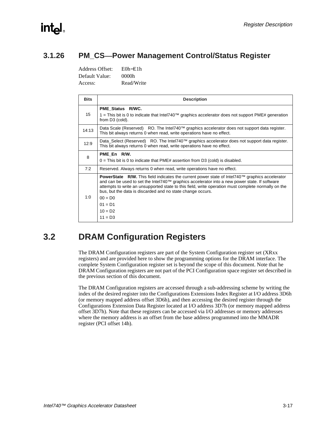# **int<sub>e</sub>l**

## **3.1.26 PM\_CS—Power Management Control/Status Register**

| Address Offset: | $E0h-E1h$  |
|-----------------|------------|
| Default Value:  | 0000h      |
| Access:         | Read/Write |

| <b>Bits</b> | <b>Description</b>                                                                                                                                                                                                                                                                                                                                                                                                                           |  |  |  |  |
|-------------|----------------------------------------------------------------------------------------------------------------------------------------------------------------------------------------------------------------------------------------------------------------------------------------------------------------------------------------------------------------------------------------------------------------------------------------------|--|--|--|--|
| 15          | PME Status-R/WC.<br>1 = This bit is 0 to indicate that Intel740™ graphics accelerator does not support PME# generation<br>from D <sub>3</sub> (cold).                                                                                                                                                                                                                                                                                        |  |  |  |  |
| 14:13       | Data Scale (Reserved)—RO. The Intel740™ graphics accelerator does not support data register.<br>This bit always returns 0 when read, write operations have no effect.                                                                                                                                                                                                                                                                        |  |  |  |  |
| 12:9        | Data_Select (Reserved)—RO. The Intel740™ graphics accelerator does not support data register.<br>This bit always returns 0 when read, write operations have no effect.                                                                                                                                                                                                                                                                       |  |  |  |  |
| 8           | PME En-R/W.<br>$0 =$ This bit is 0 to indicate that PME# assertion from D3 (cold) is disabled.                                                                                                                                                                                                                                                                                                                                               |  |  |  |  |
| 7:2         | Reserved. Always returns 0 when read, write operations have no effect.                                                                                                                                                                                                                                                                                                                                                                       |  |  |  |  |
| 1:0         | <b>PowerState—R/W.</b> This field indicates the current power state of Intel740 <sup>TM</sup> graphics accelerator<br>and can be used to set the Intel740™ graphics accelerator into a new power state. If software<br>attempts to write an unsupported state to this field, write operation must complete normally on the<br>bus, but the data is discarded and no state change occurs.<br>$00 = D0$<br>$01 = D1$<br>$10 = D2$<br>$11 = D3$ |  |  |  |  |

## **3.2 DRAM Configuration Registers**

The DRAM Configuration registers are part of the System Configuration register set (XRxx registers) and are provided here to show the programming options for the DRAM interface. The complete System Configuration register set is beyond the scope of this document. Note that he DRAM Configuration registers are not part of the PCI Configuration space register set described in the previous section of this document.

The DRAM Configuration registers are accessed through a sub-addressing scheme by writing the index of the desired register into the Configurations Extensions Index Register at I/O address 3D6h (or memory mapped address offset 3D6h), and then accessing the desired register through the Configurations Extension Data Register located at I/O address 3D7h (or memory mapped address offset 3D7h). Note that these registers can be accessed via I/O addresses or memory addresses where the memory address is an offset from the base address programmed into the MMADR register (PCI offset 14h).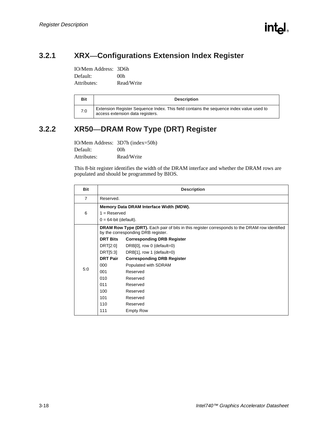## **3.2.1 XRX—Configurations Extension Index Register**

IO/Mem Address: 3D6h Default: 00h Attributes: Read/Write

| Bit | <b>Description</b>                                                                                                          |
|-----|-----------------------------------------------------------------------------------------------------------------------------|
| 7:0 | Extension Register Sequence Index. This field contains the sequence index value used to<br>access extension data registers. |

## **3.2.2 XR50—DRAM Row Type (DRT) Register**

IO/Mem Address: 3D7h (index=50h) Default: 00h Attributes: Read/Write

This 8-bit register identifies the width of the DRAM interface and whether the DRAM rows are populated and should be programmed by BIOS.

| <b>Bit</b>     | <b>Description</b>                      |                                                                                                                                             |  |  |
|----------------|-----------------------------------------|---------------------------------------------------------------------------------------------------------------------------------------------|--|--|
| $\overline{7}$ | Reserved.                               |                                                                                                                                             |  |  |
|                | Memory Data DRAM Interface Width (MDW). |                                                                                                                                             |  |  |
| 6              | $1 =$ Reserved                          |                                                                                                                                             |  |  |
|                | $0 = 64$ -bit (default).                |                                                                                                                                             |  |  |
|                |                                         | <b>DRAM Row Type (DRT).</b> Each pair of bits in this register corresponds to the DRAM row identified<br>by the corresponding DRB register. |  |  |
|                | <b>DRT Bits</b>                         | <b>Corresponding DRB Register</b>                                                                                                           |  |  |
|                | DRT[2:0]                                | DRB $[0]$ , row 0 (default=0)                                                                                                               |  |  |
|                | DRT[5:3]                                | DRB[1], row 1 (default=0)                                                                                                                   |  |  |
|                | <b>DRT Pair</b>                         | <b>Corresponding DRB Register</b>                                                                                                           |  |  |
|                | 000                                     | Populated with SDRAM                                                                                                                        |  |  |
| 5:0            | 001                                     | Reserved                                                                                                                                    |  |  |
|                | 010                                     | Reserved                                                                                                                                    |  |  |
|                | 011                                     | Reserved                                                                                                                                    |  |  |
|                | 100                                     | Reserved                                                                                                                                    |  |  |
|                | 101                                     | Reserved                                                                                                                                    |  |  |
|                | 110                                     | Reserved                                                                                                                                    |  |  |
|                | 111                                     | <b>Empty Row</b>                                                                                                                            |  |  |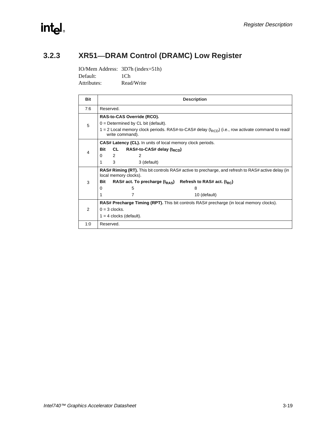# intel

## **3.2.3 XR51—DRAM Control (DRAMC) Low Register**

IO/Mem Address: 3D7h (index=51h) Default: 1Ch Attributes: Read/Write

| <b>Bit</b>     | <b>Description</b>                                                                                                                                                                                      |                 |                                                                   |                                 |
|----------------|---------------------------------------------------------------------------------------------------------------------------------------------------------------------------------------------------------|-----------------|-------------------------------------------------------------------|---------------------------------|
| 7:6            | Reserved.                                                                                                                                                                                               |                 |                                                                   |                                 |
| 5              | RAS-to-CAS Override (RCO).<br>$0 =$ Determined by CL bit (default).<br>1 = 2 Local memory clock periods. RAS#-to-CAS# delay (t <sub>RCD</sub> ) (i.e., row activate command to read/<br>write command). |                 |                                                                   |                                 |
|                |                                                                                                                                                                                                         |                 | <b>CAS# Latency (CL).</b> In units of local memory clock periods. |                                 |
| $\overline{4}$ | Bit                                                                                                                                                                                                     | CL.             | RAS#-to-CAS# delay $(t_{\text{RCD}})$                             |                                 |
|                | 0                                                                                                                                                                                                       | 2               | 2                                                                 |                                 |
|                | 1                                                                                                                                                                                                       | 3               | 3 (default)                                                       |                                 |
|                | RAS# Riming (RT). This bit controls RAS# active to precharge, and refresh to RAS# active delay (in<br>local memory clocks).                                                                             |                 |                                                                   |                                 |
| 3              | Bit                                                                                                                                                                                                     |                 | RAS# act. To precharge $(t_{RAS})$                                | Refresh to RAS# act. $(t_{RC})$ |
|                | 0                                                                                                                                                                                                       |                 | 5                                                                 | 8                               |
|                |                                                                                                                                                                                                         |                 |                                                                   | 10 (default)                    |
|                | RAS# Precharge Timing (RPT). This bit controls RAS# precharge (in local memory clocks).                                                                                                                 |                 |                                                                   |                                 |
| 2              |                                                                                                                                                                                                         | $0 = 3$ clocks. |                                                                   |                                 |
|                |                                                                                                                                                                                                         |                 | $1 = 4$ clocks (default).                                         |                                 |
| 1:0            | Reserved.                                                                                                                                                                                               |                 |                                                                   |                                 |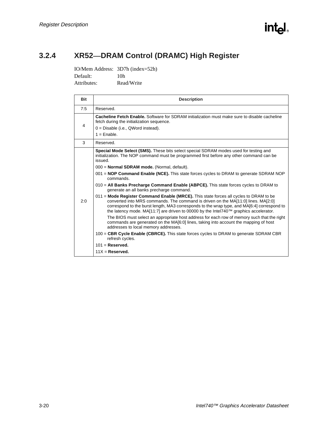## **3.2.4 XR52—DRAM Control (DRAMC) High Register**

IO/Mem Address: 3D7h (index=52h)

Default: 10h

Attributes: Read/Write

| <b>Bit</b> | <b>Description</b>                                                                                                                                                                                                                                                                                                                                                                                                                                                                                                                                                                                                                                                                                                                                                                                                                                                                                                                                                                                                                                                                                                                                                                       |  |  |  |
|------------|------------------------------------------------------------------------------------------------------------------------------------------------------------------------------------------------------------------------------------------------------------------------------------------------------------------------------------------------------------------------------------------------------------------------------------------------------------------------------------------------------------------------------------------------------------------------------------------------------------------------------------------------------------------------------------------------------------------------------------------------------------------------------------------------------------------------------------------------------------------------------------------------------------------------------------------------------------------------------------------------------------------------------------------------------------------------------------------------------------------------------------------------------------------------------------------|--|--|--|
| 7:5        | Reserved.                                                                                                                                                                                                                                                                                                                                                                                                                                                                                                                                                                                                                                                                                                                                                                                                                                                                                                                                                                                                                                                                                                                                                                                |  |  |  |
| 4          | Cacheline Fetch Enable. Software for SDRAM initialization must make sure to disable cacheline<br>fetch during the initialization sequence.<br>$0 =$ Disable (i.e., QWord instead).<br>$1 =$ Enable.                                                                                                                                                                                                                                                                                                                                                                                                                                                                                                                                                                                                                                                                                                                                                                                                                                                                                                                                                                                      |  |  |  |
| 3          | Reserved.                                                                                                                                                                                                                                                                                                                                                                                                                                                                                                                                                                                                                                                                                                                                                                                                                                                                                                                                                                                                                                                                                                                                                                                |  |  |  |
| 2:0        | Special Mode Select (SMS). These bits select special SDRAM modes used for testing and<br>initialization. The NOP command must be programmed first before any other command can be<br>issued.<br>000 = Normal SDRAM mode. (Normal, default).<br>001 = NOP Command Enable (NCE). This state forces cycles to DRAM to generate SDRAM NOP<br>commands.<br>$010 =$ All Banks Precharge Command Enable (ABPCE). This state forces cycles to DRAM to<br>generate an all banks precharge command.<br>011 = Mode Register Command Enable (MRCE). This state forces all cycles to DRAM to be<br>converted into MRS commands. The command is driven on the MA[11:0] lines. MA[2:0]<br>correspond to the burst length, MA3 corresponds to the wrap type, and MA[6:4] correspond to<br>the latency mode. MA[11:7] are driven to 00000 by the Intel740™ graphics accelerator.<br>The BIOS must select an appropriate host address for each row of memory such that the right<br>commands are generated on the MA[6:0] lines, taking into account the mapping of host<br>addresses to local memory addresses.<br>100 = CBR Cycle Enable (CBRCE). This state forces cycles to DRAM to generate SDRAM CBR |  |  |  |
|            | refresh cycles.<br>$101$ = Reserved.                                                                                                                                                                                                                                                                                                                                                                                                                                                                                                                                                                                                                                                                                                                                                                                                                                                                                                                                                                                                                                                                                                                                                     |  |  |  |
|            | $11X =$ Reserved.                                                                                                                                                                                                                                                                                                                                                                                                                                                                                                                                                                                                                                                                                                                                                                                                                                                                                                                                                                                                                                                                                                                                                                        |  |  |  |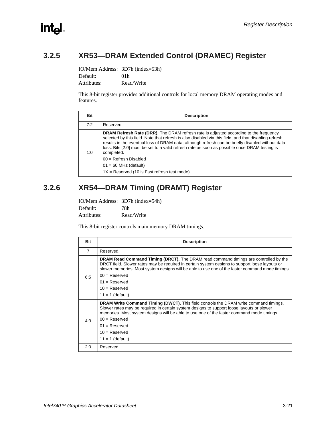# int<sub>el</sub>

## **3.2.5 XR53—DRAM Extended Control (DRAMEC) Register**

IO/Mem Address: 3D7h (index=53h) Default: 01h Attributes: Read/Write

This 8-bit register provides additional controls for local memory DRAM operating modes and features.

| <b>Bit</b> | <b>Description</b>                                                                                                                                                                                                                                                                                                                                                                                                                                                                                                               |  |  |
|------------|----------------------------------------------------------------------------------------------------------------------------------------------------------------------------------------------------------------------------------------------------------------------------------------------------------------------------------------------------------------------------------------------------------------------------------------------------------------------------------------------------------------------------------|--|--|
| 7:2        | Reserved                                                                                                                                                                                                                                                                                                                                                                                                                                                                                                                         |  |  |
| 1:0        | <b>DRAM Refresh Rate (DRR).</b> The DRAM refresh rate is adjusted according to the frequency<br>selected by this field. Note that refresh is also disabled via this field, and that disabling refresh<br>results in the eventual loss of DRAM data; although refresh can be briefly disabled without data<br>loss. Bits [2:0] must be set to a valid refresh rate as soon as possible once DRAM testing is<br>completed.<br>$00 =$ Refresh Disabled<br>$01 = 60$ MHz (default)<br>$1X =$ Reserved (10 is Fast refresh test mode) |  |  |

#### **3.2.6 XR54—DRAM Timing (DRAMT) Register**

|             | IO/Mem Address: $3D7h$ (index=54h) |
|-------------|------------------------------------|
| Default:    | 78h                                |
| Attributes: | Read/Write                         |

This 8-bit register controls main memory DRAM timings.

| <b>Bit</b>     | <b>Description</b>                                                                                                                                                                                                                                                                                                                              |  |  |  |  |
|----------------|-------------------------------------------------------------------------------------------------------------------------------------------------------------------------------------------------------------------------------------------------------------------------------------------------------------------------------------------------|--|--|--|--|
| $\overline{7}$ | Reserved.                                                                                                                                                                                                                                                                                                                                       |  |  |  |  |
| 6.5            | <b>DRAM Read Command Timing (DRCT).</b> The DRAM read command timings are controlled by the<br>DRCT field. Slower rates may be required in certain system designs to support loose layouts or<br>slower memories. Most system designs will be able to use one of the faster command mode timings.                                               |  |  |  |  |
|                | $00 =$ Reserved                                                                                                                                                                                                                                                                                                                                 |  |  |  |  |
|                | $01 =$ Reserved                                                                                                                                                                                                                                                                                                                                 |  |  |  |  |
|                | $10 =$ Reserved                                                                                                                                                                                                                                                                                                                                 |  |  |  |  |
|                | $11 = 1$ (default)                                                                                                                                                                                                                                                                                                                              |  |  |  |  |
| 4:3            | <b>DRAM Write Command Timing (DWCT).</b> This field controls the DRAM write command timings.<br>Slower rates may be required in certain system designs to support loose layouts or slower<br>memories. Most system designs will be able to use one of the faster command mode timings.<br>$00 =$ Reserved<br>$01 =$ Reserved<br>$10 =$ Reserved |  |  |  |  |
|                | $11 = 1$ (default)                                                                                                                                                                                                                                                                                                                              |  |  |  |  |
| 2:0            | Reserved.                                                                                                                                                                                                                                                                                                                                       |  |  |  |  |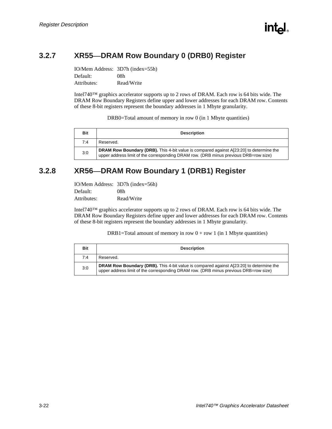## **3.2.7 XR55—DRAM Row Boundary 0 (DRB0) Register**

IO/Mem Address: 3D7h (index=55h) Default: 08h Attributes: Read/Write

Intel740™ graphics accelerator supports up to 2 rows of DRAM. Each row is 64 bits wide. The DRAM Row Boundary Registers define upper and lower addresses for each DRAM row. Contents of these 8-bit registers represent the boundary addresses in 1 Mbyte granularity.

DRB0=Total amount of memory in row 0 (in 1 Mbyte quantities)

| Bit | <b>Description</b>                                                                                                                                                                     |
|-----|----------------------------------------------------------------------------------------------------------------------------------------------------------------------------------------|
| 7:4 | Reserved.                                                                                                                                                                              |
| 3:0 | <b>DRAM Row Boundary (DRB).</b> This 4-bit value is compared against A[23:20] to determine the<br>upper address limit of the corresponding DRAM row. (DRB minus previous DRB=row size) |

#### **3.2.8 XR56—DRAM Row Boundary 1 (DRB1) Register**

IO/Mem Address: 3D7h (index=56h) Default: 08h Attributes: Read/Write

Intel740™ graphics accelerator supports up to 2 rows of DRAM. Each row is 64 bits wide. The DRAM Row Boundary Registers define upper and lower addresses for each DRAM row. Contents of these 8-bit registers represent the boundary addresses in 1 Mbyte granularity.

DRB1=Total amount of memory in row  $0 + row 1$  (in 1 Mbyte quantities)

| Bit | <b>Description</b>                                                                                                                                                                     |
|-----|----------------------------------------------------------------------------------------------------------------------------------------------------------------------------------------|
| 7:4 | Reserved.                                                                                                                                                                              |
| 3:0 | <b>DRAM Row Boundary (DRB).</b> This 4-bit value is compared against A[23:20] to determine the<br>upper address limit of the corresponding DRAM row. (DRB minus previous DRB=row size) |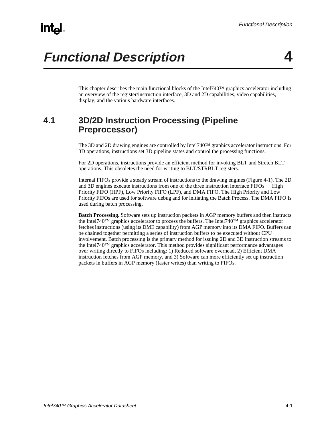# **Functional Description 4**

This chapter describes the main functional blocks of the Intel740<sup>TM</sup> graphics accelerator including an overview of the register/instruction interface, 3D and 2D capabilities, video capabilities, display, and the various hardware interfaces.

## **4.1 3D/2D Instruction Processing (Pipeline Preprocessor)**

The 3D and 2D drawing engines are controlled by Intel740™ graphics accelerator instructions. For 3D operations, instructions set 3D pipeline states and control the processing functions.

For 2D operations, instructions provide an efficient method for invoking BLT and Stretch BLT operations. This obsoletes the need for writing to BLT/STRBLT registers.

Internal FIFOs provide a steady stream of instructions to the drawing engines (Figure 4-1). The 2D and 3D engines execute instructions from one of the three instruction interface FIFOs — High Priority FIFO (HPF), Low Priority FIFO (LPF), and DMA FIFO. The High Priority and Low Priority FIFOs are used for software debug and for initiating the Batch Process. The DMA FIFO Is used during batch processing.

**Batch Processing.** Software sets up instruction packets in AGP memory buffers and then instructs the Intel740<sup>™</sup> graphics accelerator to process the buffers. The Intel740<sup>™</sup> graphics accelerator fetches instructions (using its DME capability) from AGP memory into its DMA FIFO. Buffers can be chained together permitting a series of instruction buffers to be executed without CPU involvement. Batch processing is the primary method for issuing 2D and 3D instruction streams to the Intel740™ graphics accelerator. This method provides significant performance advantages over writing directly to FIFOs including: 1) Reduced software overhead, 2) Efficient DMA instruction fetches from AGP memory, and 3) Software can more efficiently set up instruction packets in buffers in AGP memory (faster writes) than writing to FIFOs.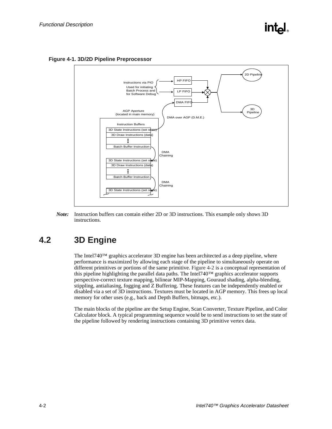nte



**Figure 4-1. 3D/2D Pipeline Preprocessor** 

*Note:* Instruction buffers can contain either 2D or 3D instructions. This example only shows 3D instructions.

## **4.2 3D Engine**

The Intel740™ graphics accelerator 3D engine has been architected as a deep pipeline, where performance is maximized by allowing each stage of the pipeline to simultaneously operate on different primitives or portions of the same primitive. Figure 4-2 is a conceptual representation of this pipeline highlighting the parallel data paths. The Intel740™ graphics accelerator supports perspective-correct texture mapping, bilinear MIP-Mapping, Gouraud shading, alpha-blending, stippling, antialiasing, fogging and Z Buffering. These features can be independently enabled or disabled via a set of 3D instructions. Textures must be located in AGP memory. This frees up local memory for other uses (e.g., back and Depth Buffers, bitmaps, etc.).

The main blocks of the pipeline are the Setup Engine, Scan Converter, Texture Pipeline, and Color Calculator block. A typical programming sequence would be to send instructions to set the state of the pipeline followed by rendering instructions containing 3D primitive vertex data.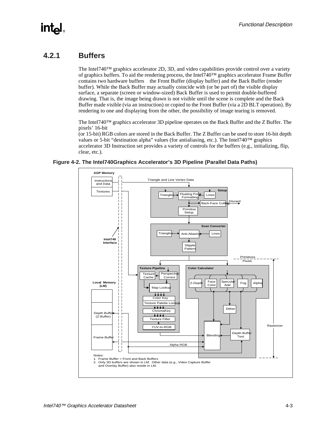# **int**

#### **4.2.1 Buffers**

The Intel740™ graphics accelerator 2D, 3D, and video capabilities provide control over a variety of graphics buffers. To aid the rendering process, the Intel740™ graphics accelerator Frame Buffer contains two hardware buffers—the Front Buffer (display buffer) and the Back Buffer (render buffer). While the Back Buffer may actually coincide with (or be part of) the visible display surface, a separate (screen or window-sized) Back Buffer is used to permit double-buffered drawing. That is, the image being drawn is not visible until the scene is complete and the Back Buffer made visible (via an instruction) or copied to the Front Buffer (via a 2D BLT operation). By rendering to one and displaying from the other, the possibility of image tearing is removed.

The Intel740™ graphics accelerator 3D pipeline operates on the Back Buffer and the Z Buffer. The pixels' 16-bit

(or 15-bit) RGB colors are stored in the Back Buffer. The Z Buffer can be used to store 16-bit depth values or 5-bit "destination alpha" values (for antialiasing, etc.). The Intel740™ graphics accelerator 3D Instruction set provides a variety of controls for the buffers (e.g., initializing, flip, clear, etc.).



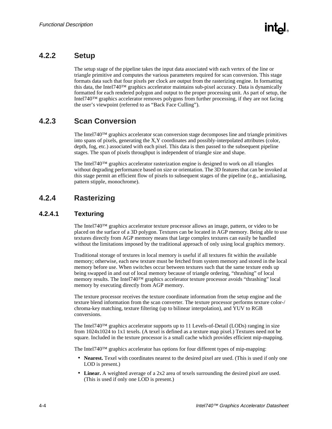#### **4.2.2 Setup**

The setup stage of the pipeline takes the input data associated with each vertex of the line or triangle primitive and computes the various parameters required for scan conversion. This stage formats data such that four pixels per clock are output from the rasterizing engine. In formatting this data, the Intel740™ graphics accelerator maintains sub-pixel accuracy. Data is dynamically formatted for each rendered polygon and output to the proper processing unit. As part of setup, the Intel740™ graphics accelerator removes polygons from further processing, if they are not facing the user's viewpoint (referred to as "Back Face Culling").

## **4.2.3 Scan Conversion**

The Intel740™ graphics accelerator scan conversion stage decomposes line and triangle primitives into spans of pixels, generating the X,Y coordinates and possibly-interpolated attributes (color, depth, fog, etc.) associated with each pixel. This data is then passed to the subsequent pipeline stages. The span of pixels throughput is independent of triangle size and shape.

The Intel740™ graphics accelerator rasterization engine is designed to work on all triangles without degrading performance based on size or orientation. The 3D features that can be invoked at this stage permit an efficient flow of pixels to subsequent stages of the pipeline (e.g., antialiasing, pattern stipple, monochrome).

#### **4.2.4 Rasterizing**

#### **4.2.4.1 Texturing**

The Intel740 $^{TM}$  graphics accelerator texture processor allows an image, pattern, or video to be placed on the surface of a 3D polygon. Textures can be located in AGP memory. Being able to use textures directly from AGP memory means that large complex textures can easily be handled without the limitations imposed by the traditional approach of only using local graphics memory.

Traditional storage of textures in local memory is useful if all textures fit within the available memory; otherwise, each new texture must be fetched from system memory and stored in the local memory before use. When switches occur between textures such that the same texture ends up being swapped in and out of local memory because of triangle ordering, "thrashing" of local memory results. The Intel740™ graphics accelerator texture processor avoids "thrashing" local memory by executing directly from AGP memory.

The texture processor receives the texture coordinate information from the setup engine and the texture blend information from the scan converter. The texture processor performs texture color-/ chroma-key matching, texture filtering (up to bilinear interpolation), and YUV to RGB conversions.

The Intel740™ graphics accelerator supports up to 11 Levels-of-Detail (LODs) ranging in size from 1024x1024 to 1x1 texels. (A texel is defined as a texture map pixel.) Textures need not be square. Included in the texture processor is a small cache which provides efficient mip-mapping.

The Intel740™ graphics accelerator has options for four different types of mip-mapping:

- **Nearest.** Texel with coordinates nearest to the desired pixel are used. (This is used if only one LOD is present.)
- Linear. A weighted average of a 2x2 area of texels surrounding the desired pixel are used. (This is used if only one LOD is present.)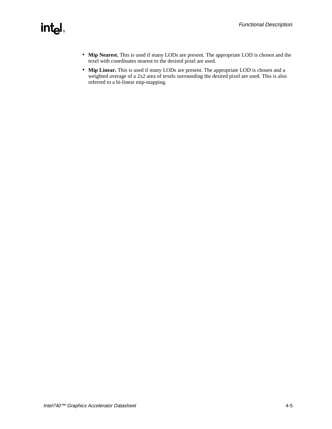# intel

- **Mip Nearest.** This is used if many LODs are present. The appropriate LOD is chosen and the texel with coordinates nearest to the desired pixel are used.
- **Mip Linear.** This is used if many LODs are present. The appropriate LOD is chosen and a weighted average of a 2x2 area of texels surrounding the desired pixel are used. This is also referred to a bi-linear mip-mapping.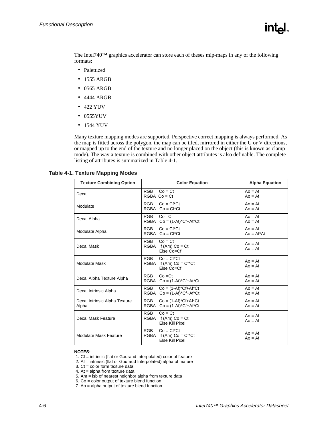The Intel740™ graphics accelerator can store each of theses mip-maps in any of the following formats:

- Palettized
- 1555 ARGB
- 0565 ARGB
- 4444 ARGB
- 422 YUV
- 0555YUV
- 1544 YUV

Many texture mapping modes are supported. Perspective correct mapping is always performed. As the map is fitted across the polygon, the map can be tiled, mirrored in either the U or V directions, or mapped up to the end of the texture and no longer placed on the object (this is known as clamp mode). The way a texture is combined with other object attributes is also definable. The complete listing of attributes is summarized in Table 4-1.

#### **Table 4-1. Texture Mapping Modes**

| <b>Texture Combining Option</b>        | <b>Color Equation</b>                                                          | <b>Alpha Equation</b>         |  |
|----------------------------------------|--------------------------------------------------------------------------------|-------------------------------|--|
| Decal                                  | $Co = Ct$<br>RGB<br>$RGBA$ $Co = Ct$                                           | $A_0 = Af$<br>$Ao = Af$       |  |
| Modulate                               | $Co = Cf* Ct$<br>RGB<br>$RGBA$ $Co = Cf^*Ct$                                   | $A_0 = Af$<br>$Ao = At$       |  |
| Decal Alpha                            | $Co = Ct$<br>RGB<br>$RGBA$ $Co = (1-At)^*Cf+At^*Ct$                            | $A_0 = Af$<br>$A_0 = Af$      |  |
| Modulate Alpha                         | RGB<br>$Co = Cf* Ct$<br>$RGBA$ $Co = Cf^*Ct$                                   | $Ao = Af$<br>$Ao = Af^*At$    |  |
| Decal Mask                             | RGB<br>$Co = Ct$<br>$RGBA$ If $(Am)$ Co = Ct<br>Else Co=Cf                     | $A_0 = Af$<br>$A_0 = Af$      |  |
| <b>Modulate Mask</b>                   | $Co = Cf* Ct$<br>RGB<br>$RGBA$ If $(Am)$ Co = Cf <sup>*</sup> Ct<br>Else Co=Cf | $A_0 = Af$<br>$A_0 = Af$      |  |
| Decal Alpha Texture Alpha              | <b>RGB</b><br>$Co = Ct$<br>$RGBA$ $Co = (1-At)^*Cf+At^*Ct$                     | $A_0 = Af$<br>$A_0 = At$      |  |
| Decal Intrinsic Alpha                  | RGB<br>$Co = (1-Af)^{\ast}Cf + Af^{\ast}Ct$<br>$RGBA$ Co = $(1-Af)^*Cf+Af^*Cf$ | $A \Omega = Af$<br>$A_0 = Af$ |  |
| Decal Intrinsic Alpha Texture<br>Alpha | RGB<br>$Co = (1-Af)^{\ast}Cf + Af^{\ast}Ct$<br>$RGBA$ Co = $(1-Af)^*Cf+Af^*Cf$ | $A_0 = Af$<br>$Ao = At$       |  |
| Decal Mask Feature                     | $Co = Ct$<br>RGB<br>RGBA<br>If $(Am) Co = Ct$<br>Else Kill Pixel               | $A_0 = Af$<br>$A_0 = Af$      |  |
| Modulate Mask Feature                  | RGB<br>$Co = Cf* Ct$<br>RGBA<br>If $(Am) Co = Cf* Ct$<br>Else Kill Pixel       | $A_0 = Af$<br>$A_0 = Af$      |  |

#### **NOTES:**

- 1. Cf = intrinsic (flat or Gouraud Interpolated) color of feature
- 2. Af = intrinsic (flat or Gouraud Interpolated) alpha of feature

3.  $Ct =$  color form texture data

- 4. At = alpha from texture data 5. Am = lsb of nearest neighbor alpha from texture data
- $6. Co = color output of texture blend function$
- 7. Ao = alpha output of texture blend function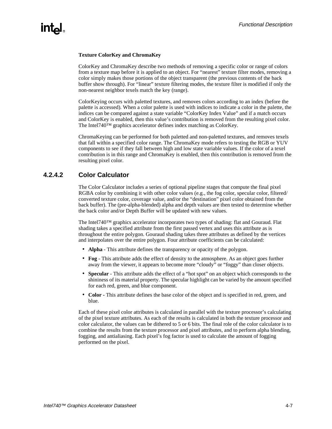#### **Texture ColorKey and ChromaKey**

ColorKey and ChromaKey describe two methods of removing a specific color or range of colors from a texture map before it is applied to an object. For "nearest" texture filter modes, removing a color simply makes those portions of the object transparent (the previous contents of the back buffer show through). For "linear" texture filtering modes, the texture filter is modified if only the non-nearest neighbor texels match the key (range).

ColorKeying occurs with paletted textures, and removes colors according to an index (before the palette is accessed). When a color palette is used with indices to indicate a color in the palette, the indices can be compared against a state variable "ColorKey Index Value" and if a match occurs and ColorKey is enabled, then this value's contribution is removed from the resulting pixel color. The Intel740™ graphics accelerator defines index matching as ColorKey.

ChromaKeying can be performed for both paletted and non-paletted textures, and removes texels that fall within a specified color range. The ChromaKey mode refers to testing the RGB or YUV components to see if they fall between high and low state variable values. If the color of a texel contribution is in this range and ChromaKey is enabled, then this contribution is removed from the resulting pixel color.

#### **4.2.4.2 Color Calculator**

The Color Calculator includes a series of optional pipeline stages that compute the final pixel RGBA color by combining it with other color values (e.g., the fog color, specular color, filtered/ converted texture color, coverage value, and/or the "destination" pixel color obtained from the back buffer). The (pre-alpha-blended) alpha and depth values are then tested to determine whether the back color and/or Depth Buffer will be updated with new values.

The Intel740™ graphics accelerator incorporates two types of shading: flat and Gouraud. Flat shading takes a specified attribute from the first passed vertex and uses this attribute as is throughout the entire polygon. Gouraud shading takes three attributes as defined by the vertices and interpolates over the entire polygon. Four attribute coefficients can be calculated:

- **Alpha** This attribute defines the transparency or opacity of the polygon.
- **Fog** This attribute adds the effect of density to the atmosphere. As an object goes further away from the viewer, it appears to become more "cloudy" or "foggy" than closer objects.
- **Specular** This attribute adds the effect of a "hot spot" on an object which corresponds to the shininess of its material property. The specular highlight can be varied by the amount specified for each red, green, and blue component.
- **Color** This attribute defines the base color of the object and is specified in red, green, and blue.

Each of these pixel color attributes is calculated in parallel with the texture processor's calculating of the pixel texture attributes. As each of the results is calculated in both the texture processor and color calculator, the values can be dithered to 5 or 6 bits. The final role of the color calculator is to combine the results from the texture processor and pixel attributes, and to perform alpha blending, fogging, and antialiasing. Each pixel's fog factor is used to calculate the amount of fogging performed on the pixel.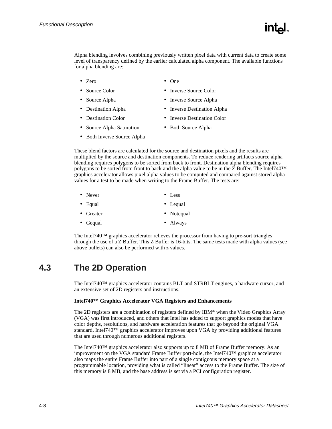Alpha blending involves combining previously written pixel data with current data to create some level of transparency defined by the earlier calculated alpha component. The available functions for alpha blending are:

- Zero One
- Source Color Inverse Source Color
- Source Alpha Inverse Source Alpha
- 
- 
- Source Alpha Saturation Both Source Alpha
- Both Inverse Source Alpha
- 
- 
- 
- Destination Alpha Inverse Destination Alpha
- Destination Color Inverse Destination Color
	-

These blend factors are calculated for the source and destination pixels and the results are multiplied by the source and destination components. To reduce rendering artifacts source alpha blending requires polygons to be sorted from back to front. Destination alpha blending requires polygons to be sorted from front to back and the alpha value to be in the Z Buffer. The Intel740™ graphics accelerator allows pixel alpha values to be computed and compared against stored alpha values for a test to be made when writing to the Frame Buffer. The tests are:

- Never Less
- Equal Lequal
- Greater Notegual
- Gequal Always

The Intel740™ graphics accelerator relieves the processor from having to pre-sort triangles through the use of a Z Buffer. This Z Buffer is 16-bits. The same tests made with alpha values (see above bullets) can also be performed with z values.

## **4.3 The 2D Operation**

The Intel740™ graphics accelerator contains BLT and STRBLT engines, a hardware cursor, and an extensive set of 2D registers and instructions.

#### **Intel740™ Graphics Accelerator VGA Registers and Enhancements**

The 2D registers are a combination of registers defined by IBM\* when the Video Graphics Array (VGA) was first introduced, and others that Intel has added to support graphics modes that have color depths, resolutions, and hardware acceleration features that go beyond the original VGA standard. Intel740™ graphics accelerator improves upon VGA by providing additional features that are used through numerous additional registers.

The Intel740™ graphics accelerator also supports up to 8 MB of Frame Buffer memory. As an improvement on the VGA standard Frame Buffer port-hole, the Intel740™ graphics accelerator also maps the entire Frame Buffer into part of a single contiguous memory space at a programmable location, providing what is called "linear" access to the Frame Buffer. The size of this memory is 8 MB, and the base address is set via a PCI configuration register.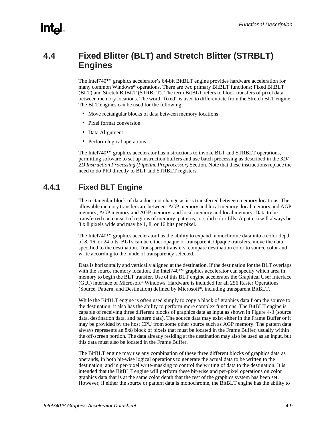# int<sub>e</sub>l

## **4.4 Fixed Blitter (BLT) and Stretch Blitter (STRBLT) Engines**

The Intel740™ graphics accelerator's 64-bit BitBLT engine provides hardware acceleration for many common Windows\* operations. There are two primary BitBLT functions: Fixed BitBLT (BLT) and Stretch BitBLT (STRBLT). The term BitBLT refers to block transfers of pixel data between memory locations. The word "fixed" is used to differentiate from the Stretch BLT engine. The BLT engines can be used for the following:

- Move rectangular blocks of data between memory locations
- Pixel format conversion
- Data Alignment
- Perform logical operations

The Intel $740^{TM}$  graphics accelerator has instructions to invoke BLT and STRBLT operations, permitting software to set up instruction buffers and use batch processing as described in the *3D/ 2D Instruction Processing (Pipeline Preprocessor)* Section. Note that these instructions replace the need to do PIO directly to BLT and STRBLT registers.

#### **4.4.1 Fixed BLT Engine**

The rectangular block of data does not change as it is transferred between memory locations. The allowable memory transfers are between: AGP memory and local memory, local memory and AGP memory, AGP memory and AGP memory, and local memory and local memory. Data to be transferred can consist of regions of memory, patterns, or solid color fills. A pattern will always be 8 x 8 pixels wide and may be 1, 8, or 16 bits per pixel.

The Intel740 $^{\text{TM}}$  graphics accelerator has the ability to expand monochrome data into a color depth of 8, 16, or 24 bits. BLTs can be either opaque or transparent. Opaque transfers, move the data specified to the destination. Transparent transfers, compare destination color to source color and write according to the mode of transparency selected.

Data is horizontally and vertically aligned at the destination. If the destination for the BLT overlaps with the source memory location, the Intel740™ graphics accelerator can specify which area in memory to begin the BLT transfer. Use of this BLT engine accelerates the Graphical User Interface (GUI) interface of Microsoft\* Windows. Hardware is included for all 256 Raster Operations (Source, Pattern, and Destination) defined by Microsoft\*, including transparent BitBLT.

While the BitBLT engine is often used simply to copy a block of graphics data from the source to the destination, it also has the ability to perform more complex functions. The BitBLT engine is capable of receiving three different blocks of graphics data as input as shown in Figure 4-3 (source data, destination data, and pattern data). The source data may exist either in the Frame Buffer or it may be provided by the host CPU from some other source such as AGP memory. The pattern data always represents an 8x8 block of pixels that must be located in the Frame Buffer, usually within the off-screen portion. The data already residing at the destination may also be used as an input, but this data must also be located in the Frame Buffer.

The BitBLT engine may use any combination of these three different blocks of graphics data as operands, in both bit-wise logical operations to generate the actual data to be written to the destination, and in per-pixel write-masking to control the writing of data to the destination. It is intended that the BitBLT engine will perform these bit-wise and per-pixel operations on color graphics data that is at the same color depth that the rest of the graphics system has been set. However, if either the source or pattern data is monochrome, the BitBLT engine has the ability to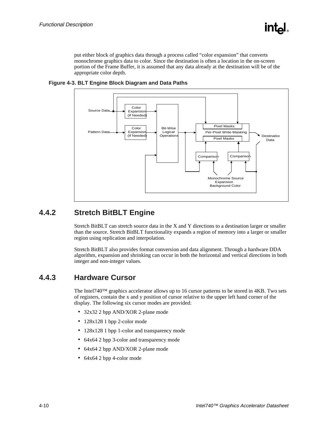ınt

put either block of graphics data through a process called "color expansion" that converts monochrome graphics data to color. Since the destination is often a location in the on-screen portion of the Frame Buffer, it is assumed that any data already at the destination will be of the appropriate color depth.





#### **4.4.2 Stretch BitBLT Engine**

Stretch BitBLT can stretch source data in the X and Y directions to a destination larger or smaller than the source. Stretch BitBLT functionality expands a region of memory into a larger or smaller region using replication and interpolation.

Stretch BitBLT also provides format conversion and data alignment. Through a hardware DDA algorithm, expansion and shrinking can occur in both the horizontal and vertical directions in both integer and non-integer values.

#### **4.4.3 Hardware Cursor**

The Intel740™ graphics accelerator allows up to 16 cursor patterns to be stored in 4KB. Two sets of registers, contain the x and y position of cursor relative to the upper left hand corner of the display. The following six cursor modes are provided:

- 32x32 2 bpp AND/XOR 2-plane mode
- 128x128 1 bpp 2-color mode
- 128x128 1 bpp 1-color and transparency mode
- 64x64 2 bpp 3-color and transparency mode
- 64x64 2 bpp AND/XOR 2-plane mode
- 64x64 2 bpp 4-color mode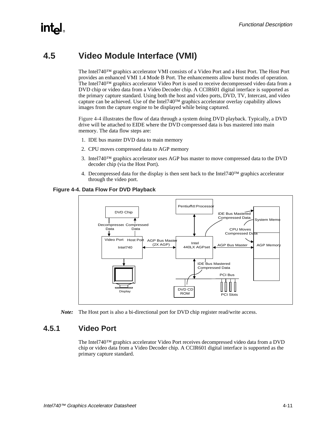# **4.5 Video Module Interface (VMI)**

int<sub>e</sub>

The Intel740™ graphics accelerator VMI consists of a Video Port and a Host Port. The Host Port provides an enhanced VMI 1.4 Mode B Port. The enhancements allow burst modes of operation. The Intel740™ graphics accelerator Video Port is used to receive decompressed video data from a DVD chip or video data from a Video Decoder chip. A CCIR601 digital interface is supported as the primary capture standard. Using both the host and video ports, DVD, TV, Intercast, and video capture can be achieved. Use of the Intel740™ graphics accelerator overlay capability allows images from the capture engine to be displayed while being captured.

Figure 4-4 illustrates the flow of data through a system doing DVD playback. Typically, a DVD drive will be attached to EIDE where the DVD compressed data is bus mastered into main memory. The data flow steps are:

- 1. IDE bus master DVD data to main memory
- 2. CPU moves compressed data to AGP memory
- 3. Intel740™ graphics accelerator uses AGP bus master to move compressed data to the DVD decoder chip (via the Host Port).
- 4. Decompressed data for the display is then sent back to the Intel740<sup>TM</sup> graphics accelerator through the video port.

**Figure 4-4. Data Flow For DVD Playback** 





#### **4.5.1 Video Port**

The Intel740™ graphics accelerator Video Port receives decompressed video data from a DVD chip or video data from a Video Decoder chip. A CCIR601 digital interface is supported as the primary capture standard.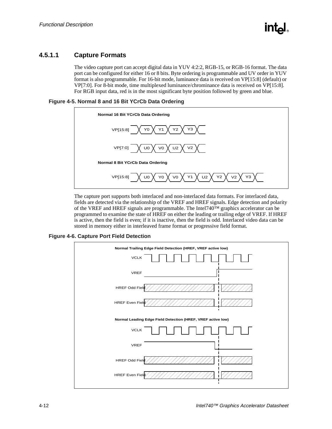#### **4.5.1.1 Capture Formats**

The video capture port can accept digital data in YUV 4:2:2, RGB-15, or RGB-16 format. The data port can be configured for either 16 or 8 bits. Byte ordering is programmable and UV order in YUV format is also programmable. For 16-bit mode, luminance data is received on VP[15:8] (default) or VP[7:0]. For 8-bit mode, time multiplexed luminance/chrominance data is received on VP[15:8]. For RGB input data, red is in the most significant byte position followed by green and blue.

**Figure 4-5. Normal 8 and 16 Bit YCrCb Data Ordering**



The capture port supports both interlaced and non-interlaced data formats. For interlaced data, fields are detected via the relationship of the VREF and HREF signals. Edge detection and polarity of the VREF and HREF signals are programmable. The Intel740™ graphics accelerator can be programmed to examine the state of HREF on either the leading or trailing edge of VREF. If HREF is active, then the field is even; if it is inactive, then the field is odd. Interlaced video data can be stored in memory either in interleaved frame format or progressive field format.

**Figure 4-6. Capture Port Field Detection**

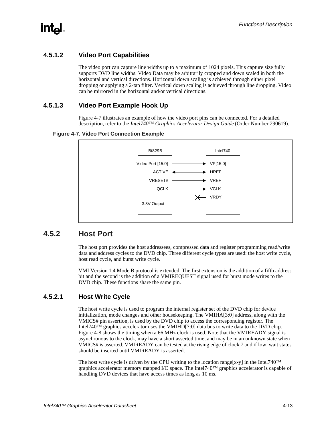#### **4.5.1.2 Video Port Capabilities**

int<u>م</u>

The video port can capture line widths up to a maximum of 1024 pixels. This capture size fully supports DVD line widths. Video Data may be arbitrarily cropped and down scaled in both the horizontal and vertical directions. Horizontal down scaling is achieved through either pixel dropping or applying a 2-tap filter. Vertical down scaling is achieved through line dropping. Video can be mirrored in the horizontal and/or vertical directions.

#### **4.5.1.3 Video Port Example Hook Up**

Figure 4-7 illustrates an example of how the video port pins can be connected. For a detailed description, refer to the *Intel740™ Graphics Accelerator Design Guide* (Order Number 290619).

#### **Figure 4-7. Video Port Connection Example**



#### **4.5.2 Host Port**

The host port provides the host addressees, compressed data and register programming read/write data and address cycles to the DVD chip. Three different cycle types are used: the host write cycle, host read cycle, and burst write cycle.

VMI Version 1.4 Mode B protocol is extended. The first extension is the addition of a fifth address bit and the second is the addition of a VMIREQUEST signal used for burst mode writes to the DVD chip. These functions share the same pin.

#### **4.5.2.1 Host Write Cycle**

The host write cycle is used to program the internal register set of the DVD chip for device initialization, mode changes and other housekeeping. The VMIHA[3:0] address, along with the VMICS# pin assertion, is used by the DVD chip to access the corresponding register. The Intel740™ graphics accelerator uses the VMIHD[7:0] data bus to write data to the DVD chip. Figure 4-8 shows the timing when a 66 MHz clock is used. Note that the VMIREADY signal is asynchronous to the clock, may have a short asserted time, and may be in an unknown state when VMICS# is asserted. VMIREADY can be tested at the rising edge of clock 7 and if low, wait states should be inserted until VMIREADY is asserted.

The host write cycle is driven by the CPU writing to the location range[x-y] in the Intel740<sup>™</sup> graphics accelerator memory mapped I/O space. The Intel740™ graphics accelerator is capable of handling DVD devices that have access times as long as 10 ms.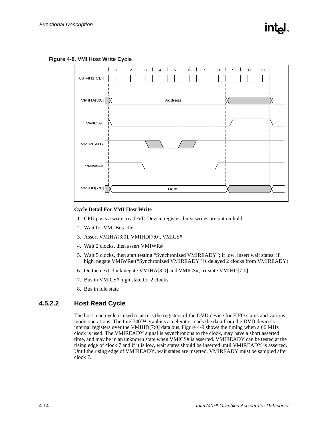**Figure 4-8. VMI Host Write Cycle**



#### **Cycle Detail For VMI Host Write**

- 1. CPU posts a write to a DVD Device register; burst writes are put on hold
- 2. Wait for VMI Bus idle
- 3. Assert VMIHA[3:0], VMIHD[7:0], VMICS#
- 4. Wait 2 clocks, then assert VMIWR#
- 5. Wait 5 clocks, then start testing "Synchronized VMIREADY"; if low, insert wait states; if high, negate VMIWR# ("Synchronized VMIREADY" is delayed 2 clocks from VMIREADY)
- 6. On the next clock negate VMIHA[3:0] and VMICS#; tri-state VMIHD[7:0]
- 7. Bus in VMICS# high state for 2 clocks
- 8. Bus in idle state

#### **4.5.2.2 Host Read Cycle**

The host read cycle is used to access the registers of the DVD device for FIFO status and various mode operations. The Intel740™ graphics accelerator reads the data from the DVD device's internal registers over the VMIHD[7:0] data bus. Figure 4-9 shows the timing when a 66 MHz clock is used. The VMIREADY signal is asynchronous to the clock, may have a short asserted time, and may be in an unknown state when VMICS# is asserted. VMIREADY can be tested at the rising edge of clock 7 and if it is low, wait states should be inserted until VMIREADY is asserted. Until the rising edge of VMIREADY, wait states are inserted. VMIREADY must be sampled after clock 7.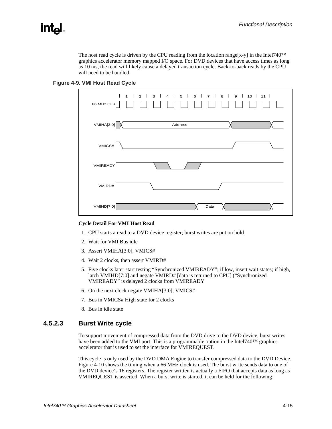The host read cycle is driven by the CPU reading from the location range[x-y] in the Intel740 $\text{TM}$ graphics accelerator memory mapped I/O space. For DVD devices that have access times as long as 10 ms, the read will likely cause a delayed transaction cycle. Back-to-back reads by the CPU will need to be handled.

**Figure 4-9. VMI Host Read Cycle**

| 66 MHz CLK | 1 1 1 2 1 3 1 4 1 5 1 6 1 7 1 8 1 9 1 10 1 11 1 |      |
|------------|-------------------------------------------------|------|
| VMIHA[3:0] | Address                                         |      |
| VMICS#     |                                                 |      |
| VMIREADY   |                                                 |      |
| VMIRD#     |                                                 |      |
| VMIHD[7:0] |                                                 | Data |

#### **Cycle Detail For VMI Host Read**

- 1. CPU starts a read to a DVD device register; burst writes are put on hold
- 2. Wait for VMI Bus idle
- 3. Assert VMIHA[3:0], VMICS#
- 4. Wait 2 clocks, then assert VMIRD#
- 5. Five clocks later start testing "Synchronized VMIREADY"; if low, insert wait states; if high, latch VMIHD[7:0] and negate VMIRD# [data is returned to CPU] ("Synchronized VMIREADY" is delayed 2 clocks from VMIREADY
- 6. On the next clock negate VMIHA[3:0], VMICS#
- 7. Bus in VMICS# High state for 2 clocks
- 8. Bus in idle state

#### **4.5.2.3 Burst Write cycle**

To support movement of compressed data from the DVD drive to the DVD device, burst writes have been added to the VMI port. This is a programmable option in the Intel $740<sup>TM</sup>$  graphics accelerator that is used to set the interface for VMIREQUEST.

This cycle is only used by the DVD DMA Engine to transfer compressed data to the DVD Device. Figure 4-10 shows the timing when a 66 MHz clock is used. The burst write sends data to one of the DVD device's 16 registers. The register written is actually a FIFO that accepts data as long as VMIREQUEST is asserted. When a burst write is started, it can be held for the following: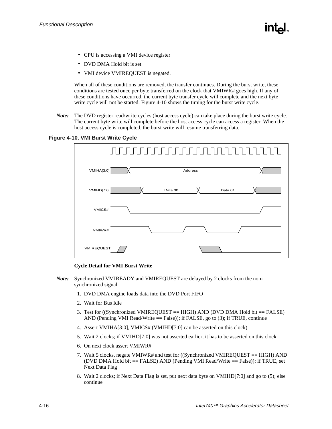- CPU is accessing a VMI device register
- DVD DMA Hold bit is set
- VMI device VMIREQUEST is negated.

When all of these conditions are removed, the transfer continues. During the burst write, these conditions are tested once per byte transferred on the clock that VMIWR# goes high. If any of these conditions have occurred, the current byte transfer cycle will complete and the next byte write cycle will not be started. Figure 4-10 shows the timing for the burst write cycle.

*Note:* The DVD register read/write cycles (host access cycle) can take place during the burst write cycle. The current byte write will complete before the host access cycle can access a register. When the host access cycle is completed, the burst write will resume transferring data.

**Figure 4-10. VMI Burst Write Cycle**

| <b>VMIHA[3:0]</b> | Address            |
|-------------------|--------------------|
| <b>VMIHD[7:0]</b> | Data 00<br>Data 01 |
| VMICS#            |                    |
| VMIWR#            |                    |
| VMIREQUEST        |                    |

#### **Cycle Detail for VMI Burst Write**

- *Note:* Synchronized VMIREADY and VMIREQUEST are delayed by 2 clocks from the nonsynchronized signal.
	- 1. DVD DMA engine loads data into the DVD Port FIFO
	- 2. Wait for Bus Idle
	- 3. Test for  $((Synchronized VMIREQUEST = HIGH)$  AND  $(DVD DMA Hold bit = FALSE)$ AND (Pending VMI Read/Write == False)); if FALSE, go to (3); if TRUE, continue
	- 4. Assert VMIHA[3:0], VMICS# (VMIHD[7:0] can be asserted on this clock)
	- 5. Wait 2 clocks; if VMIHD[7:0] was not asserted earlier, it has to be asserted on this clock
	- 6. On next clock assert VMIWR#
	- 7. Wait 5 clocks, negate VMIWR# and test for  $((Synchronized VMIREQUEST = HIGH) AND$ (DVD DMA Hold bit  $==$  FALSE) AND (Pending VMI Read/Write  $==$  False)); if TRUE, set Next Data Flag
	- 8. Wait 2 clocks; if Next Data Flag is set, put next data byte on VMIHD[7:0] and go to (5); else continue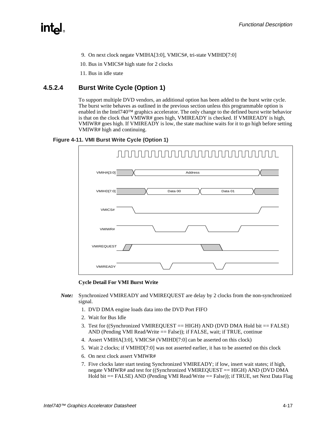int

- 9. On next clock negate VMIHA[3:0], VMICS#, tri-state VMIHD[7:0]
- 10. Bus in VMICS# high state for 2 clocks
- 11. Bus in idle state

#### **4.5.2.4 Burst Write Cycle (Option 1)**

To support multiple DVD vendors, an additional option has been added to the burst write cycle. The burst write behaves as outlined in the previous section unless this programmable option is enabled in the Intel740™ graphics accelerator. The only change to the defined burst write behavior is that on the clock that VMIWR# goes high, VMIREADY is checked. If VMIREADY is high, VMIWR# goes high. If VMIREADY is low, the state machine waits for it to go high before setting VMIWR# high and continuing.

#### **Figure 4-11. VMI Burst Write Cycle (Option 1)**



#### **Cycle Detail For VMI Burst Write**

- *Note:* Synchronized VMIREADY and VMIREQUEST are delay by 2 clocks from the non-synchronized signal.
	- 1. DVD DMA engine loads data into the DVD Port FIFO
	- 2. Wait for Bus Idle
	- 3. Test for ((Synchronized VMIREQUEST  $==$  HIGH) AND (DVD DMA Hold bit  $==$  FALSE) AND (Pending VMI Read/Write  $==$  False)); if FALSE, wait; if TRUE, continue
	- 4. Assert VMIHA[3:0], VMICS# (VMIHD[7:0] can be asserted on this clock)
	- 5. Wait 2 clocks; if VMIHD[7:0] was not asserted earlier, it has to be asserted on this clock
	- 6. On next clock assert VMIWR#
	- 7. Five clocks later start testing Synchronized VMIREADY; if low, insert wait states; if high, negate VMIWR# and test for ((Synchronized VMIREQUEST == HIGH) AND (DVD DMA Hold bit == FALSE) AND (Pending VMI Read/Write == False)); if TRUE, set Next Data Flag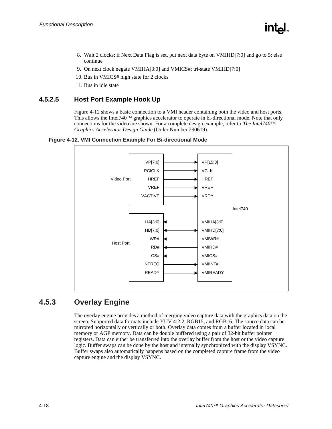- 8. Wait 2 clocks; if Next Data Flag is set, put next data byte on VMIHD[7:0] and go to 5; else continue
- 9. On next clock negate VMIHA[3:0] and VMICS#; tri-state VMIHD[7:0]
- 10. Bus in VMICS# high state for 2 clocks
- 11. Bus in idle state

#### **4.5.2.5 Host Port Example Hook Up**

Figure 4-12 shows a basic connection to a VMI header containing both the video and host ports. This allows the Intel740™ graphics accelerator to operate in bi-directional mode. Note that only connections for the video are shown. For a complete design example, refer to *The Intel740™ Graphics Accelerator Design Guide* (Order Number 290619).

#### **Figure 4-12. VMI Connection Example For Bi-directional Mode**



#### **4.5.3 Overlay Engine**

The overlay engine provides a method of merging video capture data with the graphics data on the screen. Supported data formats include YUV 4:2:2, RGB15, and RGB16. The source data can be mirrored horizontally or vertically or both. Overlay data comes from a buffer located in local memory or AGP memory. Data can be double buffered using a pair of 32-bit buffer pointer registers. Data can either be transferred into the overlay buffer from the host or the video capture logic. Buffer swaps can be done by the host and internally synchronized with the display VSYNC. Buffer swaps also automatically happens based on the completed capture frame from the video capture engine and the display VSYNC.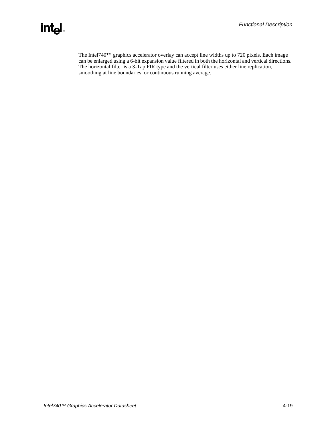The Intel740™ graphics accelerator overlay can accept line widths up to 720 pixels. Each image can be enlarged using a 6-bit expansion value filtered in both the horizontal and vertical directions. The horizontal filter is a 3-Tap FIR type and the vertical filter uses either line replication, smoothing at line boundaries, or continuous running average.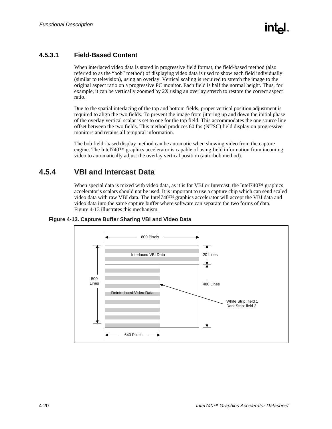#### **4.5.3.1 Field-Based Content**

When interlaced video data is stored in progressive field format, the field-based method (also referred to as the "bob" method) of displaying video data is used to show each field individually (similar to television), using an overlay. Vertical scaling is required to stretch the image to the original aspect ratio on a progressive PC monitor. Each field is half the normal height. Thus, for example, it can be vertically zoomed by 2X using an overlay stretch to restore the correct aspect ratio.

Due to the spatial interlacing of the top and bottom fields, proper vertical position adjustment is required to align the two fields. To prevent the image from jittering up and down the initial phase of the overlay vertical scalar is set to one for the top field. This accommodates the one source line offset between the two fields. This method produces 60 fps (NTSC) field display on progressive monitors and retains all temporal information.

The bob field -based display method can be automatic when showing video from the capture engine. The Intel740™ graphics accelerator is capable of using field information from incoming video to automatically adjust the overlay vertical position (auto-bob method).

#### **4.5.4 VBI and Intercast Data**

When special data is mixed with video data, as it is for VBI or Intercast, the Intel $740<sup>TM</sup>$  graphics accelerator's scalars should not be used. It is important to use a capture chip which can send scaled video data with raw VBI data. The Intel740™ graphics accelerator will accept the VBI data and video data into the same capture buffer where software can separate the two forms of data. Figure 4-13 illustrates this mechanism.



**Figure 4-13. Capture Buffer Sharing VBI and Video Data**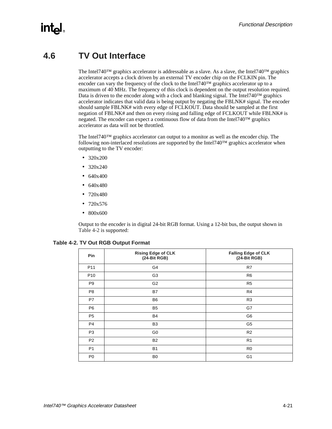## **int<sub>e</sub>l**

## **4.6 TV Out Interface**

The Intel740™ graphics accelerator is addressable as a slave. As a slave, the Intel740™ graphics accelerator accepts a clock driven by an external TV encoder chip on the FCLKIN pin. The encoder can vary the frequency of the clock to the Intel740™ graphics accelerator up to a maximum of 40 MHz. The frequency of this clock is dependent on the output resolution required. Data is driven to the encoder along with a clock and blanking signal. The Intel740<sup>™</sup> graphics accelerator indicates that valid data is being output by negating the FBLNK# signal. The encoder should sample FBLNK# with every edge of FCLKOUT. Data should be sampled at the first negation of FBLNK# and then on every rising and falling edge of FCLKOUT while FBLNK# is negated. The encoder can expect a continuous flow of data from the Intel740™ graphics accelerator as data will not be throttled.

The Intel740™ graphics accelerator can output to a monitor as well as the encoder chip. The following non-interlaced resolutions are supported by the Intel740™ graphics accelerator when outputting to the TV encoder:

- 320x200
- 320x240
- $640x400$
- 640x480
- 720x480
- 720x576
- 800x600

Output to the encoder is in digital 24-bit RGB format. Using a 12-bit bus, the output shown in Table 4-2 is supported:

| Pin             | <b>Rising Edge of CLK</b><br>$(24-BitRGB)$ | <b>Falling Edge of CLK</b><br>$(24-Bit)$ RGB) |  |  |
|-----------------|--------------------------------------------|-----------------------------------------------|--|--|
| P11             | G4                                         | R7                                            |  |  |
| P <sub>10</sub> | G <sub>3</sub>                             | R <sub>6</sub>                                |  |  |
| P <sub>9</sub>  | G <sub>2</sub>                             | R <sub>5</sub>                                |  |  |
| P <sub>8</sub>  | B7                                         | R4                                            |  |  |
| P7              | B <sub>6</sub>                             | R <sub>3</sub>                                |  |  |
| P <sub>6</sub>  | B <sub>5</sub>                             | G7                                            |  |  |
| P <sub>5</sub>  | B4                                         | G <sub>6</sub>                                |  |  |
| P <sub>4</sub>  | B <sub>3</sub>                             | G <sub>5</sub>                                |  |  |
| P <sub>3</sub>  | G <sub>0</sub>                             | R <sub>2</sub>                                |  |  |
| P <sub>2</sub>  | <b>B2</b><br>R <sub>1</sub>                |                                               |  |  |
| P <sub>1</sub>  | <b>B1</b>                                  | R <sub>0</sub>                                |  |  |
| P <sub>0</sub>  | B <sub>0</sub>                             | G <sub>1</sub>                                |  |  |

#### **Table 4-2. TV Out RGB Output Format**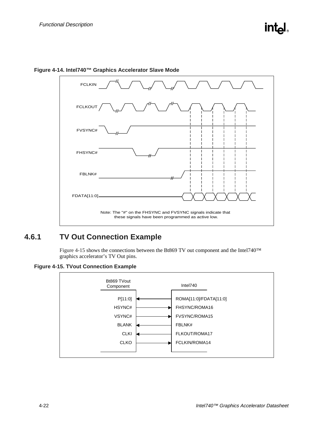ınt



**Figure 4-14. Intel740™ Graphics Accelerator Slave Mode**

## **4.6.1 TV Out Connection Example**

Figure 4-15 shows the connections between the Bt869 TV out component and the Intel740™ graphics accelerator's TV Out pins.

**Figure 4-15. TVout Connection Example**

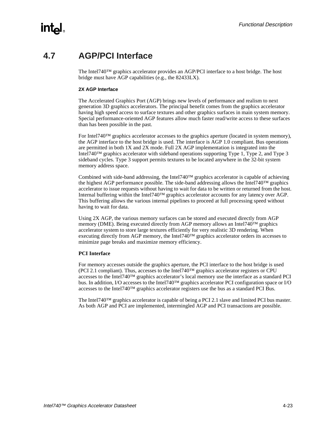## **4.7 AGP/PCI Interface**

The Intel740™ graphics accelerator provides an AGP/PCI interface to a host bridge. The host bridge must have AGP capabilities (e.g., the 82433LX).

#### **2X AGP Interface**

The Accelerated Graphics Port (AGP) brings new levels of performance and realism to next generation 3D graphics accelerators. The principal benefit comes from the graphics accelerator having high speed access to surface textures and other graphics surfaces in main system memory. Special performance-oriented AGP features allow much faster read/write access to these surfaces than has been possible in the past.

For Intel740™ graphics accelerator accesses to the graphics aperture (located in system memory), the AGP interface to the host bridge is used. The interface is AGP 1.0 compliant. Bus operations are permitted in both  $1X$  and  $2X$  mode. Full  $2X$  AGP implementation is integrated into the Intel $740^{\text{TM}}$  graphics accelerator with sideband operations supporting Type 1, Type 2, and Type 3 sideband cycles. Type 3 support permits textures to be located anywhere in the 32-bit system memory address space.

Combined with side-band addressing, the Intel $740^{TM}$  graphics accelerator is capable of achieving the highest AGP performance possible. The side-band addressing allows the Intel $740^{\text{TM}}$  graphics accelerator to issue requests without having to wait for data to be written or returned from the host. Internal buffering within the Intel740™ graphics accelerator accounts for any latency over AGP. This buffering allows the various internal pipelines to proceed at full processing speed without having to wait for data.

Using 2X AGP, the various memory surfaces can be stored and executed directly from AGP memory (DME). Being executed directly from AGP memory allows an Intel740™ graphics accelerator system to store large textures efficiently for very realistic 3D rendering. When executing directly from AGP memory, the Intel740 $^{TM}$  graphics accelerator orders its accesses to minimize page breaks and maximize memory efficiency.

#### **PCI Interface**

For memory accesses outside the graphics aperture, the PCI interface to the host bridge is used (PCI 2.1 compliant). Thus, accesses to the Intel740™ graphics accelerator registers or CPU accesses to the Intel740™ graphics accelerator's local memory use the interface as a standard PCI bus. In addition, I/O accesses to the Intel740™ graphics accelerator PCI configuration space or I/O accesses to the Intel740 $^{TM}$  graphics accelerator registers use the bus as a standard PCI Bus.

The Intel740™ graphics accelerator is capable of being a PCI 2.1 slave and limited PCI bus master. As both AGP and PCI are implemented, intermingled AGP and PCI transactions are possible.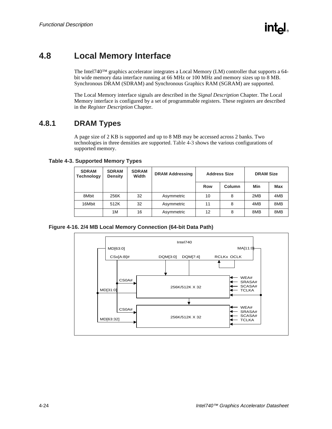## **4.8 Local Memory Interface**

The Intel740™ graphics accelerator integrates a Local Memory (LM) controller that supports a 64 bit wide memory data interface running at 66 MHz or 100 MHz and memory sizes up to 8 MB. Synchronous DRAM (SDRAM) and Synchronous Graphics RAM (SGRAM) are supported.

The Local Memory interface signals are described in the *Signal Description* Chapter. The Local Memory interface is configured by a set of programmable registers. These registers are described in the *Register Description* Chapter.

#### **4.8.1 DRAM Types**

A page size of 2 KB is supported and up to 8 MB may be accessed across 2 banks. Two technologies in three densities are supported. Table 4-3 shows the various configurations of supported memory.

**Table 4-3. Supported Memory Types**

| <b>SDRAM</b><br><b>Technology</b> | <b>SDRAM</b><br><b>Density</b> | <b>SDRAM</b><br>Width | <b>DRAM Addressing</b> | <b>Address Size</b> |        | <b>DRAM Size</b> |     |
|-----------------------------------|--------------------------------|-----------------------|------------------------|---------------------|--------|------------------|-----|
|                                   |                                |                       |                        | Row                 | Column | Min              | Max |
| 8Mbit                             | 256K                           | 32                    | Asymmetric             | 10                  | 8      | 2MB              | 4MB |
| 16Mbit                            | 512K                           | 32                    | Asymmetric             | 11                  | 8      | 4MB              | 8MB |
|                                   | 1M                             | 16                    | Asymmetric             | 12                  | 8      | 8MB              | 8MB |

**Figure 4-16. 2/4 MB Local Memory Connection (64-bit Data Path)**

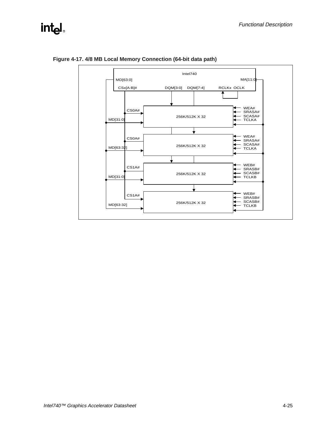

**Figure 4-17. 4/8 MB Local Memory Connection (64-bit data path)**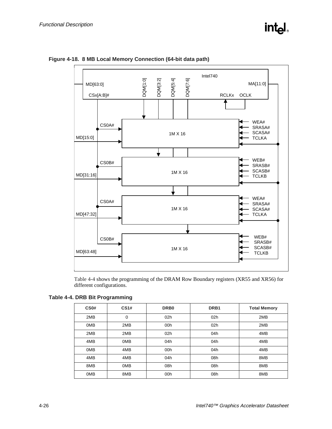

**Figure 4-18. 8 MB Local Memory Connection (64-bit data path)** 

Table 4-4 shows the programming of the DRAM Row Boundary registers (XR55 and XR56) for different configurations.

| <b>CS0#</b> | CS <sub>1#</sub> | DRB <sub>0</sub> | DRB <sub>1</sub> | <b>Total Memory</b> |
|-------------|------------------|------------------|------------------|---------------------|
| 2MB         | 0                | 02h              | 02h              | 2MB                 |
| 0MB         | 2MB              | 00h              | 02 <sub>h</sub>  | 2MB                 |
| 2MB         | 2MB              | 02h              | 04h              | 4MB                 |
| 4MB         | 0MB              | 04h              | 04h              | 4MB                 |
| 0MB         | 4MB              | 00h              | 04h              | 4MB                 |
| 4MB         | 4MB              | 04h              | 08h              | 8MB                 |
| 8MB         | 0MB              | 08h              | 08h              | 8MB                 |
| 0MB         | 8MB              | 00h              | 08h              | 8MB                 |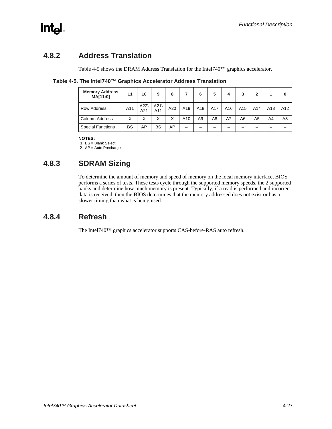## int<sub>el</sub>

### **4.8.2 Address Translation**

Table 4-5 shows the DRAM Address Translation for the Intel740™ graphics accelerator.

| <b>Memory Address</b><br>MA[11:0] | 11        | 10         | 9          | 8   |     | 6   | 5   | 4   |                 | 2   |                 | 0               |
|-----------------------------------|-----------|------------|------------|-----|-----|-----|-----|-----|-----------------|-----|-----------------|-----------------|
| <b>Row Address</b>                | A11       | A22<br>A21 | A21<br>A11 | A20 | A19 | A18 | A17 | A16 | A <sub>15</sub> | A14 | A <sub>13</sub> | A <sub>12</sub> |
| Column Address                    | X         | Χ          | X          | Χ   | A10 | A9  | A8  | A7  | A6              | A5  | A4              | A3              |
| <b>Special Functions</b>          | <b>BS</b> | AP         | BS         | AP  |     |     |     |     |                 |     |                 |                 |

**Table 4-5. The Intel740™ Graphics Accelerator Address Translation**

#### **NOTES:**

1. BS = Blank Select 2. AP = Auto Precharge

### **4.8.3 SDRAM Sizing**

To determine the amount of memory and speed of memory on the local memory interface, BIOS performs a series of tests. These tests cycle through the supported memory speeds, the 2 supported banks and determine how much memory is present. Typically, if a read is performed and incorrect data is received, then the BIOS determines that the memory addressed does not exist or has a slower timing than what is being used.

### **4.8.4 Refresh**

The Intel740™ graphics accelerator supports CAS-before-RAS auto refresh.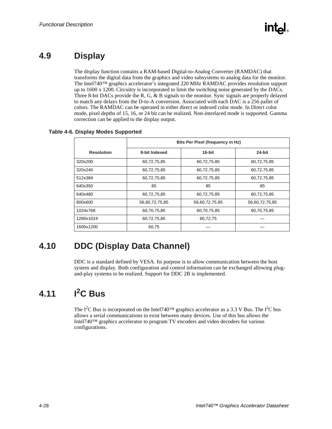## **4.9 Display**

The display function contains a RAM-based Digital-to-Analog Converter (RAMDAC) that transforms the digital data from the graphics and video subsystems to analog data for the monitor. The Intel740™ graphics accelerator's integrated 220 MHz RAMDAC provides resolution support up to 1600 x 1200. Circuitry is incorporated to limit the switching noise generated by the DACs. Three 8-bit DACs provide the R, G, & B signals to the monitor. Sync signals are properly delayed to match any delays from the D-to-A conversion. Associated with each DAC is a 256 pallet of colors. The RAMDAC can be operated in either direct or indexed color mode. In Direct color mode, pixel depths of 15, 16, or 24 bit can be realized. Non-interlaced mode is supported. Gamma correction can be applied to the display output.

|                   | <b>Bits Per Pixel (frequency in Hz)</b> |                |                |  |  |  |  |  |  |
|-------------------|-----------------------------------------|----------------|----------------|--|--|--|--|--|--|
| <b>Resolution</b> | 8-bit Indexed                           | 16-bit         | 24-bit         |  |  |  |  |  |  |
| 320x200           | 60,72,75,85                             | 60,72,75,85    | 60,72,75,85    |  |  |  |  |  |  |
| 320x240           | 60,72,75,85                             | 60,72,75,85    | 60,72,75,85    |  |  |  |  |  |  |
| 512x384           | 60,72,75,85                             | 60,72,75,85    | 60,72,75,85    |  |  |  |  |  |  |
| 640x350           | 85                                      | 85             | 85             |  |  |  |  |  |  |
| 640x480           | 60,72,75,85                             | 60,72,75,85    | 60,72,75,85    |  |  |  |  |  |  |
| 800x600           | 56,60,72,75,85                          | 56,60,72,75,85 | 56,60,72,75,85 |  |  |  |  |  |  |
| 1024x768          | 60,70,75,85                             | 60,70,75,85    | 60,70,75,85    |  |  |  |  |  |  |
| 1280x1024         | 60,72,75,85                             | 60,72,75       |                |  |  |  |  |  |  |
| 1600x1200         | 60,75                                   |                |                |  |  |  |  |  |  |

## **4.10 DDC (Display Data Channel)**

DDC is a standard defined by VESA. Its purpose is to allow communication between the host system and display. Both configuration and control information can be exchanged allowing plugand-play systems to be realized. Support for DDC 2B is implemented.

## **4.11 I2C Bus**

The I<sup>2</sup>C Bus is incorporated on the Intel740<sup>TM</sup> graphics accelerator as a 3.3 V Bus. The I<sup>2</sup>C bus allows a serial communications to exist between many devices. Use of this bus allows the Intel740™ graphics accelerator to program TV encoders and video decoders for various configurations.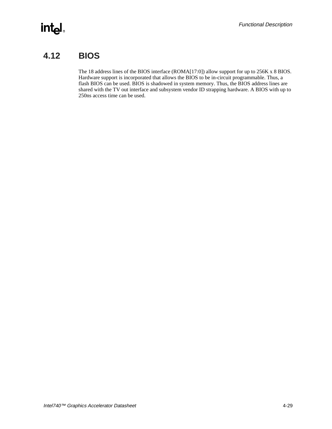## **4.12 BIOS**

The 18 address lines of the BIOS interface (ROMA[17:0]) allow support for up to 256K x 8 BIOS. Hardware support is incorporated that allows the BIOS to be in-circuit programmable. Thus, a flash BIOS can be used. BIOS is shadowed in system memory. Thus, the BIOS address lines are shared with the TV out interface and subsystem vendor ID strapping hardware. A BIOS with up to 250ns access time can be used.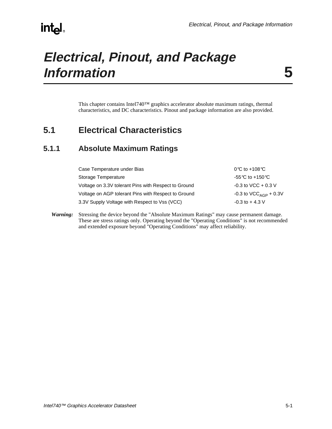# **Electrical, Pinout, and Package Information 5**

This chapter contains Intel740™ graphics accelerator absolute maximum ratings, thermal characteristics, and DC characteristics. Pinout and package information are also provided.

## **5.1 Electrical Characteristics**

### **5.1.1 Absolute Maximum Ratings**

| 0 °C to +108 °C                     |
|-------------------------------------|
| -55 ℃ to +150 ℃                     |
| $-0.3$ to VCC + 0.3 V               |
| $-0.3$ to VCC <sub>AGP</sub> + 0.3V |
| $-0.3$ to $+4.3$ V                  |
|                                     |

*Warning:* Stressing the device beyond the "Absolute Maximum Ratings" may cause permanent damage. These are stress ratings only. Operating beyond the "Operating Conditions" is not recommended and extended exposure beyond "Operating Conditions" may affect reliability.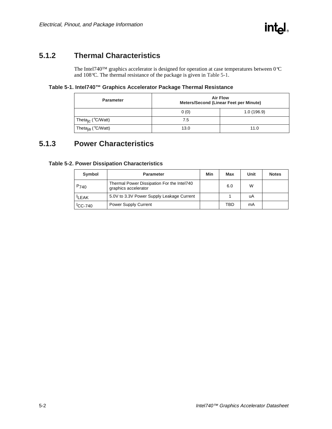### **5.1.2 Thermal Characteristics**

The Intel740™ graphics accelerator is designed for operation at case temperatures between 0°C and 108°C. The thermal resistance of the package is given in Table 5-1.

#### **Table 5-1. Intel740™ Graphics Accelerator Package Thermal Resistance**

| <b>Parameter</b>              |      | <b>Air Flow</b><br>Meters/Second (Linear Feet per Minute) |
|-------------------------------|------|-----------------------------------------------------------|
|                               | 0(0) | 1.0(196.9)                                                |
| Theta <sub>jc</sub> (°C/Watt) | 7.5  |                                                           |
| Theta <sub>ja</sub> (°C/Watt) | 13.0 | 11.0                                                      |

Power Supply Current TBD | mA

### **5.1.3 Power Characteristics**

<sup>I</sup>CC-740

| <b>Symbol</b>    | <b>Parameter</b>                                                   | Min | Max | Unit | <b>Notes</b> |
|------------------|--------------------------------------------------------------------|-----|-----|------|--------------|
| P <sub>740</sub> | Thermal Power Dissipation For the Intel740<br>graphics accelerator |     | 6.0 | W    |              |
| <b>LEAK</b>      | 5.0V to 3.3V Power Supply Leakage Current                          |     |     | uA   |              |

#### **Table 5-2. Power Dissipation Characteristics**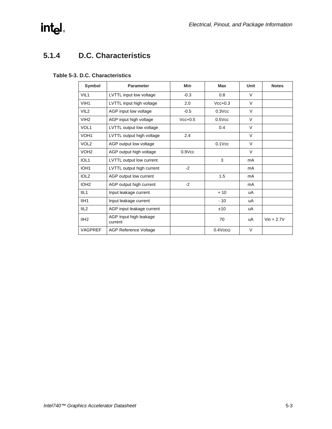## **5.1.4 D.C. Characteristics**

#### **Table 5-3. D.C. Characteristics**

| Symbol           | <b>Parameter</b>                  | Min       | <b>Max</b> | Unit   | <b>Notes</b> |
|------------------|-----------------------------------|-----------|------------|--------|--------------|
| VIL <sub>1</sub> | LVTTL input low voltage           | $-0.3$    | 0.8        | $\vee$ |              |
| VIH <sub>1</sub> | LVTTL input high voltage          | 2.0       | $Vcc+0.3$  | $\vee$ |              |
| VIL <sub>2</sub> | AGP input low voltage             | $-0.5$    | $0.3$ Vcc  | $\vee$ |              |
| VIH <sub>2</sub> | AGP input high voltage            | $Vcc+0.5$ | $0.5$ Vcc  | V      |              |
| VOL1             | LVTTL output low voltage          |           | 0.4        | $\vee$ |              |
| VOH <sub>1</sub> | LVTTL output high voltage         | 2.4       |            | V      |              |
| VOL <sub>2</sub> | AGP output low voltage            |           | $0.1$ Vcc  | $\vee$ |              |
| VOH <sub>2</sub> | AGP output high voltage           | $0.9$ Vcc |            | $\vee$ |              |
| IOL <sub>1</sub> | LVTTL output low current          |           | 3          | mA     |              |
| IOH <sub>1</sub> | LVTTL output high current         | $-2$      |            | mA     |              |
| IOL <sub>2</sub> | AGP output low current            |           | 1.5        | mA     |              |
| IOH <sub>2</sub> | AGP output high current           | $-2$      |            | mA     |              |
| III <sub>1</sub> | Input leakage current             |           | $+10$      | uA     |              |
| IIH <sub>1</sub> | Input leakage current             |           | $-10$      | uA     |              |
| IL2              | AGP input leakage current         |           | ±10        | uA     |              |
| IIH <sub>2</sub> | AGP Input high leakage<br>current |           | 70         | uA     | $Vin = 2.7V$ |
| <b>VAGPREF</b>   | <b>AGP Reference Voltage</b>      |           | 0.4VDDQ    | $\vee$ |              |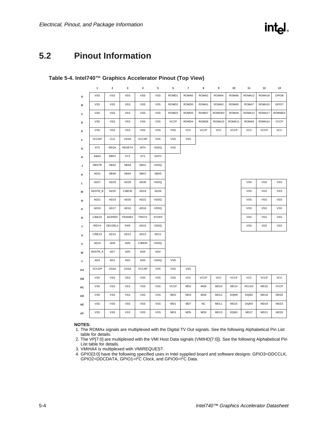## **5.2 Pinout Information**

| <b>VSS</b><br><b>VSS</b><br><b>VSS</b><br><b>VSS</b><br><b>VSS</b><br>ROMD1<br>ROMA <sub>2</sub><br>ROMA16<br>ROMA0<br>ROMA4<br>ROMA6<br>ROMA12<br>А<br><b>VSS</b><br><b>VSS</b><br><b>VSS</b><br><b>VSS</b><br><b>VSS</b><br>ROMD0<br>ROMA1<br>ROMA3<br>ROMD <sub>2</sub><br>ROMA5<br>ROMA7<br>ROMA15<br>в<br><b>VSS</b><br><b>VSS</b><br><b>VSS</b><br><b>VSS</b><br><b>VSS</b><br>ROMD3<br>ROMD5<br>ROMD7<br>ROMOE#<br>ROMA13<br>ROMA9<br>ROMA17<br>c<br><b>VSS</b><br><b>VSS</b><br><b>VSS</b><br><b>VSS</b><br><b>VCCP</b><br><b>VSS</b><br>ROMD4<br>ROMD6<br>ROMA10<br>ROMA11<br>ROMA8<br>ROMA14<br>D<br><b>VSS</b><br><b>VSS</b><br><b>VSS</b><br><b>VSS</b><br><b>VCC</b><br><b>VCCP</b><br><b>VCC</b><br><b>VCCP</b><br><b>VCC</b><br><b>VCCP</b><br><b>VSS</b><br><b>VSS</b><br>Ε<br><b>VCCDP</b><br><b>CLK</b><br><b>VSSA</b><br><b>VCCAP</b><br><b>VSS</b><br><b>VSS</b><br><b>VSS</b><br>F<br>ST <sub>0</sub><br>REQ#<br>RESET#<br>INT#<br>VDDQ<br><b>VSS</b><br>G<br>SBA0<br>RBF#<br>ST <sub>2</sub><br>ST <sub>1</sub><br>GNT#<br>н<br>SBA2<br>VDDQ<br><b>SBSTB</b><br>SBA3<br>SBA1<br>J<br>SBA6<br>SBA4<br>SBA7<br>SBA5<br>AD31<br>κ<br>VDDQ<br><b>VSS</b><br>AD <sub>27</sub><br>AD29<br>AD <sub>28</sub><br>AD30<br><b>VSS</b><br>г<br>AD <sub>25</sub><br>AD <sub>24</sub><br><b>VSS</b><br><b>VSS</b><br>ADSTB_B<br>C/BE3#<br>AD <sub>26</sub><br>M<br>VDDQ<br><b>VSS</b><br>AD21<br>AD <sub>23</sub><br>AD20<br>AD <sub>22</sub><br><b>VSS</b><br>N<br>AD17<br>VDDQ<br><b>VSS</b><br><b>VSS</b><br>AD <sub>19</sub><br>AD <sub>16</sub><br>AD <sub>18</sub><br>P<br>STOP#<br><b>VSS</b><br>C/BE2#<br>AGPREF<br>FRAME#<br>TRDY#<br><b>VSS</b><br>R<br>IRDY#<br>DEVSEL#<br>PAR<br>AD <sub>15</sub><br>VDDQ<br><b>VSS</b><br><b>VSS</b><br>T<br>AD14<br>AD <sub>13</sub><br>C/BE1#<br>AD <sub>12</sub><br>AD11<br>U<br>AD8<br>C/BE0#<br>VDDQ<br>AD <sub>10</sub><br>AD9<br>V<br>AD7<br>AD4<br>ADSTB_A<br>AD5<br>AD6<br>W<br>VDDQ<br><b>VSS</b><br>AD3<br>AD1<br>AD <sub>2</sub><br>AD <sub>0</sub><br>Y<br><b>VSS</b><br>VCCDP<br><b>VSSA</b><br><b>VSSA</b><br><b>VCCAP</b><br><b>VSS</b><br><b>VSS</b><br>AA<br><b>VCCP</b><br><b>VSS</b><br><b>VSS</b><br><b>VSS</b><br><b>VSS</b><br><b>VSS</b><br><b>VSS</b><br><b>VCC</b><br><b>VCCP</b><br><b>VCC</b><br><b>VCCP</b><br><b>VCC</b><br>AB<br><b>VSS</b><br><b>VSS</b><br><b>VSS</b><br><b>VSS</b><br><b>VSS</b><br><b>VCCP</b><br>MD <sub>2</sub><br>MD6<br>MD10<br>MD14<br>RCLK0<br>MD16<br>AC<br><b>VSS</b><br><b>VSS</b><br><b>VSS</b><br>VSS<br><b>VSS</b><br>MD4<br>MD8<br>DQM2<br>MD <sub>0</sub><br>MD12<br>DQM0<br>MD18<br>AD<br><b>VSS</b><br><b>VSS</b><br><b>VSS</b><br>VSS<br><b>VSS</b><br>MD1<br>MD7<br>$_{\rm NC}$<br>MD11<br>MD15<br>DQM3<br>MD19<br>AE |    | 1          | 2          | 3          | 4          | 5          | 6   | 7               | 8   | 9    | 10   | 11   | $12$ | 13               |
|-------------------------------------------------------------------------------------------------------------------------------------------------------------------------------------------------------------------------------------------------------------------------------------------------------------------------------------------------------------------------------------------------------------------------------------------------------------------------------------------------------------------------------------------------------------------------------------------------------------------------------------------------------------------------------------------------------------------------------------------------------------------------------------------------------------------------------------------------------------------------------------------------------------------------------------------------------------------------------------------------------------------------------------------------------------------------------------------------------------------------------------------------------------------------------------------------------------------------------------------------------------------------------------------------------------------------------------------------------------------------------------------------------------------------------------------------------------------------------------------------------------------------------------------------------------------------------------------------------------------------------------------------------------------------------------------------------------------------------------------------------------------------------------------------------------------------------------------------------------------------------------------------------------------------------------------------------------------------------------------------------------------------------------------------------------------------------------------------------------------------------------------------------------------------------------------------------------------------------------------------------------------------------------------------------------------------------------------------------------------------------------------------------------------------------------------------------------------------------------------------------------------------------------------------------------------------------------------------------------------------------------------------------------------------------------------------------------------------------------------------|----|------------|------------|------------|------------|------------|-----|-----------------|-----|------|------|------|------|------------------|
|                                                                                                                                                                                                                                                                                                                                                                                                                                                                                                                                                                                                                                                                                                                                                                                                                                                                                                                                                                                                                                                                                                                                                                                                                                                                                                                                                                                                                                                                                                                                                                                                                                                                                                                                                                                                                                                                                                                                                                                                                                                                                                                                                                                                                                                                                                                                                                                                                                                                                                                                                                                                                                                                                                                                                 |    |            |            |            |            |            |     |                 |     |      |      |      |      | GPIO8            |
|                                                                                                                                                                                                                                                                                                                                                                                                                                                                                                                                                                                                                                                                                                                                                                                                                                                                                                                                                                                                                                                                                                                                                                                                                                                                                                                                                                                                                                                                                                                                                                                                                                                                                                                                                                                                                                                                                                                                                                                                                                                                                                                                                                                                                                                                                                                                                                                                                                                                                                                                                                                                                                                                                                                                                 |    |            |            |            |            |            |     |                 |     |      |      |      |      | GPIO7            |
|                                                                                                                                                                                                                                                                                                                                                                                                                                                                                                                                                                                                                                                                                                                                                                                                                                                                                                                                                                                                                                                                                                                                                                                                                                                                                                                                                                                                                                                                                                                                                                                                                                                                                                                                                                                                                                                                                                                                                                                                                                                                                                                                                                                                                                                                                                                                                                                                                                                                                                                                                                                                                                                                                                                                                 |    |            |            |            |            |            |     |                 |     |      |      |      |      | ROMWE#           |
|                                                                                                                                                                                                                                                                                                                                                                                                                                                                                                                                                                                                                                                                                                                                                                                                                                                                                                                                                                                                                                                                                                                                                                                                                                                                                                                                                                                                                                                                                                                                                                                                                                                                                                                                                                                                                                                                                                                                                                                                                                                                                                                                                                                                                                                                                                                                                                                                                                                                                                                                                                                                                                                                                                                                                 |    |            |            |            |            |            |     |                 |     |      |      |      |      | VCCP             |
|                                                                                                                                                                                                                                                                                                                                                                                                                                                                                                                                                                                                                                                                                                                                                                                                                                                                                                                                                                                                                                                                                                                                                                                                                                                                                                                                                                                                                                                                                                                                                                                                                                                                                                                                                                                                                                                                                                                                                                                                                                                                                                                                                                                                                                                                                                                                                                                                                                                                                                                                                                                                                                                                                                                                                 |    |            |            |            |            |            |     |                 |     |      |      |      |      | <b>VCC</b>       |
|                                                                                                                                                                                                                                                                                                                                                                                                                                                                                                                                                                                                                                                                                                                                                                                                                                                                                                                                                                                                                                                                                                                                                                                                                                                                                                                                                                                                                                                                                                                                                                                                                                                                                                                                                                                                                                                                                                                                                                                                                                                                                                                                                                                                                                                                                                                                                                                                                                                                                                                                                                                                                                                                                                                                                 |    |            |            |            |            |            |     |                 |     |      |      |      |      |                  |
|                                                                                                                                                                                                                                                                                                                                                                                                                                                                                                                                                                                                                                                                                                                                                                                                                                                                                                                                                                                                                                                                                                                                                                                                                                                                                                                                                                                                                                                                                                                                                                                                                                                                                                                                                                                                                                                                                                                                                                                                                                                                                                                                                                                                                                                                                                                                                                                                                                                                                                                                                                                                                                                                                                                                                 |    |            |            |            |            |            |     |                 |     |      |      |      |      |                  |
|                                                                                                                                                                                                                                                                                                                                                                                                                                                                                                                                                                                                                                                                                                                                                                                                                                                                                                                                                                                                                                                                                                                                                                                                                                                                                                                                                                                                                                                                                                                                                                                                                                                                                                                                                                                                                                                                                                                                                                                                                                                                                                                                                                                                                                                                                                                                                                                                                                                                                                                                                                                                                                                                                                                                                 |    |            |            |            |            |            |     |                 |     |      |      |      |      |                  |
|                                                                                                                                                                                                                                                                                                                                                                                                                                                                                                                                                                                                                                                                                                                                                                                                                                                                                                                                                                                                                                                                                                                                                                                                                                                                                                                                                                                                                                                                                                                                                                                                                                                                                                                                                                                                                                                                                                                                                                                                                                                                                                                                                                                                                                                                                                                                                                                                                                                                                                                                                                                                                                                                                                                                                 |    |            |            |            |            |            |     |                 |     |      |      |      |      |                  |
|                                                                                                                                                                                                                                                                                                                                                                                                                                                                                                                                                                                                                                                                                                                                                                                                                                                                                                                                                                                                                                                                                                                                                                                                                                                                                                                                                                                                                                                                                                                                                                                                                                                                                                                                                                                                                                                                                                                                                                                                                                                                                                                                                                                                                                                                                                                                                                                                                                                                                                                                                                                                                                                                                                                                                 |    |            |            |            |            |            |     |                 |     |      |      |      |      |                  |
|                                                                                                                                                                                                                                                                                                                                                                                                                                                                                                                                                                                                                                                                                                                                                                                                                                                                                                                                                                                                                                                                                                                                                                                                                                                                                                                                                                                                                                                                                                                                                                                                                                                                                                                                                                                                                                                                                                                                                                                                                                                                                                                                                                                                                                                                                                                                                                                                                                                                                                                                                                                                                                                                                                                                                 |    |            |            |            |            |            |     |                 |     |      |      |      |      | <b>VSS</b>       |
|                                                                                                                                                                                                                                                                                                                                                                                                                                                                                                                                                                                                                                                                                                                                                                                                                                                                                                                                                                                                                                                                                                                                                                                                                                                                                                                                                                                                                                                                                                                                                                                                                                                                                                                                                                                                                                                                                                                                                                                                                                                                                                                                                                                                                                                                                                                                                                                                                                                                                                                                                                                                                                                                                                                                                 |    |            |            |            |            |            |     |                 |     |      |      |      |      | <b>VSS</b>       |
|                                                                                                                                                                                                                                                                                                                                                                                                                                                                                                                                                                                                                                                                                                                                                                                                                                                                                                                                                                                                                                                                                                                                                                                                                                                                                                                                                                                                                                                                                                                                                                                                                                                                                                                                                                                                                                                                                                                                                                                                                                                                                                                                                                                                                                                                                                                                                                                                                                                                                                                                                                                                                                                                                                                                                 |    |            |            |            |            |            |     |                 |     |      |      |      |      | <b>VSS</b>       |
|                                                                                                                                                                                                                                                                                                                                                                                                                                                                                                                                                                                                                                                                                                                                                                                                                                                                                                                                                                                                                                                                                                                                                                                                                                                                                                                                                                                                                                                                                                                                                                                                                                                                                                                                                                                                                                                                                                                                                                                                                                                                                                                                                                                                                                                                                                                                                                                                                                                                                                                                                                                                                                                                                                                                                 |    |            |            |            |            |            |     |                 |     |      |      |      |      | <b>VSS</b>       |
|                                                                                                                                                                                                                                                                                                                                                                                                                                                                                                                                                                                                                                                                                                                                                                                                                                                                                                                                                                                                                                                                                                                                                                                                                                                                                                                                                                                                                                                                                                                                                                                                                                                                                                                                                                                                                                                                                                                                                                                                                                                                                                                                                                                                                                                                                                                                                                                                                                                                                                                                                                                                                                                                                                                                                 |    |            |            |            |            |            |     |                 |     |      |      |      |      | <b>VSS</b>       |
|                                                                                                                                                                                                                                                                                                                                                                                                                                                                                                                                                                                                                                                                                                                                                                                                                                                                                                                                                                                                                                                                                                                                                                                                                                                                                                                                                                                                                                                                                                                                                                                                                                                                                                                                                                                                                                                                                                                                                                                                                                                                                                                                                                                                                                                                                                                                                                                                                                                                                                                                                                                                                                                                                                                                                 |    |            |            |            |            |            |     |                 |     |      |      |      |      | <b>VSS</b>       |
|                                                                                                                                                                                                                                                                                                                                                                                                                                                                                                                                                                                                                                                                                                                                                                                                                                                                                                                                                                                                                                                                                                                                                                                                                                                                                                                                                                                                                                                                                                                                                                                                                                                                                                                                                                                                                                                                                                                                                                                                                                                                                                                                                                                                                                                                                                                                                                                                                                                                                                                                                                                                                                                                                                                                                 |    |            |            |            |            |            |     |                 |     |      |      |      |      |                  |
|                                                                                                                                                                                                                                                                                                                                                                                                                                                                                                                                                                                                                                                                                                                                                                                                                                                                                                                                                                                                                                                                                                                                                                                                                                                                                                                                                                                                                                                                                                                                                                                                                                                                                                                                                                                                                                                                                                                                                                                                                                                                                                                                                                                                                                                                                                                                                                                                                                                                                                                                                                                                                                                                                                                                                 |    |            |            |            |            |            |     |                 |     |      |      |      |      |                  |
|                                                                                                                                                                                                                                                                                                                                                                                                                                                                                                                                                                                                                                                                                                                                                                                                                                                                                                                                                                                                                                                                                                                                                                                                                                                                                                                                                                                                                                                                                                                                                                                                                                                                                                                                                                                                                                                                                                                                                                                                                                                                                                                                                                                                                                                                                                                                                                                                                                                                                                                                                                                                                                                                                                                                                 |    |            |            |            |            |            |     |                 |     |      |      |      |      |                  |
|                                                                                                                                                                                                                                                                                                                                                                                                                                                                                                                                                                                                                                                                                                                                                                                                                                                                                                                                                                                                                                                                                                                                                                                                                                                                                                                                                                                                                                                                                                                                                                                                                                                                                                                                                                                                                                                                                                                                                                                                                                                                                                                                                                                                                                                                                                                                                                                                                                                                                                                                                                                                                                                                                                                                                 |    |            |            |            |            |            |     |                 |     |      |      |      |      |                  |
|                                                                                                                                                                                                                                                                                                                                                                                                                                                                                                                                                                                                                                                                                                                                                                                                                                                                                                                                                                                                                                                                                                                                                                                                                                                                                                                                                                                                                                                                                                                                                                                                                                                                                                                                                                                                                                                                                                                                                                                                                                                                                                                                                                                                                                                                                                                                                                                                                                                                                                                                                                                                                                                                                                                                                 |    |            |            |            |            |            |     |                 |     |      |      |      |      |                  |
|                                                                                                                                                                                                                                                                                                                                                                                                                                                                                                                                                                                                                                                                                                                                                                                                                                                                                                                                                                                                                                                                                                                                                                                                                                                                                                                                                                                                                                                                                                                                                                                                                                                                                                                                                                                                                                                                                                                                                                                                                                                                                                                                                                                                                                                                                                                                                                                                                                                                                                                                                                                                                                                                                                                                                 |    |            |            |            |            |            |     |                 |     |      |      |      |      | <b>VCC</b>       |
|                                                                                                                                                                                                                                                                                                                                                                                                                                                                                                                                                                                                                                                                                                                                                                                                                                                                                                                                                                                                                                                                                                                                                                                                                                                                                                                                                                                                                                                                                                                                                                                                                                                                                                                                                                                                                                                                                                                                                                                                                                                                                                                                                                                                                                                                                                                                                                                                                                                                                                                                                                                                                                                                                                                                                 |    |            |            |            |            |            |     |                 |     |      |      |      |      | VCCP             |
|                                                                                                                                                                                                                                                                                                                                                                                                                                                                                                                                                                                                                                                                                                                                                                                                                                                                                                                                                                                                                                                                                                                                                                                                                                                                                                                                                                                                                                                                                                                                                                                                                                                                                                                                                                                                                                                                                                                                                                                                                                                                                                                                                                                                                                                                                                                                                                                                                                                                                                                                                                                                                                                                                                                                                 |    |            |            |            |            |            |     |                 |     |      |      |      |      | MD <sub>20</sub> |
|                                                                                                                                                                                                                                                                                                                                                                                                                                                                                                                                                                                                                                                                                                                                                                                                                                                                                                                                                                                                                                                                                                                                                                                                                                                                                                                                                                                                                                                                                                                                                                                                                                                                                                                                                                                                                                                                                                                                                                                                                                                                                                                                                                                                                                                                                                                                                                                                                                                                                                                                                                                                                                                                                                                                                 |    |            |            |            |            |            |     |                 |     |      |      |      |      | MD <sub>23</sub> |
|                                                                                                                                                                                                                                                                                                                                                                                                                                                                                                                                                                                                                                                                                                                                                                                                                                                                                                                                                                                                                                                                                                                                                                                                                                                                                                                                                                                                                                                                                                                                                                                                                                                                                                                                                                                                                                                                                                                                                                                                                                                                                                                                                                                                                                                                                                                                                                                                                                                                                                                                                                                                                                                                                                                                                 | AF | <b>VSS</b> | <b>VSS</b> | <b>VSS</b> | <b>VSS</b> | <b>VSS</b> | MD3 | MD <sub>5</sub> | MD9 | MD13 | DQM1 | MD17 | MD21 | MD <sub>25</sub> |

#### **Table 5-4. Intel740™ Graphics Accelerator Pinout (Top View)**

#### **NOTES:**

- 1. The ROMAx signals are multiplexed with the Digital TV Out signals. See the following Alphabetical Pin List table for details.
- 2. The VP[7:0] are multiplexed with the VMI Host Data signals (VMIHD[7:0]). See the following Alphabetical Pin List table for details.
- 3. VMIHA4 is multiplexed with VMIREQUEST.
- 4. GPIO[3:0] have the following specified uses in Intel supplied board and software designs: GPIO3=DDCCLK, GPIO2=DDCDATA, GPIO1=I2C Clock, and GPIO0=I2C Data.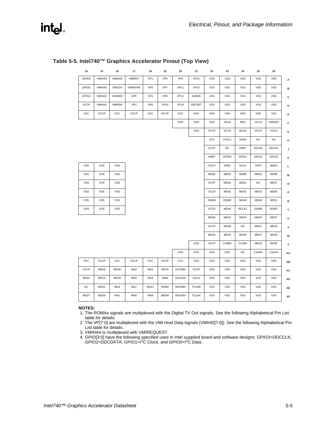| 14          | 15               | 16               | 17              | 18          | 19              | 20          | 21            | 22          | 23          | 24          | 25                | 26           |    |
|-------------|------------------|------------------|-----------------|-------------|-----------------|-------------|---------------|-------------|-------------|-------------|-------------------|--------------|----|
| GPIO6       | VMIHA4           | <b>VMIHA0</b>    | VMIRDY          | VP1         | VP <sub>5</sub> | VP9         | VP13          | <b>VSS</b>  | <b>VSS</b>  | <b>VSS</b>  | <b>VSS</b>        | <b>VSS</b>   | А  |
| GPIO5       | VMIHA3           | VMICS#           | VMIINTR#        | VP3         | VP7             | <b>VP11</b> | <b>VP15</b>   | <b>VSS</b>  | <b>VSS</b>  | <b>VSS</b>  | <b>VSS</b>        | <b>VSS</b>   | в  |
| GPIO4       | VMIHA2           | VMIWR#           | VP <sub>0</sub> | VP4         | VP8             | <b>VP12</b> | <b>GNDIN</b>  | <b>VSS</b>  | <b>VSS</b>  | <b>VSS</b>  | <b>VSS</b>        | <b>VSS</b>   | с  |
| <b>VCCP</b> | VMIHA1           | VMIRD#           | VP <sub>2</sub> | VP6         | <b>VP10</b>     | <b>VP14</b> | <b>REFSET</b> | <b>VSS</b>  | <b>VSS</b>  | <b>VSS</b>  | <b>VSS</b>        | <b>VSS</b>   | D  |
| VCC         | VCCP             | VCC              | <b>VCCP</b>     | VCC         | <b>VCCP</b>     | <b>VCC</b>  | <b>VSS</b>    | <b>VSS</b>  | <b>VSS</b>  | <b>VSS</b>  | <b>VSS</b>        | <b>VSS</b>   | Е  |
|             |                  |                  |                 |             |                 | <b>VSS</b>  | <b>VSS</b>    | <b>VSS</b>  | <b>VSSA</b> | RED         | <b>VCCA</b>       | <b>GREEN</b> | F  |
|             |                  |                  |                 |             |                 |             | <b>VSS</b>    | <b>VCCP</b> | <b>VCCA</b> | <b>BLUE</b> | <b>VCCP</b>       | <b>VCCA</b>  | G  |
|             |                  |                  |                 |             |                 |             |               | <b>VCC</b>  | XTAL1       | <b>VSSA</b> | <b>NC</b>         | NC.          | н  |
|             |                  |                  |                 |             |                 |             |               | <b>VCCP</b> | <b>NC</b>   | VRDY        | <b>VSYNC</b>      | <b>HSYNC</b> | J  |
|             |                  |                  |                 |             |                 |             |               | <b>HREF</b> | GPIO0       | GPIO1       | GPIO <sub>2</sub> | GPIO3        | Κ  |
| <b>VSS</b>  | <b>VSS</b>       | <b>VSS</b>       |                 |             |                 |             |               | <b>VCCP</b> | VREF        | <b>VCLK</b> | <b>TEST</b>       | MD63         | L  |
| <b>VSS</b>  | <b>VSS</b>       | <b>VSS</b>       |                 |             |                 |             |               | MD62        | <b>MD60</b> | <b>MD58</b> | MD61              | MD59         | M  |
| <b>VSS</b>  | <b>VSS</b>       | <b>VSS</b>       |                 |             |                 |             |               | <b>VCCP</b> | MD56        | MD54        | <b>NC</b>         | <b>MD57</b>  | N  |
| <b>VSS</b>  | <b>VSS</b>       | <b>VSS</b>       |                 |             |                 |             |               | <b>VCCP</b> | <b>MD50</b> | MD52        | MD53              | MD55         | P  |
| <b>VSS</b>  | <b>VSS</b>       | <b>VSS</b>       |                 |             |                 |             |               | DQM4        | DQM6        | MD48        | MD49              | MD51         | R  |
| <b>VSS</b>  | <b>VSS</b>       | <b>VSS</b>       |                 |             |                 |             |               | <b>VCCP</b> | MD46        | RCLK1       | DQM5              | DQM7         | т  |
|             |                  |                  |                 |             |                 |             |               | MD40        | MD42        | MD44        | MD45              | <b>MD47</b>  | U  |
|             |                  |                  |                 |             |                 |             |               | <b>VCCP</b> | MD38        | <b>NC</b>   | MD41              | MD43         | V  |
|             |                  |                  |                 |             |                 |             |               | MD32        | MD34        | MD36        | MD37              | MD39         | W  |
|             |                  |                  |                 |             |                 |             | <b>VSS</b>    | <b>VCCP</b> | CS0B#       | CS1B#       | MD33              | MD35         | Y  |
|             |                  |                  |                 |             |                 | <b>VSS</b>  | <b>VSS</b>    | <b>VSS</b>  | CKE         | <b>NC</b>   | CS0A#             | CS1A#        | ΑA |
| <b>VCC</b>  | <b>VCCP</b>      | <b>VCC</b>       | <b>VCCP</b>     | <b>VCC</b>  | <b>VCCP</b>     | <b>VCC</b>  | <b>VSS</b>    | <b>VSS</b>  | <b>VSS</b>  | <b>VSS</b>  | <b>VSS</b>        | <b>VSS</b>   | AB |
| <b>VCCP</b> | MD <sub>26</sub> | MD30             | MA <sub>2</sub> | MA6         | <b>MA10</b>     | SCASB#      | <b>VCCP</b>   | <b>VSS</b>  | <b>VSS</b>  | <b>VSS</b>  | <b>VSS</b>        | <b>VSS</b>   | AC |
| MD22        | MD <sub>24</sub> | MD <sub>28</sub> | MA0             | MA4         | MA8             | SCASA#      | OCLK          | <b>VSS</b>  | <b>VSS</b>  | <b>VSS</b>  | <b>VSS</b>        | <b>VSS</b>   | AD |
| $NC$        | MD31             | MA3              | MA7             | <b>MA11</b> | WEB#            | SRASB#      | <b>TCLKB</b>  | <b>VSS</b>  | <b>VSS</b>  | <b>VSS</b>  | <b>VSS</b>        | <b>VSS</b>   | AE |
| MD27        | MD29             | MA1              | MA <sub>5</sub> | MA9         | WEA#            | SRASA#      | <b>TCLKA</b>  | <b>VSS</b>  | <b>VSS</b>  | <b>VSS</b>  | <b>VSS</b>        | <b>VSS</b>   | AF |
|             |                  |                  |                 |             |                 |             |               |             |             |             |                   |              |    |

#### **Table 5-5. Intel740™ Graphics Accelerator Pinout (Top View)**

#### **NOTES:**

1. The ROMAx signals are multiplexed with the Digital TV Out signals. See the following Alphabetical Pin List table for details.

2. The VP[7:0] are multiplexed with the VMI Host Data signals (VMIHD[7:0]). See the following Alphabetical Pin List table for details.

3. VMIHA4 is multiplexed with VMIREQUEST.

4. GPIO[3:0] have the following specified uses in Intel supplied board and software designs: GPIO3=DDCCLK, GPIO2=DDCDATA, GPIO1=I2C Clock, and GPIO0=I2C Data.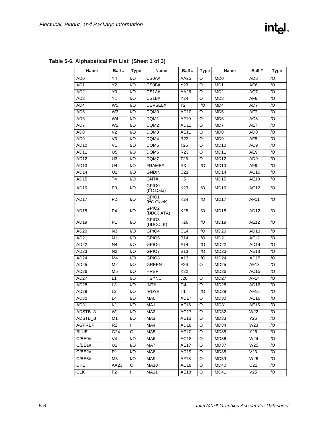| Ball #<br>Name<br><b>Type</b>             |                  | Name                        | Ball #                             | <b>Type</b>      | <b>Name</b>      | Ball #           | <b>Type</b>      |                             |
|-------------------------------------------|------------------|-----------------------------|------------------------------------|------------------|------------------|------------------|------------------|-----------------------------|
| $\overline{1/O}$<br>Υ4<br>AD <sub>0</sub> |                  | CS0A#                       | AA25                               | O                | MD0              | AD <sub>6</sub>  | $\overline{1/O}$ |                             |
| AD1                                       | Y2               | I/O                         | CS0B#                              | Y23              | O                | MD1              | AE6              | I/O                         |
| Y3<br>I/O<br>AD <sub>2</sub>              |                  | CS1A#                       | AA26                               | O                | MD2              | AC7              | I/O              |                             |
| AD3                                       | Y1               | I/O                         | CS1B#                              | Y24              | O                | MD3              | AF <sub>6</sub>  | I/O                         |
| AD4                                       | W <sub>5</sub>   | I/O                         | DEVSEL#                            | T <sub>2</sub>   | I/O              | MD4              | AD7              | I/O                         |
| AD <sub>5</sub>                           | W3               | $\overline{10}$             | DQM0                               | AD10             | O                | MD5              | AF7              | $\overline{1}/\overline{O}$ |
| AD6                                       | W4               | $\overline{1}/\overline{O}$ | DQM1                               | AF10             | O                | MD6              | AC8              | $\overline{1/O}$            |
| AD7                                       | W <sub>2</sub>   | $\overline{1}/\overline{O}$ | DQM2                               | AD11             | O                | MD7              | AE7              | $\overline{1/O}$            |
| AD <sub>8</sub>                           | V <sub>2</sub>   | I/O                         | DQM3                               | AE11             | $\circ$          | MD8              | AD <sub>8</sub>  | $\overline{1}/\overline{O}$ |
| AD <sub>9</sub>                           | V <sub>3</sub>   | I/O                         | DQM4                               | R <sub>22</sub>  | O                | MD <sub>9</sub>  | AF <sub>8</sub>  | I/O                         |
| AD10                                      | V <sub>1</sub>   | $\overline{1/O}$            | DQM <sub>5</sub>                   | T <sub>25</sub>  | O                | <b>MD10</b>      | AC9              | $\overline{1}/\overline{O}$ |
| AD11                                      | $\overline{U5}$  | 1/O                         | DQM6                               | R <sub>23</sub>  | $\overline{O}$   | MD11             | AE9              | 1/O                         |
| AD12                                      | U <sub>3</sub>   | $\overline{1/O}$            | DQM7                               | T26              | O                | <b>MD12</b>      | AD <sub>9</sub>  | $\overline{1}/\overline{O}$ |
| AD13                                      | U <sub>4</sub>   | $\overline{1/O}$            | FRAME#                             | R <sub>3</sub>   | $\overline{1/O}$ | MD <sub>13</sub> | AF9              | $\overline{1/O}$            |
| AD <sub>14</sub>                          | U <sub>2</sub>   | I/O                         | <b>GNDIN</b>                       | C <sub>21</sub>  | $\mathbf{I}$     | <b>MD14</b>      | AC10             | I/O                         |
| AD15                                      | T <sub>4</sub>   | I/O                         | GNT#                               | H <sub>5</sub>   | $\mathbf{I}$     | <b>MD15</b>      | AE10             | I/O                         |
| AD16                                      | P <sub>3</sub>   | I/O                         | GPIO <sub>0</sub><br>$(I^2C$ Data) | K23              | I/O              | <b>MD16</b>      | AC12             | I/O                         |
| AD <sub>17</sub>                          | P <sub>2</sub>   | I/O                         | GPIO1<br>$(I^2C$ Clock)            | K24              | 1/O              | <b>MD17</b>      | AF11             | I/O                         |
| AD <sub>18</sub>                          | P <sub>4</sub>   | I/O                         | GPIO <sub>2</sub><br>(DDCDATA)     | K <sub>25</sub>  | I/O              | MD <sub>18</sub> | AD12             | I/O                         |
| AD <sub>19</sub>                          | P <sub>1</sub>   | 1/O                         | GPIO <sub>3</sub><br>(DDCCLK)      | K26              | 1/O              | MD <sub>19</sub> | AE12             | I/O                         |
| AD20                                      | N3               | $\overline{10}$             | GPIO4                              | C14              | $\overline{1/O}$ | <b>MD20</b>      | AD <sub>13</sub> | $\overline{1/O}$            |
| AD21                                      | N <sub>1</sub>   | $\overline{1/O}$            | GPIO <sub>5</sub>                  | <b>B14</b>       | I/O              | MD21             | AF12             | I/O                         |
| AD22                                      | N4               | I/O                         | GPIO6                              | A14              | I/O              | <b>MD22</b>      | AD <sub>14</sub> | I/O                         |
| AD23                                      | N <sub>2</sub>   | $\overline{1/O}$            | GPIO7                              | <b>B13</b>       | $\overline{1/O}$ | MD <sub>23</sub> | AE13             | $\overline{1/O}$            |
| AD <sub>24</sub>                          | M4               | I/O                         | GPIO8                              | A13              | I/O              | MD <sub>24</sub> | AD15             | I/O                         |
| AD25                                      | M <sub>2</sub>   | $\overline{1/O}$            | <b>GREEN</b>                       | F <sub>26</sub>  | O                | MD25             | AF13             | I/O                         |
| AD <sub>26</sub>                          | M <sub>5</sub>   | I/O                         | <b>HREF</b>                        | K22              | $\mathbf{I}$     | MD <sub>26</sub> | AC15             | I/O                         |
| AD27                                      | L1               | I/O                         | <b>HSYNC</b>                       | J26              | O                | <b>MD27</b>      | AF14             | I/O                         |
| AD <sub>28</sub>                          | L <sub>3</sub>   | I/O                         | INT#                               | G4               | O                | <b>MD28</b>      | AD <sub>16</sub> | I/O                         |
| AD <sub>29</sub>                          | L2               | $\overline{1}/\overline{O}$ | IRDY#                              | T1               | $\overline{1/O}$ | MD29             | AF <sub>15</sub> | $\overline{1/O}$            |
| AD30                                      | L4               | $\overline{1/O}$            | MA0                                | AD17             | O                | <b>MD30</b>      | AC16             | $\overline{1}/\overline{O}$ |
| AD31                                      | K1               | 1/O                         | MA <sub>1</sub>                    | <b>AF16</b>      | $\overline{O}$   | <b>MD31</b>      | <b>AE15</b>      | 1/O                         |
| ADSTB_A                                   | W1               | I/O                         | MA2                                | AC17             | O                | MD32             | W22              | I/O                         |
| ADSTB_B                                   | M <sub>1</sub>   | $\overline{10}$             | MA3                                | AE16             | O                | MD33             | Y25              | I/O                         |
| <b>AGPREF</b>                             | R <sub>2</sub>   | $\mathbf{I}$                | MA4                                | AD <sub>18</sub> | O                | MD34             | W23              | I/O                         |
| <b>BLUE</b>                               | G24              | O                           | MA <sub>5</sub>                    | <b>AF17</b>      | O                | MD35             | Y26              | I/O                         |
| C/BE0#                                    | V <sub>4</sub>   | I/O                         | MA6                                | AC18             | O                | MD36             | W24              | I/O                         |
| C/BE1#                                    | $\overline{U}$ 1 | I/O                         | MA7                                | <b>AE17</b>      | O                | MD37             | W25              | I/O                         |
| C/BE2#                                    | R1               | I/O                         | MA8                                | AD <sub>19</sub> | O                | MD38             | V <sub>23</sub>  | I/O                         |
| C/BE3#                                    | M <sub>3</sub>   | I/O                         | MA9                                | AF18             | O                | MD39             | W26              | I/O                         |
| <b>CKE</b>                                | AA23             | O                           | <b>MA10</b>                        | AC19             | O                | MD40             | U22              | I/O                         |
| <b>CLK</b>                                | F <sub>2</sub>   | L                           | <b>MA11</b>                        | AE18             | O                | MD41             | V25              | I/O                         |

**Table 5-6. Alphabetical Pin List (Sheet 1 of 3)**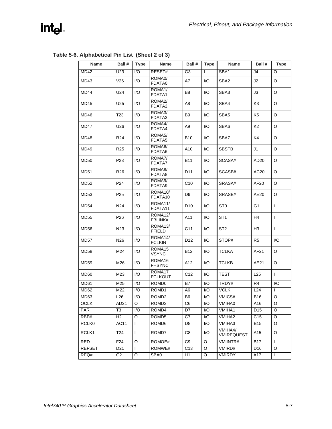| Table 5-6. Alphabetical Pin List (Sheet 2 of 3) |  |  |  |
|-------------------------------------------------|--|--|--|
|-------------------------------------------------|--|--|--|

| Name             | Ball #           | Type             | <b>Name</b>                           | Ball #          | Type | <b>Name</b>                  | Ball #           | <b>Type</b>  |
|------------------|------------------|------------------|---------------------------------------|-----------------|------|------------------------------|------------------|--------------|
| <b>MD42</b>      | U23              | $\overline{1/O}$ | RESET#                                | $\overline{G3}$ | L    | SBA1                         | J4               | O            |
| MD43             | V26              | I/O              | ROMA <sub>0</sub> /<br>FDATA0         | A7              | 1/O  | SBA <sub>2</sub>             | J2               | O            |
| <b>MD44</b>      | U24              | 1/O              | ROMA <sub>1</sub> /<br>FDATA1         | B <sub>8</sub>  | 1/O  | SBA3                         | JЗ               | O            |
| MD45             | U25              | I/O              | ROMA <sub>2</sub> /<br>FDATA2         | A8              | 1/O  | SBA4                         | K3               | O            |
| MD46             | T <sub>23</sub>  | I/O              | ROMA <sub>3</sub> /<br>FDATA3         | B <sub>9</sub>  | 1/O  | SBA5                         | K <sub>5</sub>   | O            |
| MD47             | U26              | I/O              | ROMA4/<br>FDATA4                      | A9              | 1/O  | SBA6                         | K <sub>2</sub>   | O            |
| MD48             | R <sub>24</sub>  | 1/O              | ROMA <sub>5</sub> /<br>FDATA5         | <b>B10</b>      | 1/O  | SBA7                         | K4               | O            |
| MD49             | R <sub>25</sub>  | I/O              | ROMA6/<br>FDATA6                      | A10             | 1/O  | <b>SBSTB</b>                 | J1               | O            |
| MD50             | P <sub>23</sub>  | 1/O              | ROMA7/<br>FDATA7                      | <b>B11</b>      | 1/O  | SCASA#                       | AD <sub>20</sub> | O            |
| MD51             | R <sub>26</sub>  | I/O              | ROMA <sub>8</sub> /<br>FDATA8         | D <sub>11</sub> | I/O  | SCASB#                       | AC20             | O            |
| MD52             | P <sub>24</sub>  | 1/O              | ROMA <sub>9</sub> /<br>FDATA9         | C <sub>10</sub> | 1/O  | SRASA#                       | AF20             | O            |
| MD <sub>53</sub> | P <sub>25</sub>  | I/O              | ROMA10/<br>FDATA10                    | D9              | 1/O  | SRASB#                       | AE20             | O            |
| <b>MD54</b>      | N <sub>24</sub>  | 1/O              | <b>ROMA11/</b><br>FDATA11             | D <sub>10</sub> | 1/O  | ST <sub>0</sub>              | G1               | I            |
| MD55             | P <sub>26</sub>  | I/O              | ROMA <sub>12</sub> /<br>FBLINK#       | A11             | I/O  | ST <sub>1</sub>              | H <sub>4</sub>   | T            |
| MD56             | N <sub>23</sub>  | 1/O              | ROMA <sub>13</sub> /<br><b>FFIELD</b> | C <sub>11</sub> | 1/O  | ST <sub>2</sub>              | H <sub>3</sub>   | I            |
| MD57             | N <sub>26</sub>  | I/O              | ROMA <sub>14</sub> /<br><b>FCLKIN</b> | D <sub>12</sub> | 1/O  | STOP#                        | R <sub>5</sub>   | I/O          |
| MD58             | M24              | 1/O              | ROMA15<br>VSYNC                       | <b>B12</b>      | I/O  | <b>TCLKA</b>                 | AF21             | O            |
| MD59             | M26              | I/O              | ROMA16<br><b>FHSYNC</b>               | A12             | 1/O  | <b>TCLKB</b>                 | AE21             | O            |
| MD60             | M23              | 1/O              | ROMA17<br><b>FCLKOUT</b>              | C <sub>12</sub> | 1/O  | TEST                         | L25              | L            |
| <b>MD61</b>      | M25              | 1/O              | ROMD <sub>0</sub>                     | B7              | 1/O  | TRDY#                        | R4               | I/O          |
| <b>MD62</b>      | M22              | I/O              | ROMD1                                 | A6              | I/O  | <b>VCLK</b>                  | L24              | $\mathbf{I}$ |
| MD63             | L <sub>26</sub>  | I/O              | ROMD2                                 | B6              | I/O  | VMICS#                       | <b>B16</b>       | O            |
| OCLK             | AD <sub>21</sub> | O                | ROMD3                                 | C6              | I/O  | VMIHA0                       | A16              | O            |
| <b>PAR</b>       | T <sub>3</sub>   | 1/O              | ROMD4                                 | D7              | I/O  | <b>VMIHA1</b>                | D <sub>15</sub>  | O            |
| RBF#             | H <sub>2</sub>   | O                | ROMD <sub>5</sub>                     | C7              | I/O  | VMIHA2                       | C15              | O            |
| RCLK0            | AC11             | $\mathbf{I}$     | ROMD6                                 | D8              | I/O  | VMIHA3                       | <b>B15</b>       | O            |
| RCLK1            | T24              | T.               | ROMD7                                 | C8              | I/O  | VMIHA4/<br><b>VMIREQUEST</b> | A15              | O            |
| RED              | F24              | O                | ROMOE#                                | C9              | O    | VMIINTR#                     | <b>B17</b>       |              |
| <b>REFSET</b>    | D <sub>21</sub>  | $\mathbf{L}$     | ROMWE#                                | C13             | O    | VMIRD#                       | D <sub>16</sub>  | O            |
| REQ#             | G <sub>2</sub>   | O                | SBA0                                  | H1              | O    | <b>VMIRDY</b>                | A17              | $\mathbf{I}$ |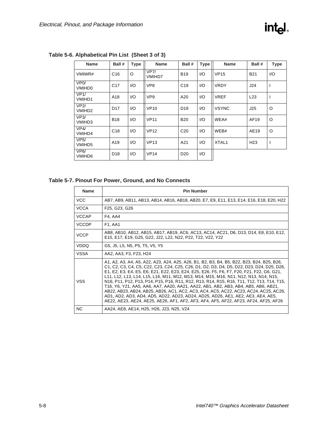| <b>Name</b>                      | Ball #          | <b>Type</b>            | <b>Name</b>     | Ball #          | <b>Type</b>             | <b>Name</b>  | Ball #          | <b>Type</b> |
|----------------------------------|-----------------|------------------------|-----------------|-----------------|-------------------------|--------------|-----------------|-------------|
| VMIWR#                           | C <sub>16</sub> | $\circ$                | VP7/<br>VMIHD7  | <b>B19</b>      | 1/O                     | <b>VP15</b>  | <b>B21</b>      | 1/O         |
| VP <sub>0</sub><br><b>VMIHDO</b> | C <sub>17</sub> | I/O                    | VP8             | C <sub>19</sub> | 1/O                     | <b>VRDY</b>  | J24             |             |
| VP1/<br>VMIHD1                   | A18             | $\mathsf{U}\mathsf{O}$ | VP <sub>9</sub> | A20             | 1/O                     | <b>VREF</b>  | L23             |             |
| VP2/<br>VMIHD <sub>2</sub>       | D <sub>17</sub> | I/O                    | <b>VP10</b>     | D <sub>19</sub> | 1/O                     | <b>VSYNC</b> | J25             | O           |
| VP3/<br>VMIHD3                   | <b>B18</b>      | I/O                    | <b>VP11</b>     | <b>B20</b>      | 1/O                     | WEA#         | AF19            | $\circ$     |
| VP4/<br>VMIHD4                   | C <sub>18</sub> | I/O                    | <b>VP12</b>     | C <sub>20</sub> | 1/O                     | WEB#         | AE19            | $\circ$     |
| VP5/<br>VMIHD <sub>5</sub>       | A19             | I/O                    | <b>VP13</b>     | A21             | 1/O                     | XTAL1        | H <sub>23</sub> |             |
| VP6/<br>VMIHD <sub>6</sub>       | D <sub>18</sub> | I/O                    | <b>VP14</b>     | D <sub>20</sub> | $\mathsf{I}/\mathsf{O}$ |              |                 |             |

### **Table 5-7. Pinout For Power, Ground, and No Connects**

| <b>Name</b>  | <b>Pin Number</b>                                                                                                                                                                                                                                                                                                                                                                                                                                                                                                                                                                                                                                                                                                                                                                                                                |
|--------------|----------------------------------------------------------------------------------------------------------------------------------------------------------------------------------------------------------------------------------------------------------------------------------------------------------------------------------------------------------------------------------------------------------------------------------------------------------------------------------------------------------------------------------------------------------------------------------------------------------------------------------------------------------------------------------------------------------------------------------------------------------------------------------------------------------------------------------|
| <b>VCC</b>   | AB7, AB9, AB11, AB13, AB14, AB16, AB18, AB20, E7, E9, E11, E13, E14, E16, E18, E20, H22                                                                                                                                                                                                                                                                                                                                                                                                                                                                                                                                                                                                                                                                                                                                          |
| <b>VCCA</b>  | F25, G23, G26                                                                                                                                                                                                                                                                                                                                                                                                                                                                                                                                                                                                                                                                                                                                                                                                                    |
| <b>VCCAP</b> | F4. AA4                                                                                                                                                                                                                                                                                                                                                                                                                                                                                                                                                                                                                                                                                                                                                                                                                          |
| <b>VCCDP</b> | F1, AA1                                                                                                                                                                                                                                                                                                                                                                                                                                                                                                                                                                                                                                                                                                                                                                                                                          |
| <b>VCCP</b>  | AB8, AB10, AB12, AB15, AB17, AB19, AC6, AC13, AC14, AC21, D6, D13, D14, E8, E10, E12,<br>E15, E17, E19, G25, G22, J22, L22, N22, P22, T22, V22, Y22                                                                                                                                                                                                                                                                                                                                                                                                                                                                                                                                                                                                                                                                              |
| <b>VDDQ</b>  | G5, J5, L5, N5, P5, T5, V5, Y5                                                                                                                                                                                                                                                                                                                                                                                                                                                                                                                                                                                                                                                                                                                                                                                                   |
| <b>VSSA</b>  | AA2, AA3, F3, F23, H24                                                                                                                                                                                                                                                                                                                                                                                                                                                                                                                                                                                                                                                                                                                                                                                                           |
| <b>VSS</b>   | A1, A2, A3, A4, A5, A22, A23, A24, A25, A26, B1, B2, B3, B4, B5, B22, B23, B24, B25, B26,<br>C1, C2, C3, C4, C5, C22, C23, C24, C25, C26, D1, D2, D3, D4, D5, D22, D23, D24, D25, D26,<br>E1, E2, E3, E4, E5, E6, E21, E22, E23, E24, E25, E26, F5, F6, F7, F20, F21, F22, G6, G21,<br>L11, L12, L13, L14, L15, L16, M11, M12, M13, M14, M15, M16, N11, N12, N13, N14, N15,<br>N16, P11, P12, P13, P14, P15, P16, R11, R12, R13, R14, R15, R16, T11, T12, T13, T14, T15,<br>T16, Y6, Y21, AA5, AA6, AA7, AA20, AA21, AA22, AB1, AB2, AB3, AB4, AB5, AB6, AB21,<br>AB22, AB23, AB24, AB25, AB26, AC1, AC2, AC3, AC4, AC5, AC22, AC23, AC24, AC25, AC26,<br>AD1, AD2, AD3, AD4, AD5, AD22, AD23, AD24, AD25, AD26, AE1, AE2, AE3, AE4, AE5,<br>AE22, AE23, AE24, AE25, AE26, AF1, AF2, AF3, AF4, AF5, AF22, AF23, AF24, AF25, AF26 |
| <b>NC</b>    | AA24, AE8, AE14, H25, H26, J23, N25, V24                                                                                                                                                                                                                                                                                                                                                                                                                                                                                                                                                                                                                                                                                                                                                                                         |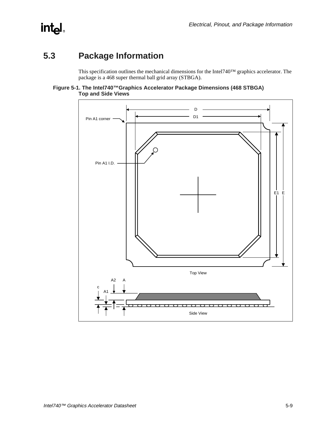## **5.3 Package Information**

intel.

This specification outlines the mechanical dimensions for the Intel740™ graphics accelerator. The package is a 468 super thermal ball grid array (STBGA).



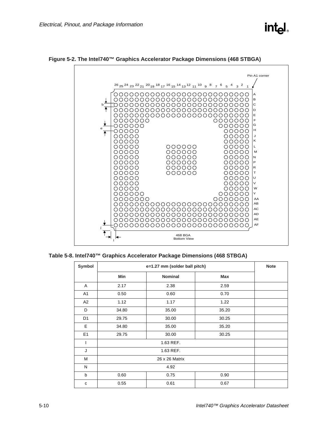

**Figure 5-2. The Intel740™ Graphics Accelerator Package Dimensions (468 STBGA)**

**Table 5-8. Intel740™ Graphics Accelerator Package Dimensions (468 STBGA)**

| Symbol         | e=1.27 mm (solder ball pitch) |                |       | <b>Note</b> |
|----------------|-------------------------------|----------------|-------|-------------|
|                | Min                           | <b>Nominal</b> | Max   |             |
| A              | 2.17                          | 2.38           | 2.59  |             |
| A1             | 0.50                          | 0.60           | 0.70  |             |
| A2             | 1.12                          | 1.17           | 1.22  |             |
| D              | 34.80                         | 35.00          | 35.20 |             |
| D <sub>1</sub> | 29.75                         | 30.00          | 30.25 |             |
| E              | 34.80                         | 35.00          | 35.20 |             |
| E <sub>1</sub> | 29.75                         | 30.00          | 30.25 |             |
| L              |                               |                |       |             |
| J              |                               |                |       |             |
| M              |                               |                |       |             |
| N              |                               |                |       |             |
| b              | 0.60                          | 0.75           | 0.90  |             |
| c              | 0.55                          | 0.61           | 0.67  |             |

ını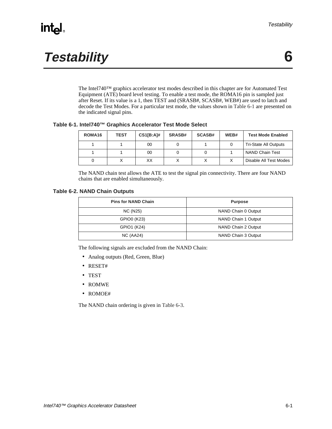The Intel740™ graphics accelerator test modes described in this chapter are for Automated Test Equipment (ATE) board level testing. To enable a test mode, the ROMA16 pin is sampled just after Reset. If its value is a 1, then TEST and (SRASB#, SCASB#, WEB#) are used to latch and decode the Test Modes. For a particular test mode, the values shown in Table 6-1 are presented on the indicated signal pins.

**Table 6-1. Intel740™ Graphics Accelerator Test Mode Select**

| ROMA <sub>16</sub> | <b>TEST</b> | $CS1[B:A]$ # | <b>SRASB#</b> | <b>SCASB#</b> | WEB# | <b>Test Mode Enabled</b>     |
|--------------------|-------------|--------------|---------------|---------------|------|------------------------------|
|                    |             | 00           |               |               |      | <b>Tri-State All Outputs</b> |
|                    |             | 00           |               |               |      | <b>NAND Chain Test</b>       |
|                    |             | XX           |               |               |      | Disable All Test Modes       |

The NAND chain test allows the ATE to test the signal pin connectivity. There are four NAND chains that are enabled simultaneously.

#### **Table 6-2. NAND Chain Outputs**

| <b>Pins for NAND Chain</b> | <b>Purpose</b>      |
|----------------------------|---------------------|
| <b>NC (N25)</b>            | NAND Chain 0 Output |
| GPIO0 (K23)                | NAND Chain 1 Output |
| GPIO1 (K24)                | NAND Chain 2 Output |
| <b>NC (AA24)</b>           | NAND Chain 3 Output |

The following signals are excluded from the NAND Chain:

- Analog outputs (Red, Green, Blue)
- RESET#
- TEST
- ROMWE
- ROMOE#

The NAND chain ordering is given in Table 6-3.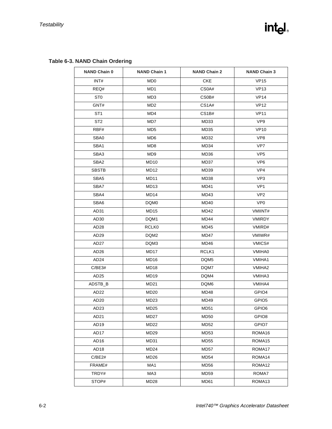| <b>NAND Chain 0</b> | <b>NAND Chain 1</b> | <b>NAND Chain 2</b> | <b>NAND Chain 3</b> |
|---------------------|---------------------|---------------------|---------------------|
| INT#                | MD <sub>0</sub>     | CKE                 | VP15                |
| REQ#                | MD1                 | CS0A#               | VP13                |
| ST <sub>0</sub>     | MD <sub>3</sub>     | CS0B#               | <b>VP14</b>         |
| GNT#                | MD2                 | CS1A#               | VP12                |
| ST <sub>1</sub>     | MD4                 | CS1B#               | <b>VP11</b>         |
| ST <sub>2</sub>     | MD7                 | MD33                | VP9                 |
| RBF#                | MD <sub>5</sub>     | MD35                | <b>VP10</b>         |
| SBA0                | MD6                 | MD32                | VP8                 |
| SBA1                | MD <sub>8</sub>     | MD34                | VP7                 |
| SBA3                | MD9                 | MD36                | VP <sub>5</sub>     |
| SBA2                | MD <sub>10</sub>    | MD37                | VP <sub>6</sub>     |
| <b>SBSTB</b>        | MD12                | MD39                | VP4                 |
| SBA5                | MD <sub>11</sub>    | MD38                | VP3                 |
| SBA7                | MD <sub>13</sub>    | MD41                | VP1                 |
| SBA4                | MD14                | MD43                | VP <sub>2</sub>     |
| SBA6                | DQM0                | MD40                | VP <sub>0</sub>     |
| AD31                | MD <sub>15</sub>    | MD42                | VMIINT#             |
| AD30                | DQM1                | MD44                | <b>VMIRDY</b>       |
| AD <sub>28</sub>    | RCLK0               | MD45                | VMIRD#              |
| AD29                | DQM2                | MD47                | VMIWR#              |
| AD <sub>27</sub>    | DQM3                | MD46                | VMICS#              |
| AD26                | MD17                | RCLK1               | <b>VMIHA0</b>       |
| AD <sub>24</sub>    | MD <sub>16</sub>    | DQM5                | <b>VMIHA1</b>       |
| C/BE3#              | MD <sub>18</sub>    | DQM7                | VMIHA2              |
| AD <sub>25</sub>    | MD <sub>19</sub>    | DQM4                | VMIHA3              |
| ADSTB_B             | MD21                | DQM6                | VMIHA4              |
| AD22                | MD <sub>20</sub>    | MD48                | GPIO4               |
| AD <sub>20</sub>    | MD <sub>23</sub>    | MD49                | GPIO <sub>5</sub>   |
| AD23                | MD25                | <b>MD51</b>         | GPIO6               |
| AD21                | MD27                | <b>MD50</b>         | GPIO8               |
| AD19                | MD22                | MD52                | GPIO7               |
| AD17                | MD29                | MD <sub>53</sub>    | ROMA16              |
| AD16                | MD31                | <b>MD55</b>         | ROMA15              |
| AD18                | MD24                | MD57                | ROMA17              |
| C/BE2#              | MD <sub>26</sub>    | MD54                | ROMA14              |
| FRAME#              | MA1                 | MD56                | ROMA <sub>12</sub>  |
| TRDY#               | MA3                 | MD59                | ROMA7               |
| STOP#               | MD28                | MD61                | ROMA <sub>13</sub>  |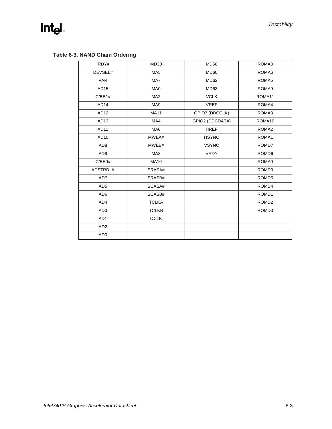### **Table 6-3. NAND Chain Ordering**

| IRDY#            | MD30            | <b>MD58</b>     | ROMA8             |
|------------------|-----------------|-----------------|-------------------|
| DEVSEL#          | MA <sub>5</sub> | <b>MD60</b>     | ROMA <sub>6</sub> |
| <b>PAR</b>       | MA7             | <b>MD62</b>     | ROMA <sub>5</sub> |
| AD <sub>15</sub> | MA0             | MD63            | ROMA9             |
| C/BE1#           | MA <sub>2</sub> | <b>VCLK</b>     | ROMA11            |
| AD <sub>14</sub> | MA9             | <b>VREF</b>     | ROMA4             |
| AD <sub>12</sub> | <b>MA11</b>     | GPIO3 (DDCCLK)  | ROMA3             |
| AD <sub>13</sub> | MA4             | GPIO2 (DDCDATA) | ROMA10            |
| AD11             | MA6             | <b>HREF</b>     | ROMA <sub>2</sub> |
| AD10             | MWEA#           | <b>HSYNC</b>    | ROMA1             |
| AD <sub>8</sub>  | MWEB#           | <b>VSYNC</b>    | ROMD7             |
| AD <sub>9</sub>  | MA8             | <b>VRDY</b>     | ROMD <sub>6</sub> |
| C/BE0#           | <b>MA10</b>     |                 | ROMA0             |
| ADSTRB A         | SRASA#          |                 | ROMD0             |
| AD7              | SRASB#          |                 | ROMD <sub>5</sub> |
| AD <sub>5</sub>  | SCASA#          |                 | ROMD4             |
| AD <sub>6</sub>  | SCASB#          |                 | ROMD1             |
| AD4              | <b>TCLKA</b>    |                 | ROMD <sub>2</sub> |
| AD <sub>3</sub>  | <b>TCLKB</b>    |                 | ROMD3             |
| AD <sub>1</sub>  | <b>OCLK</b>     |                 |                   |
| AD <sub>2</sub>  |                 |                 |                   |
| AD <sub>0</sub>  |                 |                 |                   |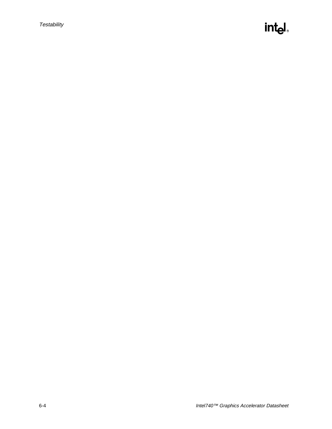**Testability** 

# intel